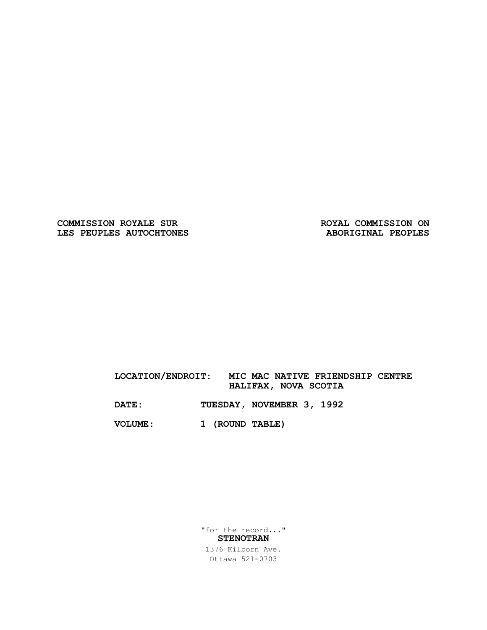COMMISSION ROYALE SUR ROYAL COMMISSION ON **LES PEUPLES AUTOCHTONES ABORIGINAL PEOPLES** 

### **LOCATION/ENDROIT: MIC MAC NATIVE FRIENDSHIP CENTRE HALIFAX, NOVA SCOTIA**

**DATE: TUESDAY, NOVEMBER 3, 1992**

**VOLUME: 1 (ROUND TABLE)**

"for the record..." **STENOTRAN**

1376 Kilborn Ave. Ottawa 521-0703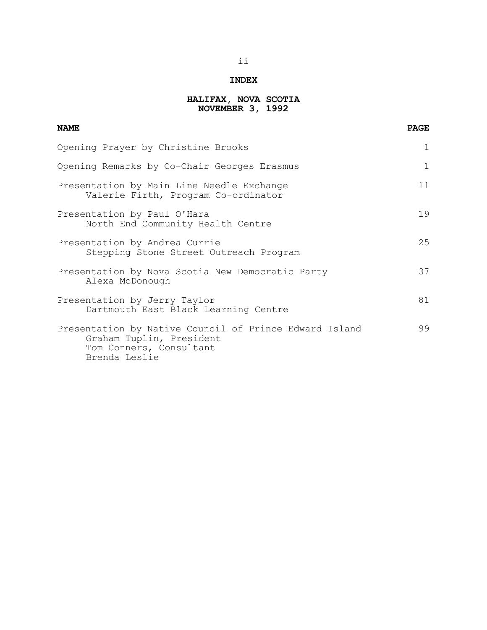### **INDEX**

### **HALIFAX, NOVA SCOTIA NOVEMBER 3, 1992**

| <b>NAME</b>                                                                                                                    | <b>PAGE</b>  |
|--------------------------------------------------------------------------------------------------------------------------------|--------------|
| Opening Prayer by Christine Brooks                                                                                             | 1            |
| Opening Remarks by Co-Chair Georges Erasmus                                                                                    | $\mathbf{1}$ |
| Presentation by Main Line Needle Exchange<br>Valerie Firth, Program Co-ordinator                                               | 11           |
| Presentation by Paul O'Hara<br>North End Community Health Centre                                                               | 19           |
| Presentation by Andrea Currie<br>Stepping Stone Street Outreach Program                                                        | 25           |
| Presentation by Nova Scotia New Democratic Party<br>Alexa McDonough                                                            | 37           |
| Presentation by Jerry Taylor<br>Dartmouth East Black Learning Centre                                                           | 81           |
| Presentation by Native Council of Prince Edward Island<br>Graham Tuplin, President<br>Tom Conners, Consultant<br>Brenda Leslie | 99           |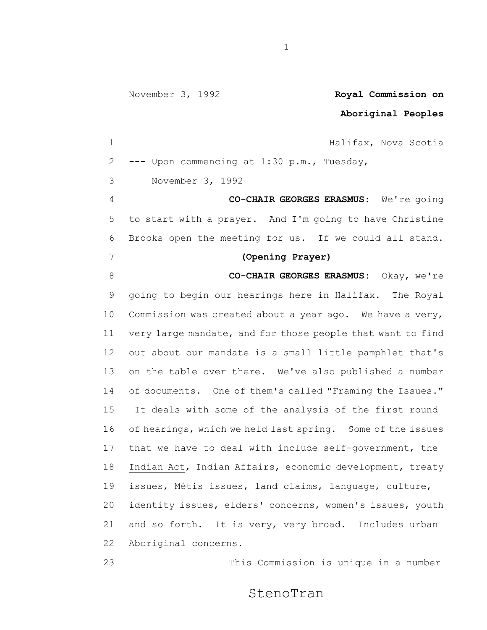**Aboriginal Peoples**

 Halifax, Nova Scotia --- Upon commencing at 1:30 p.m., Tuesday, 3 November 3, 1992 **CO-CHAIR GEORGES ERASMUS**: We're going to start with a prayer. And I'm going to have Christine Brooks open the meeting for us. If we could all stand. **(Opening Prayer) CO-CHAIR GEORGES ERASMUS:** Okay, we're going to begin our hearings here in Halifax. The Royal Commission was created about a year ago. We have a very, very large mandate, and for those people that want to find out about our mandate is a small little pamphlet that's on the table over there. We've also published a number of documents. One of them's called "Framing the Issues." It deals with some of the analysis of the first round of hearings, which we held last spring. Some of the issues that we have to deal with include self-government, the Indian Act, Indian Affairs, economic development, treaty issues, Métis issues, land claims, language, culture, identity issues, elders' concerns, women's issues, youth and so forth. It is very, very broad. Includes urban Aboriginal concerns.

This Commission is unique in a number

StenoTran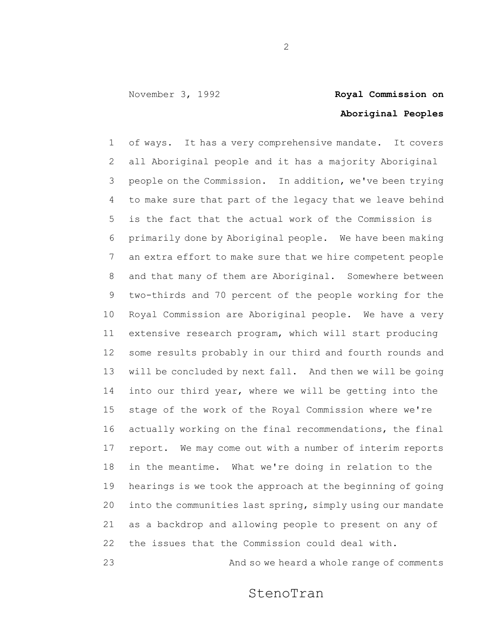## **Aboriginal Peoples**

 of ways. It has a very comprehensive mandate. It covers all Aboriginal people and it has a majority Aboriginal people on the Commission. In addition, we've been trying to make sure that part of the legacy that we leave behind is the fact that the actual work of the Commission is primarily done by Aboriginal people. We have been making an extra effort to make sure that we hire competent people and that many of them are Aboriginal. Somewhere between two-thirds and 70 percent of the people working for the Royal Commission are Aboriginal people. We have a very extensive research program, which will start producing some results probably in our third and fourth rounds and will be concluded by next fall. And then we will be going into our third year, where we will be getting into the stage of the work of the Royal Commission where we're actually working on the final recommendations, the final report. We may come out with a number of interim reports in the meantime. What we're doing in relation to the hearings is we took the approach at the beginning of going into the communities last spring, simply using our mandate as a backdrop and allowing people to present on any of the issues that the Commission could deal with.

And so we heard a whole range of comments

StenoTran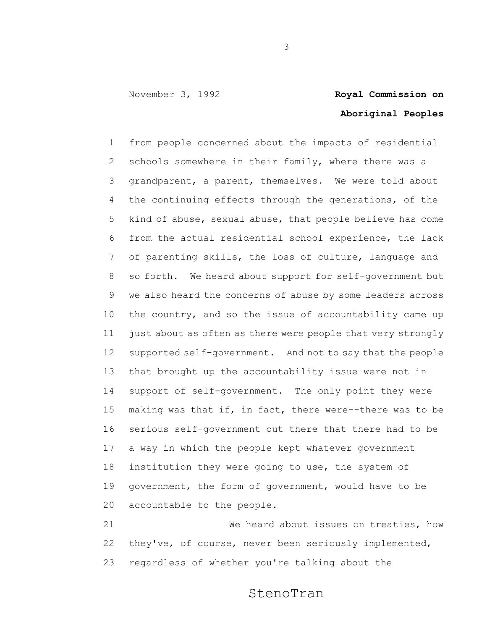# **Aboriginal Peoples**

 from people concerned about the impacts of residential schools somewhere in their family, where there was a grandparent, a parent, themselves. We were told about the continuing effects through the generations, of the kind of abuse, sexual abuse, that people believe has come from the actual residential school experience, the lack of parenting skills, the loss of culture, language and so forth. We heard about support for self-government but we also heard the concerns of abuse by some leaders across the country, and so the issue of accountability came up just about as often as there were people that very strongly supported self-government. And not to say that the people that brought up the accountability issue were not in support of self-government. The only point they were 15 making was that if, in fact, there were--there was to be serious self-government out there that there had to be a way in which the people kept whatever government institution they were going to use, the system of government, the form of government, would have to be accountable to the people.

 We heard about issues on treaties, how they've, of course, never been seriously implemented, regardless of whether you're talking about the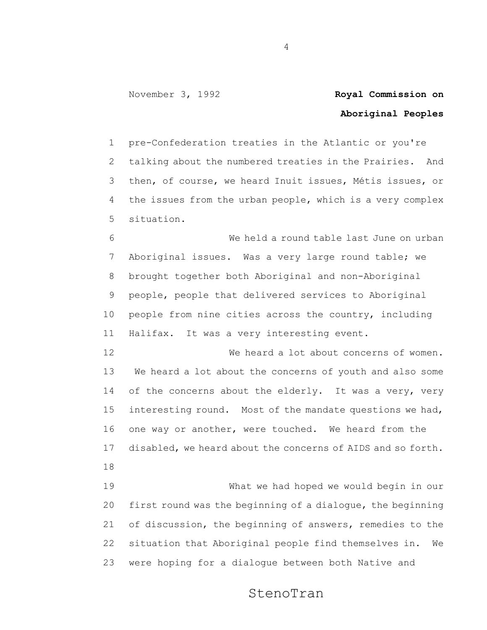## **Aboriginal Peoples**

 pre-Confederation treaties in the Atlantic or you're talking about the numbered treaties in the Prairies. And then, of course, we heard Inuit issues, Métis issues, or the issues from the urban people, which is a very complex situation.

 We held a round table last June on urban Aboriginal issues. Was a very large round table; we brought together both Aboriginal and non-Aboriginal people, people that delivered services to Aboriginal people from nine cities across the country, including Halifax. It was a very interesting event.

 We heard a lot about concerns of women. We heard a lot about the concerns of youth and also some 14 of the concerns about the elderly. It was a very, very interesting round. Most of the mandate questions we had, one way or another, were touched. We heard from the disabled, we heard about the concerns of AIDS and so forth. 

 What we had hoped we would begin in our first round was the beginning of a dialogue, the beginning of discussion, the beginning of answers, remedies to the situation that Aboriginal people find themselves in. We were hoping for a dialogue between both Native and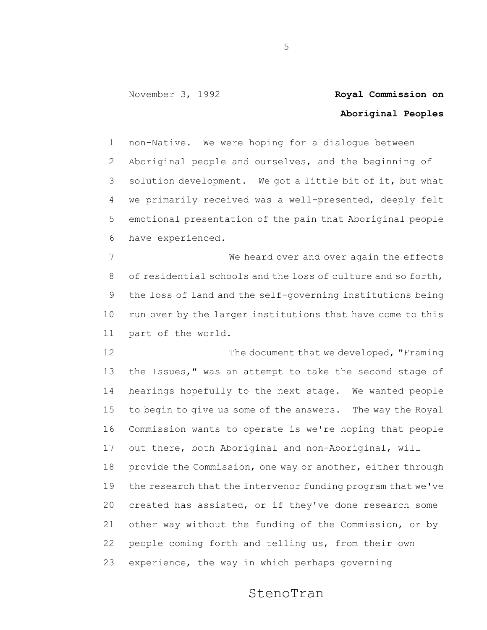## **Aboriginal Peoples**

 non-Native. We were hoping for a dialogue between Aboriginal people and ourselves, and the beginning of solution development. We got a little bit of it, but what we primarily received was a well-presented, deeply felt emotional presentation of the pain that Aboriginal people have experienced.

7 Me heard over and over again the effects of residential schools and the loss of culture and so forth, the loss of land and the self-governing institutions being run over by the larger institutions that have come to this part of the world.

12 The document that we developed, "Framing" the Issues," was an attempt to take the second stage of hearings hopefully to the next stage. We wanted people to begin to give us some of the answers. The way the Royal Commission wants to operate is we're hoping that people

 out there, both Aboriginal and non-Aboriginal, will provide the Commission, one way or another, either through the research that the intervenor funding program that we've created has assisted, or if they've done research some other way without the funding of the Commission, or by people coming forth and telling us, from their own experience, the way in which perhaps governing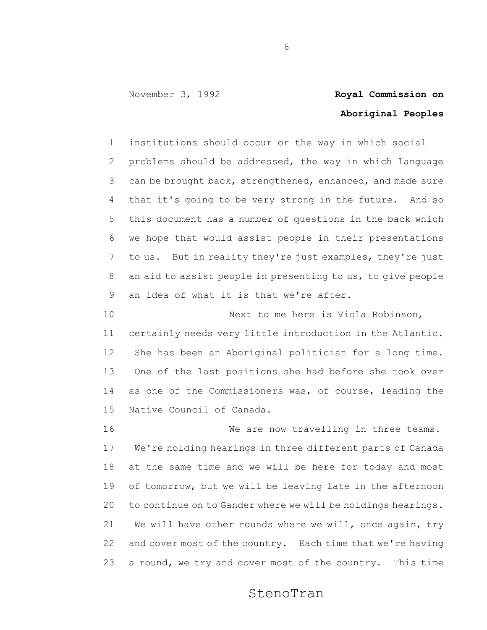# **Aboriginal Peoples**

 institutions should occur or the way in which social problems should be addressed, the way in which language can be brought back, strengthened, enhanced, and made sure that it's going to be very strong in the future. And so this document has a number of questions in the back which we hope that would assist people in their presentations to us. But in reality they're just examples, they're just an aid to assist people in presenting to us, to give people an idea of what it is that we're after.

 Next to me here is Viola Robinson, certainly needs very little introduction in the Atlantic. She has been an Aboriginal politician for a long time. One of the last positions she had before she took over as one of the Commissioners was, of course, leading the Native Council of Canada.

16 We are now travelling in three teams. We're holding hearings in three different parts of Canada at the same time and we will be here for today and most of tomorrow, but we will be leaving late in the afternoon to continue on to Gander where we will be holdings hearings. We will have other rounds where we will, once again, try and cover most of the country. Each time that we're having a round, we try and cover most of the country. This time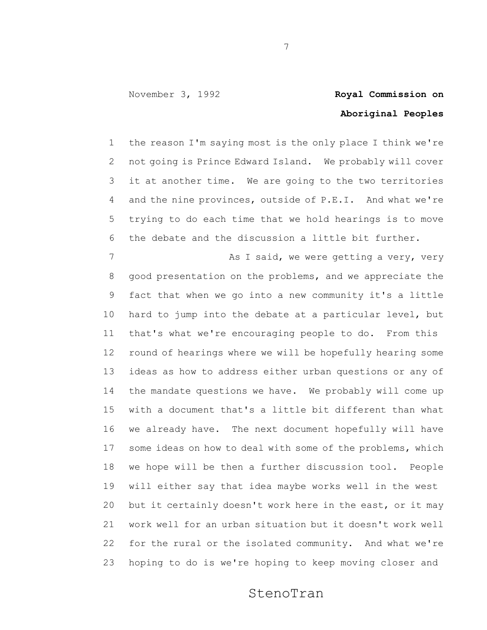## **Aboriginal Peoples**

 the reason I'm saying most is the only place I think we're not going is Prince Edward Island. We probably will cover it at another time. We are going to the two territories and the nine provinces, outside of P.E.I. And what we're trying to do each time that we hold hearings is to move the debate and the discussion a little bit further.

7 As I said, we were getting a very, very good presentation on the problems, and we appreciate the fact that when we go into a new community it's a little hard to jump into the debate at a particular level, but that's what we're encouraging people to do. From this round of hearings where we will be hopefully hearing some ideas as how to address either urban questions or any of the mandate questions we have. We probably will come up with a document that's a little bit different than what we already have. The next document hopefully will have some ideas on how to deal with some of the problems, which we hope will be then a further discussion tool. People will either say that idea maybe works well in the west but it certainly doesn't work here in the east, or it may work well for an urban situation but it doesn't work well for the rural or the isolated community. And what we're hoping to do is we're hoping to keep moving closer and

### StenoTran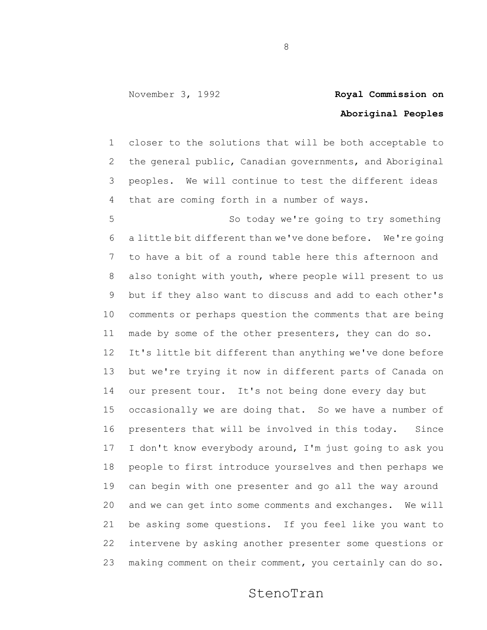## **Aboriginal Peoples**

 closer to the solutions that will be both acceptable to the general public, Canadian governments, and Aboriginal peoples. We will continue to test the different ideas that are coming forth in a number of ways.

 So today we're going to try something a little bit different than we've done before. We're going to have a bit of a round table here this afternoon and also tonight with youth, where people will present to us but if they also want to discuss and add to each other's comments or perhaps question the comments that are being made by some of the other presenters, they can do so. It's little bit different than anything we've done before but we're trying it now in different parts of Canada on our present tour. It's not being done every day but occasionally we are doing that. So we have a number of presenters that will be involved in this today. Since I don't know everybody around, I'm just going to ask you people to first introduce yourselves and then perhaps we can begin with one presenter and go all the way around and we can get into some comments and exchanges. We will be asking some questions. If you feel like you want to intervene by asking another presenter some questions or making comment on their comment, you certainly can do so.

StenoTran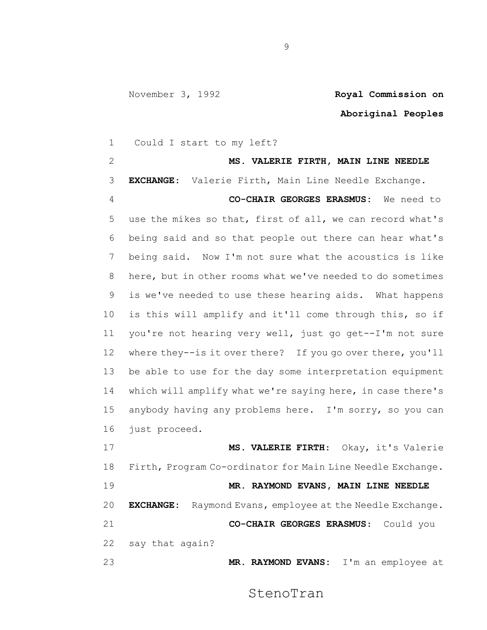**Aboriginal Peoples**

 Could I start to my left? **MS. VALERIE FIRTH, MAIN LINE NEEDLE EXCHANGE**: Valerie Firth, Main Line Needle Exchange. **CO-CHAIR GEORGES ERASMUS:** We need to use the mikes so that, first of all, we can record what's being said and so that people out there can hear what's being said. Now I'm not sure what the acoustics is like here, but in other rooms what we've needed to do sometimes is we've needed to use these hearing aids. What happens is this will amplify and it'll come through this, so if you're not hearing very well, just go get--I'm not sure where they--is it over there? If you go over there, you'll be able to use for the day some interpretation equipment which will amplify what we're saying here, in case there's anybody having any problems here. I'm sorry, so you can just proceed. **MS. VALERIE FIRTH**: Okay, it's Valerie Firth, Program Co-ordinator for Main Line Needle Exchange. **MR. RAYMOND EVANS, MAIN LINE NEEDLE EXCHANGE:** Raymond Evans, employee at the Needle Exchange. **CO-CHAIR GEORGES ERASMUS**: Could you say that again? **MR. RAYMOND EVANS:** I'm an employee at

StenoTran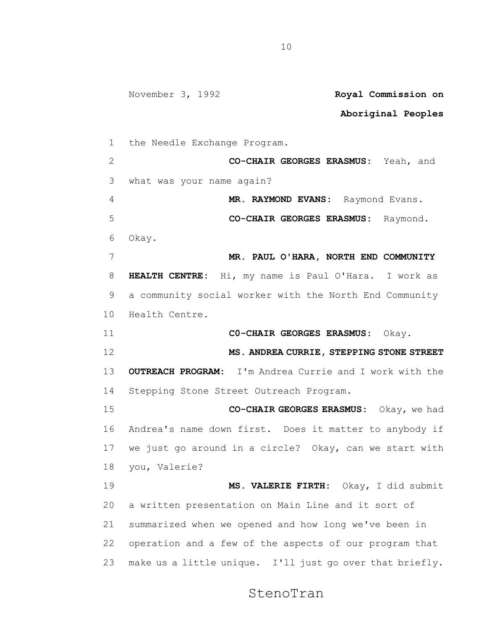November 3, 1992 **Royal Commission on Aboriginal Peoples** the Needle Exchange Program. **CO-CHAIR GEORGES ERASMUS:** Yeah, and what was your name again? **MR. RAYMOND EVANS:** Raymond Evans. **CO-CHAIR GEORGES ERASMUS:** Raymond. Okay. **MR. PAUL O'HARA, NORTH END COMMUNITY HEALTH CENTRE:** Hi, my name is Paul O'Hara. I work as a community social worker with the North End Community Health Centre. **C0-CHAIR GEORGES ERASMUS:** Okay. **MS. ANDREA CURRIE, STEPPING STONE STREET OUTREACH PROGRAM:** I'm Andrea Currie and I work with the Stepping Stone Street Outreach Program. **CO-CHAIR GEORGES ERASMUS:** Okay, we had Andrea's name down first. Does it matter to anybody if we just go around in a circle? Okay, can we start with you, Valerie? **MS. VALERIE FIRTH:** Okay, I did submit a written presentation on Main Line and it sort of summarized when we opened and how long we've been in operation and a few of the aspects of our program that make us a little unique. I'll just go over that briefly.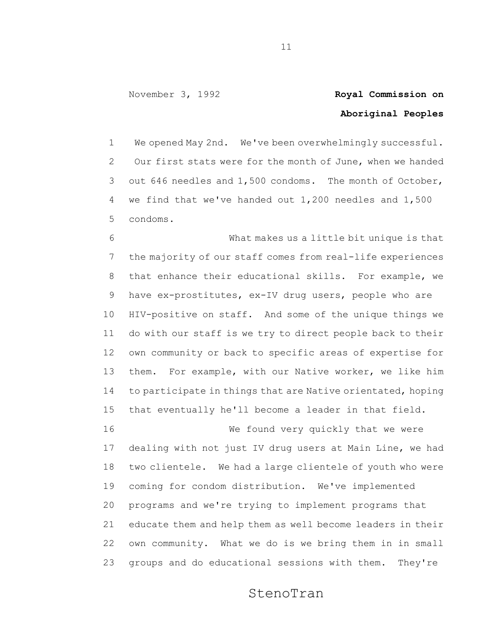## **Aboriginal Peoples**

 We opened May 2nd. We've been overwhelmingly successful. Our first stats were for the month of June, when we handed out 646 needles and 1,500 condoms. The month of October, we find that we've handed out 1,200 needles and 1,500 condoms.

 What makes us a little bit unique is that the majority of our staff comes from real-life experiences that enhance their educational skills. For example, we have ex-prostitutes, ex-IV drug users, people who are HIV-positive on staff. And some of the unique things we do with our staff is we try to direct people back to their own community or back to specific areas of expertise for them. For example, with our Native worker, we like him to participate in things that are Native orientated, hoping that eventually he'll become a leader in that field.

16 We found very quickly that we were dealing with not just IV drug users at Main Line, we had two clientele. We had a large clientele of youth who were coming for condom distribution. We've implemented programs and we're trying to implement programs that educate them and help them as well become leaders in their own community. What we do is we bring them in in small 23 groups and do educational sessions with them. They're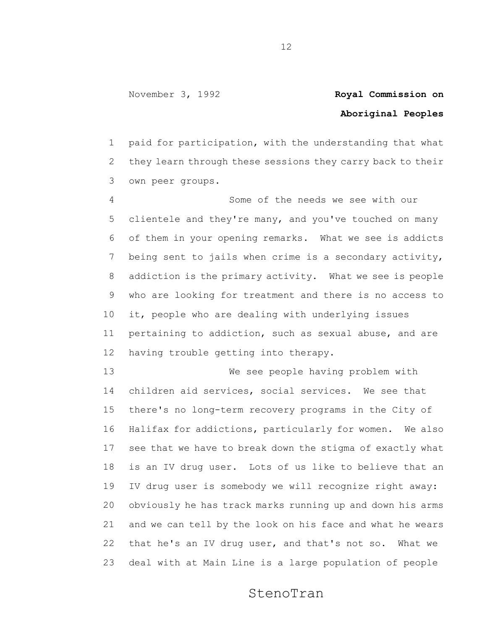## **Aboriginal Peoples**

 paid for participation, with the understanding that what they learn through these sessions they carry back to their own peer groups.

 Some of the needs we see with our clientele and they're many, and you've touched on many of them in your opening remarks. What we see is addicts being sent to jails when crime is a secondary activity, addiction is the primary activity. What we see is people who are looking for treatment and there is no access to it, people who are dealing with underlying issues pertaining to addiction, such as sexual abuse, and are having trouble getting into therapy.

 We see people having problem with children aid services, social services. We see that there's no long-term recovery programs in the City of Halifax for addictions, particularly for women. We also see that we have to break down the stigma of exactly what is an IV drug user. Lots of us like to believe that an IV drug user is somebody we will recognize right away: obviously he has track marks running up and down his arms and we can tell by the look on his face and what he wears that he's an IV drug user, and that's not so. What we deal with at Main Line is a large population of people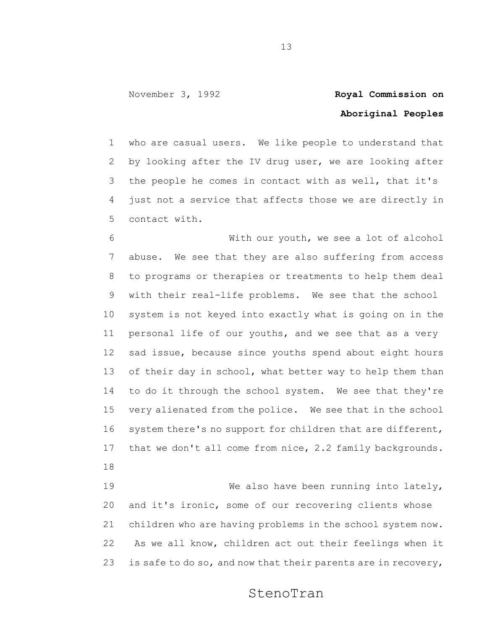## **Aboriginal Peoples**

 who are casual users. We like people to understand that by looking after the IV drug user, we are looking after the people he comes in contact with as well, that it's just not a service that affects those we are directly in contact with.

 With our youth, we see a lot of alcohol abuse. We see that they are also suffering from access to programs or therapies or treatments to help them deal with their real-life problems. We see that the school system is not keyed into exactly what is going on in the personal life of our youths, and we see that as a very sad issue, because since youths spend about eight hours 13 of their day in school, what better way to help them than 14 to do it through the school system. We see that they're very alienated from the police. We see that in the school system there's no support for children that are different, that we don't all come from nice, 2.2 family backgrounds. 

 We also have been running into lately, and it's ironic, some of our recovering clients whose children who are having problems in the school system now. As we all know, children act out their feelings when it 23 is safe to do so, and now that their parents are in recovery,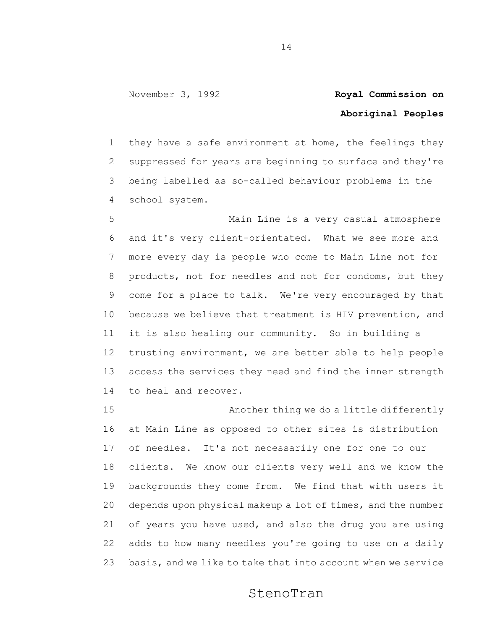## **Aboriginal Peoples**

 they have a safe environment at home, the feelings they suppressed for years are beginning to surface and they're being labelled as so-called behaviour problems in the school system.

 Main Line is a very casual atmosphere and it's very client-orientated. What we see more and more every day is people who come to Main Line not for products, not for needles and not for condoms, but they come for a place to talk. We're very encouraged by that because we believe that treatment is HIV prevention, and it is also healing our community. So in building a trusting environment, we are better able to help people access the services they need and find the inner strength to heal and recover.

 Another thing we do a little differently at Main Line as opposed to other sites is distribution of needles. It's not necessarily one for one to our clients. We know our clients very well and we know the backgrounds they come from. We find that with users it depends upon physical makeup a lot of times, and the number of years you have used, and also the drug you are using adds to how many needles you're going to use on a daily basis, and we like to take that into account when we service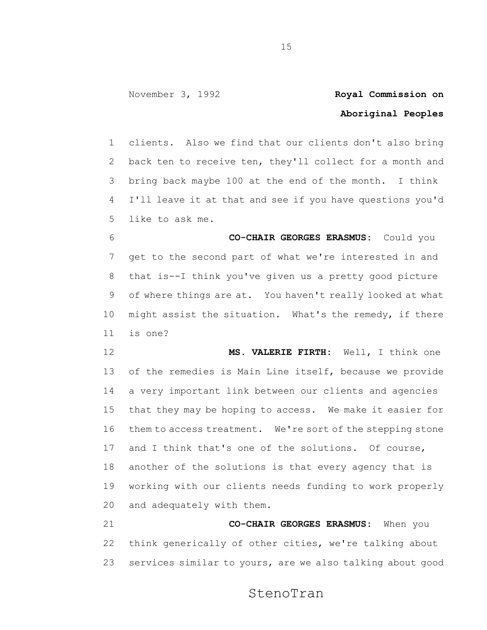## **Aboriginal Peoples**

 clients. Also we find that our clients don't also bring back ten to receive ten, they'll collect for a month and bring back maybe 100 at the end of the month. I think I'll leave it at that and see if you have questions you'd like to ask me.

 **CO-CHAIR GEORGES ERASMUS:** Could you get to the second part of what we're interested in and that is--I think you've given us a pretty good picture of where things are at. You haven't really looked at what might assist the situation. What's the remedy, if there is one?

 **MS. VALERIE FIRTH:** Well, I think one of the remedies is Main Line itself, because we provide a very important link between our clients and agencies that they may be hoping to access. We make it easier for them to access treatment. We're sort of the stepping stone and I think that's one of the solutions. Of course, another of the solutions is that every agency that is working with our clients needs funding to work properly and adequately with them.

 **CO-CHAIR GEORGES ERASMUS:** When you think generically of other cities, we're talking about services similar to yours, are we also talking about good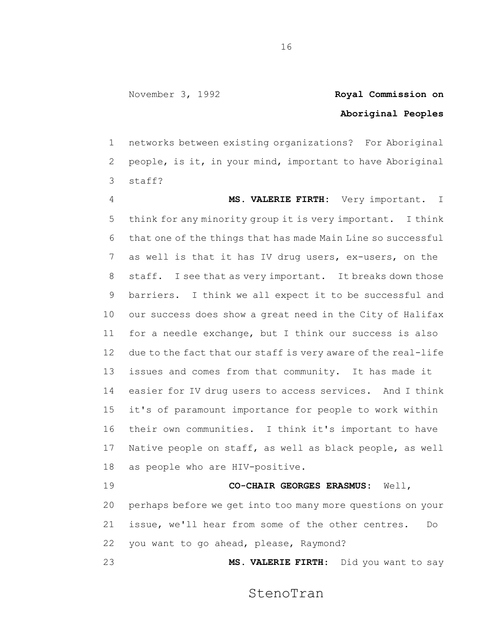## **Aboriginal Peoples**

 networks between existing organizations? For Aboriginal people, is it, in your mind, important to have Aboriginal staff?

 **MS. VALERIE FIRTH:** Very important. I think for any minority group it is very important. I think that one of the things that has made Main Line so successful as well is that it has IV drug users, ex-users, on the staff. I see that as very important. It breaks down those barriers. I think we all expect it to be successful and our success does show a great need in the City of Halifax for a needle exchange, but I think our success is also due to the fact that our staff is very aware of the real-life issues and comes from that community. It has made it easier for IV drug users to access services. And I think it's of paramount importance for people to work within their own communities. I think it's important to have Native people on staff, as well as black people, as well as people who are HIV-positive.

 **CO-CHAIR GEORGES ERASMUS:** Well, perhaps before we get into too many more questions on your issue, we'll hear from some of the other centres. Do you want to go ahead, please, Raymond?

**MS. VALERIE FIRTH**: Did you want to say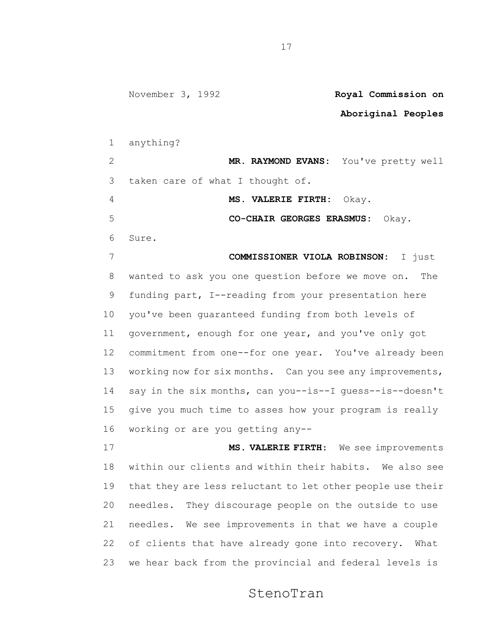### **Aboriginal Peoples**

anything?

 **MR. RAYMOND EVANS:** You've pretty well taken care of what I thought of.

**MS. VALERIE FIRTH:** Okay.

**CO-CHAIR GEORGES ERASMUS:** Okay.

Sure.

 **COMMISSIONER VIOLA ROBINSON:** I just wanted to ask you one question before we move on. The funding part, I--reading from your presentation here you've been guaranteed funding from both levels of government, enough for one year, and you've only got commitment from one--for one year. You've already been 13 working now for six months. Can you see any improvements, say in the six months, can you--is--I guess--is--doesn't give you much time to asses how your program is really working or are you getting any--

 **MS. VALERIE FIRTH**: We see improvements within our clients and within their habits. We also see that they are less reluctant to let other people use their needles. They discourage people on the outside to use needles. We see improvements in that we have a couple of clients that have already gone into recovery. What we hear back from the provincial and federal levels is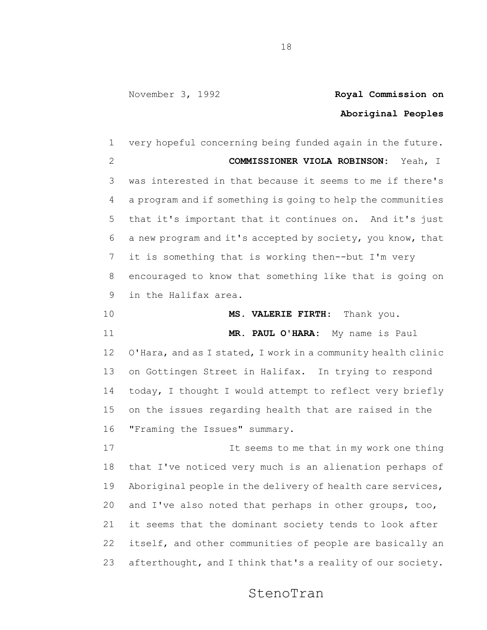#### **Aboriginal Peoples**

 very hopeful concerning being funded again in the future. **COMMISSIONER VIOLA ROBINSON:** Yeah, I was interested in that because it seems to me if there's a program and if something is going to help the communities that it's important that it continues on. And it's just a new program and it's accepted by society, you know, that it is something that is working then--but I'm very encouraged to know that something like that is going on in the Halifax area. **MS. VALERIE FIRTH**: Thank you. **MR. PAUL O'HARA:** My name is Paul O'Hara, and as I stated, I work in a community health clinic on Gottingen Street in Halifax. In trying to respond today, I thought I would attempt to reflect very briefly on the issues regarding health that are raised in the "Framing the Issues" summary. It seems to me that in my work one thing that I've noticed very much is an alienation perhaps of Aboriginal people in the delivery of health care services, and I've also noted that perhaps in other groups, too, it seems that the dominant society tends to look after itself, and other communities of people are basically an afterthought, and I think that's a reality of our society.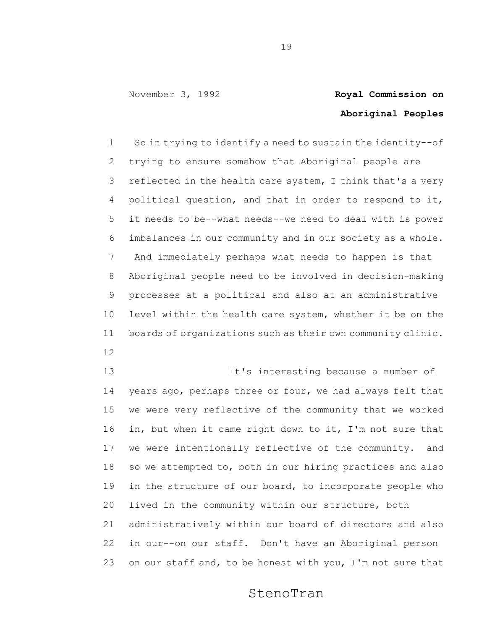## **Aboriginal Peoples**

 So in trying to identify a need to sustain the identity--of trying to ensure somehow that Aboriginal people are 3 reflected in the health care system, I think that's a very political question, and that in order to respond to it, it needs to be--what needs--we need to deal with is power imbalances in our community and in our society as a whole. And immediately perhaps what needs to happen is that Aboriginal people need to be involved in decision-making processes at a political and also at an administrative level within the health care system, whether it be on the boards of organizations such as their own community clinic.

- 
- It's interesting because a number of years ago, perhaps three or four, we had always felt that we were very reflective of the community that we worked in, but when it came right down to it, I'm not sure that we were intentionally reflective of the community. and so we attempted to, both in our hiring practices and also in the structure of our board, to incorporate people who lived in the community within our structure, both administratively within our board of directors and also in our--on our staff. Don't have an Aboriginal person 23 on our staff and, to be honest with you, I'm not sure that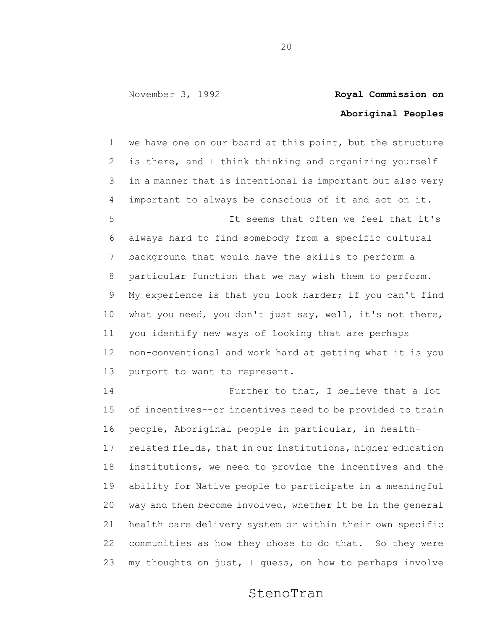## **Aboriginal Peoples**

 we have one on our board at this point, but the structure is there, and I think thinking and organizing yourself in a manner that is intentional is important but also very important to always be conscious of it and act on it. It seems that often we feel that it's always hard to find somebody from a specific cultural background that would have the skills to perform a particular function that we may wish them to perform. My experience is that you look harder; if you can't find what you need, you don't just say, well, it's not there, you identify new ways of looking that are perhaps non-conventional and work hard at getting what it is you purport to want to represent.

 Further to that, I believe that a lot of incentives--or incentives need to be provided to train people, Aboriginal people in particular, in health- related fields, that in our institutions, higher education institutions, we need to provide the incentives and the ability for Native people to participate in a meaningful way and then become involved, whether it be in the general health care delivery system or within their own specific communities as how they chose to do that. So they were my thoughts on just, I guess, on how to perhaps involve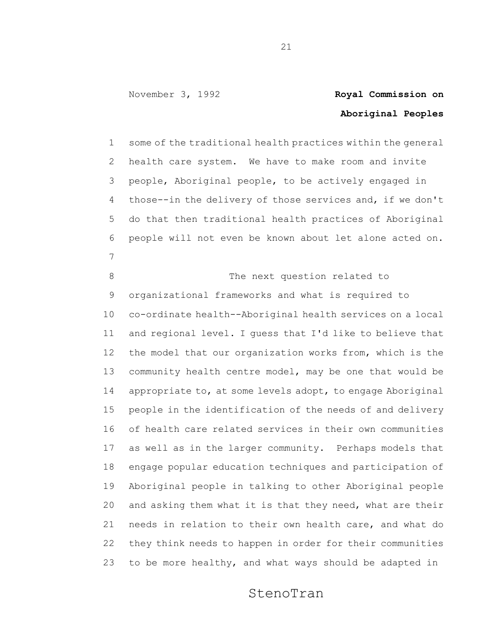## **Aboriginal Peoples**

 some of the traditional health practices within the general health care system. We have to make room and invite people, Aboriginal people, to be actively engaged in those--in the delivery of those services and, if we don't do that then traditional health practices of Aboriginal people will not even be known about let alone acted on. 

8 The next question related to organizational frameworks and what is required to co-ordinate health--Aboriginal health services on a local and regional level. I guess that I'd like to believe that the model that our organization works from, which is the community health centre model, may be one that would be appropriate to, at some levels adopt, to engage Aboriginal people in the identification of the needs of and delivery of health care related services in their own communities as well as in the larger community. Perhaps models that engage popular education techniques and participation of Aboriginal people in talking to other Aboriginal people and asking them what it is that they need, what are their needs in relation to their own health care, and what do they think needs to happen in order for their communities to be more healthy, and what ways should be adapted in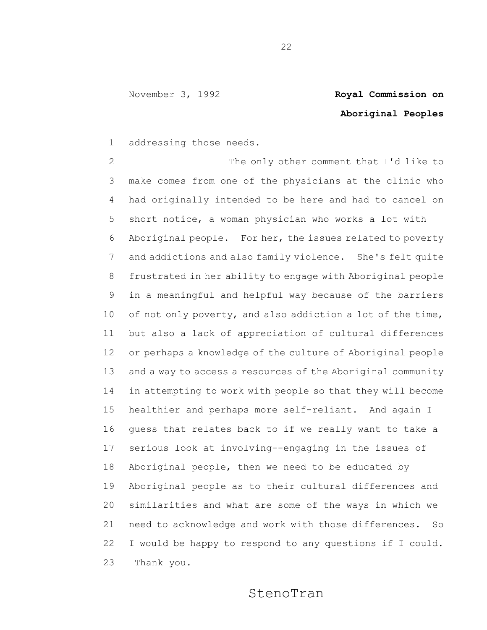# **Aboriginal Peoples**

addressing those needs.

2 The only other comment that I'd like to make comes from one of the physicians at the clinic who had originally intended to be here and had to cancel on short notice, a woman physician who works a lot with Aboriginal people. For her, the issues related to poverty and addictions and also family violence. She's felt quite frustrated in her ability to engage with Aboriginal people in a meaningful and helpful way because of the barriers 10 of not only poverty, and also addiction a lot of the time, but also a lack of appreciation of cultural differences or perhaps a knowledge of the culture of Aboriginal people and a way to access a resources of the Aboriginal community in attempting to work with people so that they will become healthier and perhaps more self-reliant. And again I guess that relates back to if we really want to take a serious look at involving--engaging in the issues of Aboriginal people, then we need to be educated by Aboriginal people as to their cultural differences and similarities and what are some of the ways in which we need to acknowledge and work with those differences. So I would be happy to respond to any questions if I could. Thank you.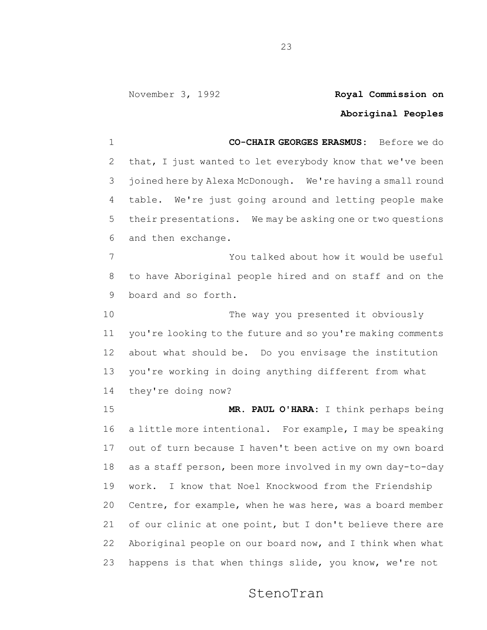## **Aboriginal Peoples**

 **CO-CHAIR GEORGES ERASMUS:** Before we do that, I just wanted to let everybody know that we've been joined here by Alexa McDonough. We're having a small round table. We're just going around and letting people make their presentations. We may be asking one or two questions and then exchange. You talked about how it would be useful to have Aboriginal people hired and on staff and on the board and so forth. The way you presented it obviously you're looking to the future and so you're making comments about what should be. Do you envisage the institution you're working in doing anything different from what they're doing now? **MR. PAUL O'HARA:** I think perhaps being a little more intentional. For example, I may be speaking out of turn because I haven't been active on my own board as a staff person, been more involved in my own day-to-day

 work. I know that Noel Knockwood from the Friendship Centre, for example, when he was here, was a board member 21 of our clinic at one point, but I don't believe there are Aboriginal people on our board now, and I think when what happens is that when things slide, you know, we're not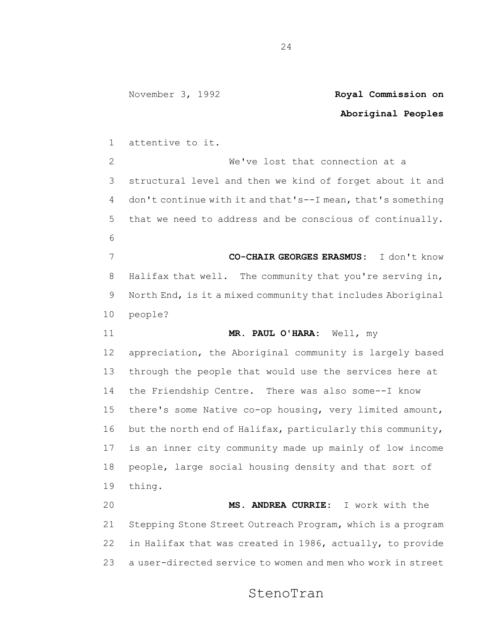## **Aboriginal Peoples** attentive to it. We've lost that connection at a

 structural level and then we kind of forget about it and don't continue with it and that's--I mean, that's something that we need to address and be conscious of continually. **CO-CHAIR GEORGES ERASMUS:** I don't know Halifax that well. The community that you're serving in, North End, is it a mixed community that includes Aboriginal

- people?
- **MR. PAUL O'HARA:** Well, my

 appreciation, the Aboriginal community is largely based through the people that would use the services here at the Friendship Centre. There was also some--I know there's some Native co-op housing, very limited amount, but the north end of Halifax, particularly this community, is an inner city community made up mainly of low income people, large social housing density and that sort of thing.

 **MS. ANDREA CURRIE:** I work with the Stepping Stone Street Outreach Program, which is a program in Halifax that was created in 1986, actually, to provide a user-directed service to women and men who work in street

### StenoTran

November 3, 1992 **Royal Commission on**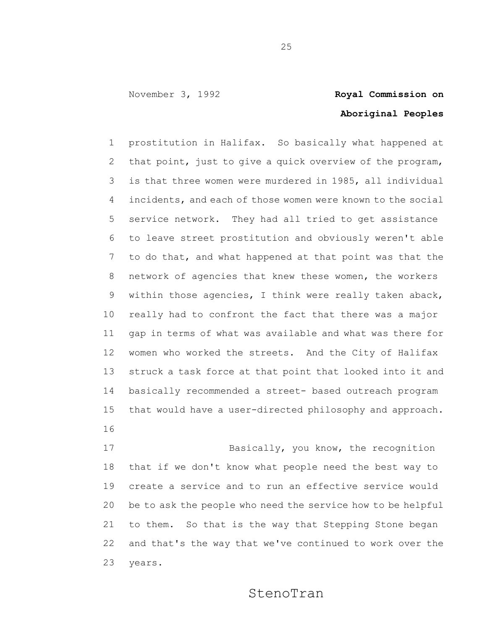## **Aboriginal Peoples**

 prostitution in Halifax. So basically what happened at that point, just to give a quick overview of the program, is that three women were murdered in 1985, all individual incidents, and each of those women were known to the social service network. They had all tried to get assistance to leave street prostitution and obviously weren't able to do that, and what happened at that point was that the network of agencies that knew these women, the workers within those agencies, I think were really taken aback, really had to confront the fact that there was a major gap in terms of what was available and what was there for women who worked the streets. And the City of Halifax struck a task force at that point that looked into it and basically recommended a street- based outreach program that would have a user-directed philosophy and approach.

17 Basically, you know, the recognition that if we don't know what people need the best way to create a service and to run an effective service would be to ask the people who need the service how to be helpful to them. So that is the way that Stepping Stone began and that's the way that we've continued to work over the years.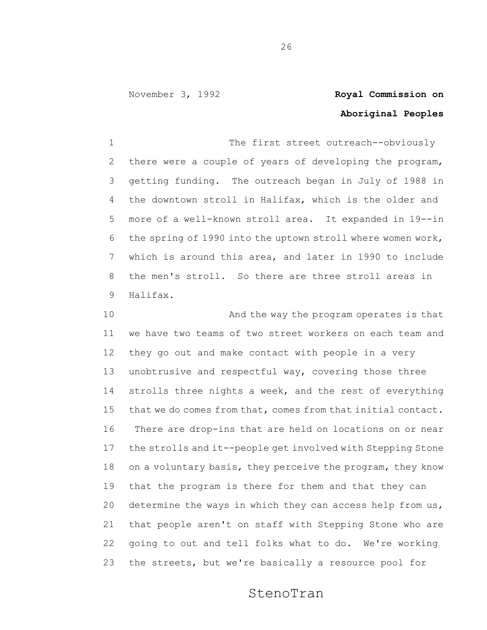## **Aboriginal Peoples**

1 The first street outreach--obviously there were a couple of years of developing the program, getting funding. The outreach began in July of 1988 in the downtown stroll in Halifax, which is the older and more of a well-known stroll area. It expanded in 19--in the spring of 1990 into the uptown stroll where women work, which is around this area, and later in 1990 to include the men's stroll. So there are three stroll areas in Halifax.

10 And the way the program operates is that we have two teams of two street workers on each team and they go out and make contact with people in a very 13 unobtrusive and respectful way, covering those three strolls three nights a week, and the rest of everything that we do comes from that, comes from that initial contact. There are drop-ins that are held on locations on or near the strolls and it--people get involved with Stepping Stone on a voluntary basis, they perceive the program, they know that the program is there for them and that they can 20 determine the ways in which they can access help from  $us<sub>r</sub>$  that people aren't on staff with Stepping Stone who are going to out and tell folks what to do. We're working the streets, but we're basically a resource pool for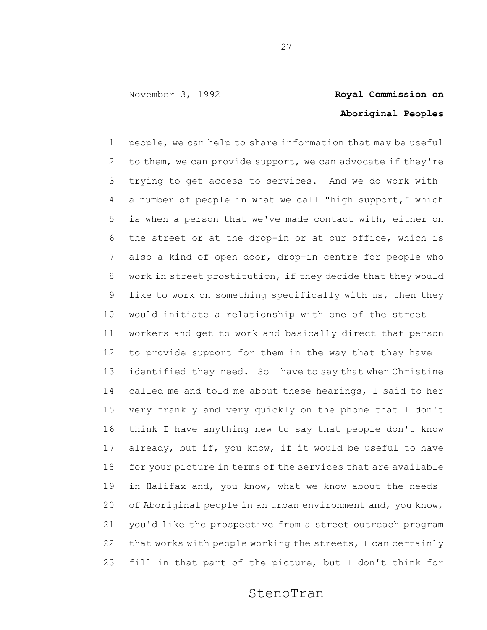## **Aboriginal Peoples**

 people, we can help to share information that may be useful 2 to them, we can provide support, we can advocate if they're trying to get access to services. And we do work with a number of people in what we call "high support," which is when a person that we've made contact with, either on the street or at the drop-in or at our office, which is also a kind of open door, drop-in centre for people who work in street prostitution, if they decide that they would like to work on something specifically with us, then they would initiate a relationship with one of the street workers and get to work and basically direct that person to provide support for them in the way that they have 13 identified they need. So I have to say that when Christine called me and told me about these hearings, I said to her very frankly and very quickly on the phone that I don't think I have anything new to say that people don't know already, but if, you know, if it would be useful to have for your picture in terms of the services that are available in Halifax and, you know, what we know about the needs of Aboriginal people in an urban environment and, you know, you'd like the prospective from a street outreach program that works with people working the streets, I can certainly fill in that part of the picture, but I don't think for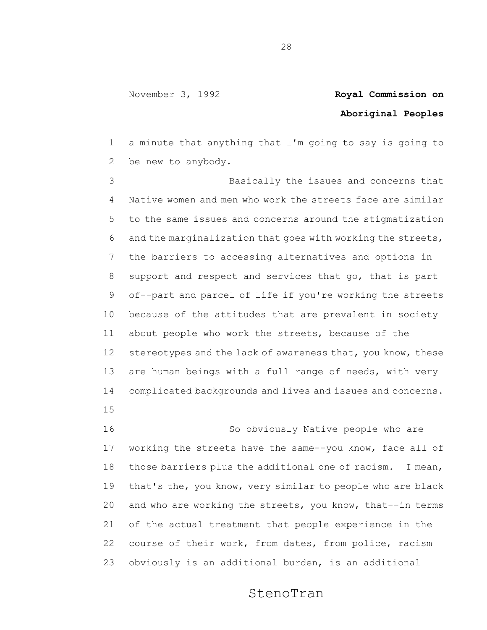## **Aboriginal Peoples**

 a minute that anything that I'm going to say is going to be new to anybody.

 Basically the issues and concerns that Native women and men who work the streets face are similar to the same issues and concerns around the stigmatization and the marginalization that goes with working the streets, the barriers to accessing alternatives and options in support and respect and services that go, that is part of--part and parcel of life if you're working the streets because of the attitudes that are prevalent in society about people who work the streets, because of the 12 stereotypes and the lack of awareness that, you know, these 13 are human beings with a full range of needs, with very complicated backgrounds and lives and issues and concerns. 

 So obviously Native people who are working the streets have the same--you know, face all of those barriers plus the additional one of racism. I mean, that's the, you know, very similar to people who are black and who are working the streets, you know, that--in terms of the actual treatment that people experience in the course of their work, from dates, from police, racism obviously is an additional burden, is an additional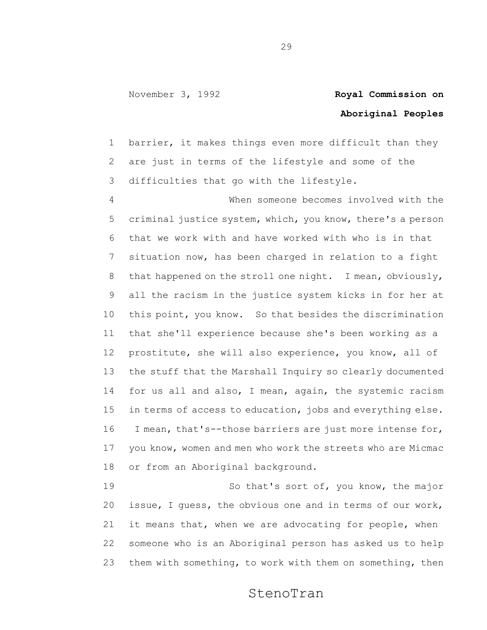## **Aboriginal Peoples**

 barrier, it makes things even more difficult than they are just in terms of the lifestyle and some of the difficulties that go with the lifestyle.

 When someone becomes involved with the criminal justice system, which, you know, there's a person that we work with and have worked with who is in that situation now, has been charged in relation to a fight that happened on the stroll one night. I mean, obviously, all the racism in the justice system kicks in for her at this point, you know. So that besides the discrimination that she'll experience because she's been working as a prostitute, she will also experience, you know, all of the stuff that the Marshall Inquiry so clearly documented 14 for us all and also, I mean, again, the systemic racism in terms of access to education, jobs and everything else. I mean, that's--those barriers are just more intense for, you know, women and men who work the streets who are Micmac or from an Aboriginal background.

 So that's sort of, you know, the major issue, I guess, the obvious one and in terms of our work, it means that, when we are advocating for people, when someone who is an Aboriginal person has asked us to help them with something, to work with them on something, then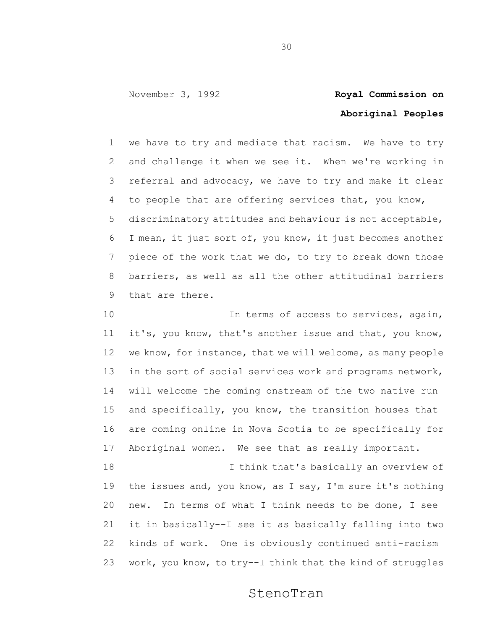## **Aboriginal Peoples**

 we have to try and mediate that racism. We have to try and challenge it when we see it. When we're working in referral and advocacy, we have to try and make it clear to people that are offering services that, you know, discriminatory attitudes and behaviour is not acceptable, I mean, it just sort of, you know, it just becomes another piece of the work that we do, to try to break down those barriers, as well as all the other attitudinal barriers that are there.

10 10 In terms of access to services, again, it's, you know, that's another issue and that, you know, we know, for instance, that we will welcome, as many people 13 in the sort of social services work and programs network, will welcome the coming onstream of the two native run and specifically, you know, the transition houses that are coming online in Nova Scotia to be specifically for Aboriginal women. We see that as really important. I think that's basically an overview of the issues and, you know, as I say, I'm sure it's nothing new. In terms of what I think needs to be done, I see

 it in basically--I see it as basically falling into two kinds of work. One is obviously continued anti-racism work, you know, to try--I think that the kind of struggles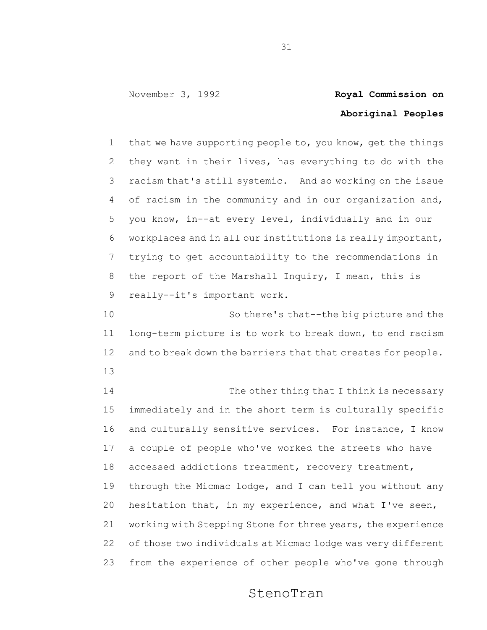## **Aboriginal Peoples**

 that we have supporting people to, you know, get the things they want in their lives, has everything to do with the racism that's still systemic. And so working on the issue of racism in the community and in our organization and, you know, in--at every level, individually and in our workplaces and in all our institutions is really important, trying to get accountability to the recommendations in the report of the Marshall Inquiry, I mean, this is really--it's important work.

 So there's that--the big picture and the long-term picture is to work to break down, to end racism 12 and to break down the barriers that that creates for people. 

14 The other thing that I think is necessary immediately and in the short term is culturally specific and culturally sensitive services. For instance, I know a couple of people who've worked the streets who have accessed addictions treatment, recovery treatment, through the Micmac lodge, and I can tell you without any hesitation that, in my experience, and what I've seen, working with Stepping Stone for three years, the experience of those two individuals at Micmac lodge was very different from the experience of other people who've gone through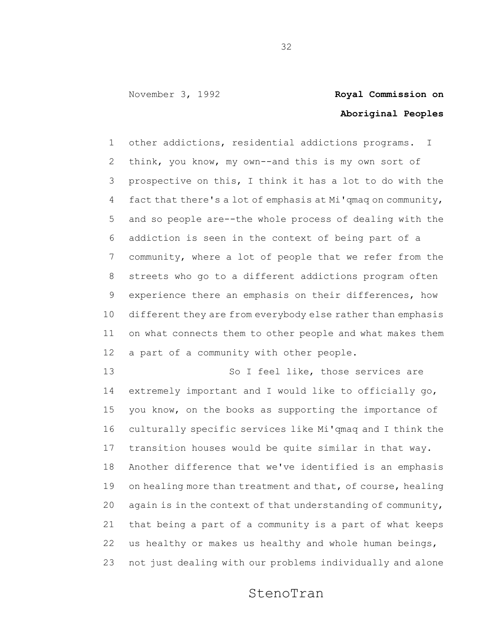## **Aboriginal Peoples**

 other addictions, residential addictions programs. I think, you know, my own--and this is my own sort of prospective on this, I think it has a lot to do with the fact that there's a lot of emphasis at Mi'qmaq on community, and so people are--the whole process of dealing with the addiction is seen in the context of being part of a community, where a lot of people that we refer from the streets who go to a different addictions program often experience there an emphasis on their differences, how different they are from everybody else rather than emphasis on what connects them to other people and what makes them a part of a community with other people.

 So I feel like, those services are extremely important and I would like to officially go, you know, on the books as supporting the importance of culturally specific services like Mi'qmaq and I think the transition houses would be quite similar in that way. Another difference that we've identified is an emphasis 19 on healing more than treatment and that, of course, healing 20 again is in the context of that understanding of community, that being a part of a community is a part of what keeps us healthy or makes us healthy and whole human beings, not just dealing with our problems individually and alone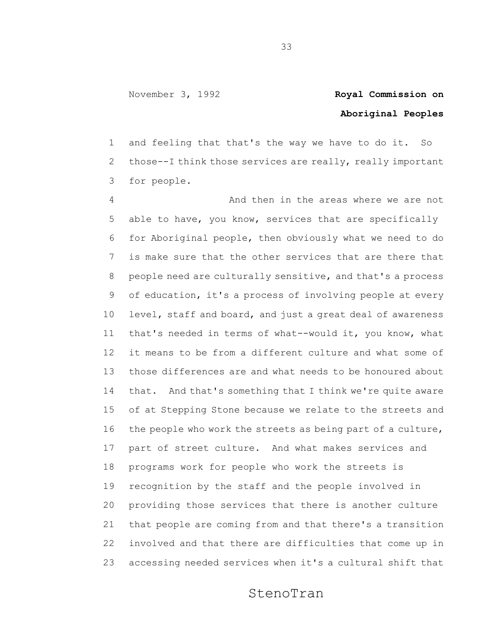## **Aboriginal Peoples**

 and feeling that that's the way we have to do it. So those--I think those services are really, really important for people.

 And then in the areas where we are not able to have, you know, services that are specifically for Aboriginal people, then obviously what we need to do is make sure that the other services that are there that people need are culturally sensitive, and that's a process of education, it's a process of involving people at every level, staff and board, and just a great deal of awareness that's needed in terms of what--would it, you know, what it means to be from a different culture and what some of those differences are and what needs to be honoured about that. And that's something that I think we're quite aware of at Stepping Stone because we relate to the streets and the people who work the streets as being part of a culture, part of street culture. And what makes services and programs work for people who work the streets is recognition by the staff and the people involved in providing those services that there is another culture that people are coming from and that there's a transition involved and that there are difficulties that come up in accessing needed services when it's a cultural shift that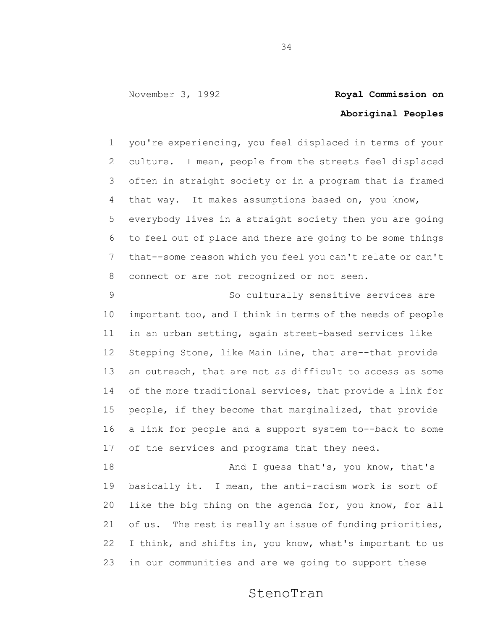## **Aboriginal Peoples**

 you're experiencing, you feel displaced in terms of your culture. I mean, people from the streets feel displaced often in straight society or in a program that is framed that way. It makes assumptions based on, you know, everybody lives in a straight society then you are going to feel out of place and there are going to be some things that--some reason which you feel you can't relate or can't connect or are not recognized or not seen.

 So culturally sensitive services are important too, and I think in terms of the needs of people in an urban setting, again street-based services like Stepping Stone, like Main Line, that are--that provide an outreach, that are not as difficult to access as some of the more traditional services, that provide a link for people, if they become that marginalized, that provide a link for people and a support system to--back to some of the services and programs that they need.

18 And I guess that's, you know, that's basically it. I mean, the anti-racism work is sort of like the big thing on the agenda for, you know, for all of us. The rest is really an issue of funding priorities, I think, and shifts in, you know, what's important to us in our communities and are we going to support these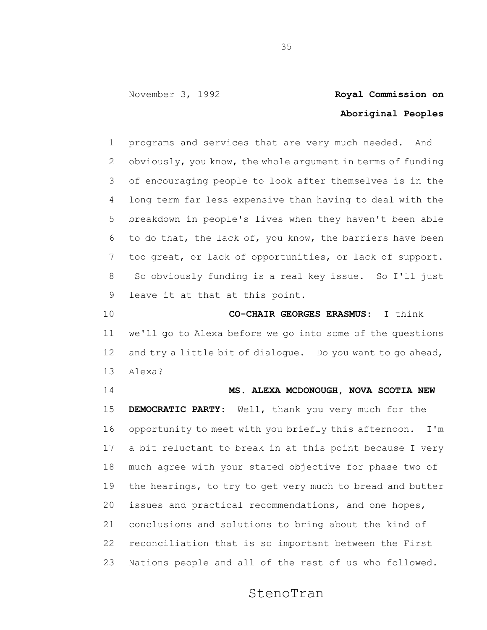### **Aboriginal Peoples**

 programs and services that are very much needed. And obviously, you know, the whole argument in terms of funding of encouraging people to look after themselves is in the long term far less expensive than having to deal with the breakdown in people's lives when they haven't been able to do that, the lack of, you know, the barriers have been too great, or lack of opportunities, or lack of support. So obviously funding is a real key issue. So I'll just leave it at that at this point.

 **CO-CHAIR GEORGES ERASMUS:** I think we'll go to Alexa before we go into some of the questions and try a little bit of dialogue. Do you want to go ahead, Alexa?

 **MS. ALEXA MCDONOUGH, NOVA SCOTIA NEW DEMOCRATIC PARTY:** Well, thank you very much for the opportunity to meet with you briefly this afternoon. I'm a bit reluctant to break in at this point because I very much agree with your stated objective for phase two of the hearings, to try to get very much to bread and butter issues and practical recommendations, and one hopes, conclusions and solutions to bring about the kind of reconciliation that is so important between the First Nations people and all of the rest of us who followed.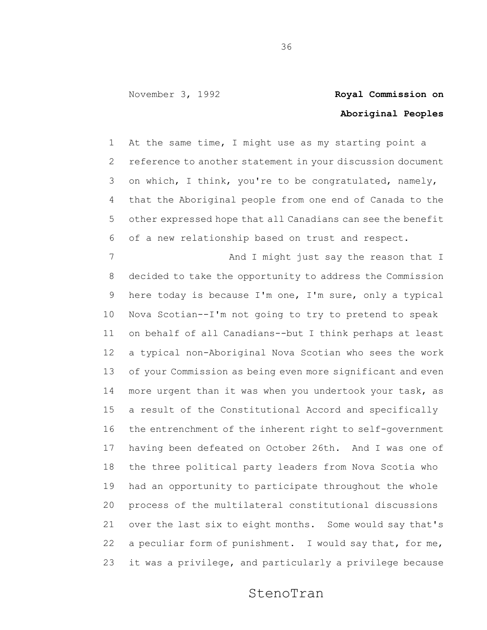## **Aboriginal Peoples**

 At the same time, I might use as my starting point a reference to another statement in your discussion document on which, I think, you're to be congratulated, namely, that the Aboriginal people from one end of Canada to the other expressed hope that all Canadians can see the benefit of a new relationship based on trust and respect.

7 And I might just say the reason that I decided to take the opportunity to address the Commission here today is because I'm one, I'm sure, only a typical Nova Scotian--I'm not going to try to pretend to speak on behalf of all Canadians--but I think perhaps at least a typical non-Aboriginal Nova Scotian who sees the work of your Commission as being even more significant and even more urgent than it was when you undertook your task, as a result of the Constitutional Accord and specifically the entrenchment of the inherent right to self-government having been defeated on October 26th. And I was one of the three political party leaders from Nova Scotia who had an opportunity to participate throughout the whole process of the multilateral constitutional discussions over the last six to eight months. Some would say that's a peculiar form of punishment. I would say that, for me, it was a privilege, and particularly a privilege because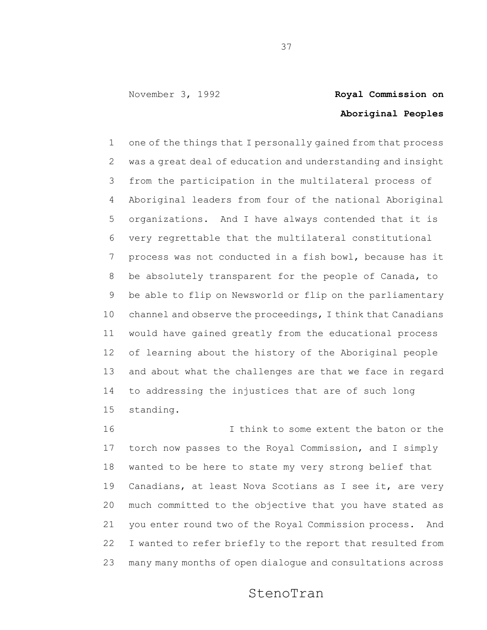# **Aboriginal Peoples**

 one of the things that I personally gained from that process was a great deal of education and understanding and insight from the participation in the multilateral process of Aboriginal leaders from four of the national Aboriginal organizations. And I have always contended that it is very regrettable that the multilateral constitutional process was not conducted in a fish bowl, because has it be absolutely transparent for the people of Canada, to be able to flip on Newsworld or flip on the parliamentary channel and observe the proceedings, I think that Canadians would have gained greatly from the educational process of learning about the history of the Aboriginal people and about what the challenges are that we face in regard to addressing the injustices that are of such long standing.

 I think to some extent the baton or the torch now passes to the Royal Commission, and I simply wanted to be here to state my very strong belief that Canadians, at least Nova Scotians as I see it, are very much committed to the objective that you have stated as you enter round two of the Royal Commission process. And I wanted to refer briefly to the report that resulted from many many months of open dialogue and consultations across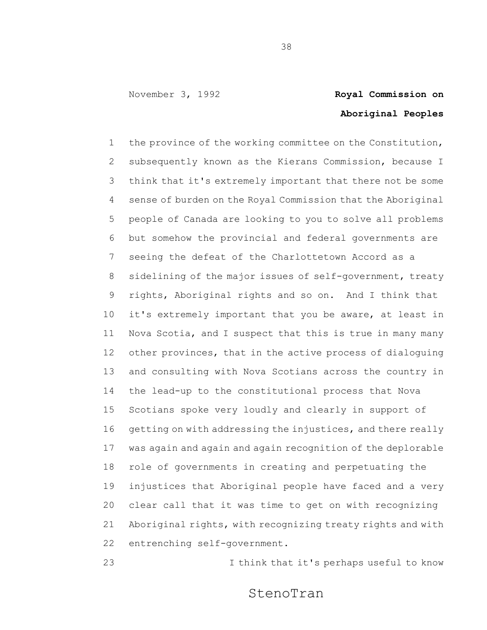# **Aboriginal Peoples**

 the province of the working committee on the Constitution, subsequently known as the Kierans Commission, because I think that it's extremely important that there not be some sense of burden on the Royal Commission that the Aboriginal people of Canada are looking to you to solve all problems but somehow the provincial and federal governments are seeing the defeat of the Charlottetown Accord as a sidelining of the major issues of self-government, treaty rights, Aboriginal rights and so on. And I think that it's extremely important that you be aware, at least in Nova Scotia, and I suspect that this is true in many many other provinces, that in the active process of dialoguing and consulting with Nova Scotians across the country in the lead-up to the constitutional process that Nova Scotians spoke very loudly and clearly in support of getting on with addressing the injustices, and there really was again and again and again recognition of the deplorable role of governments in creating and perpetuating the injustices that Aboriginal people have faced and a very clear call that it was time to get on with recognizing Aboriginal rights, with recognizing treaty rights and with entrenching self-government.

I think that it's perhaps useful to know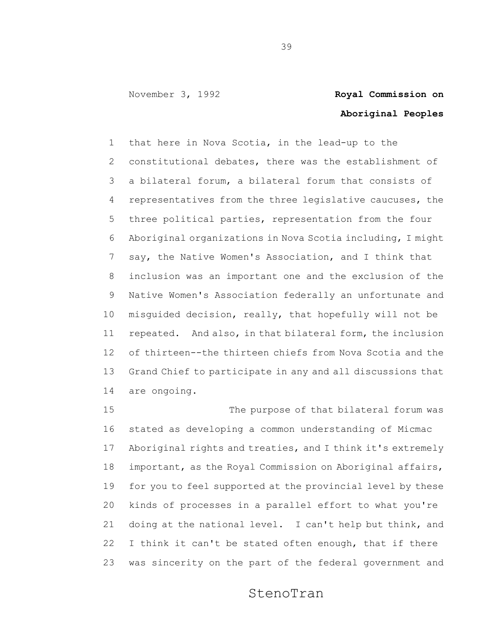## **Aboriginal Peoples**

 that here in Nova Scotia, in the lead-up to the constitutional debates, there was the establishment of a bilateral forum, a bilateral forum that consists of representatives from the three legislative caucuses, the three political parties, representation from the four Aboriginal organizations in Nova Scotia including, I might say, the Native Women's Association, and I think that inclusion was an important one and the exclusion of the Native Women's Association federally an unfortunate and misguided decision, really, that hopefully will not be repeated. And also, in that bilateral form, the inclusion of thirteen--the thirteen chiefs from Nova Scotia and the Grand Chief to participate in any and all discussions that are ongoing.

15 The purpose of that bilateral forum was stated as developing a common understanding of Micmac Aboriginal rights and treaties, and I think it's extremely important, as the Royal Commission on Aboriginal affairs, for you to feel supported at the provincial level by these kinds of processes in a parallel effort to what you're doing at the national level. I can't help but think, and I think it can't be stated often enough, that if there was sincerity on the part of the federal government and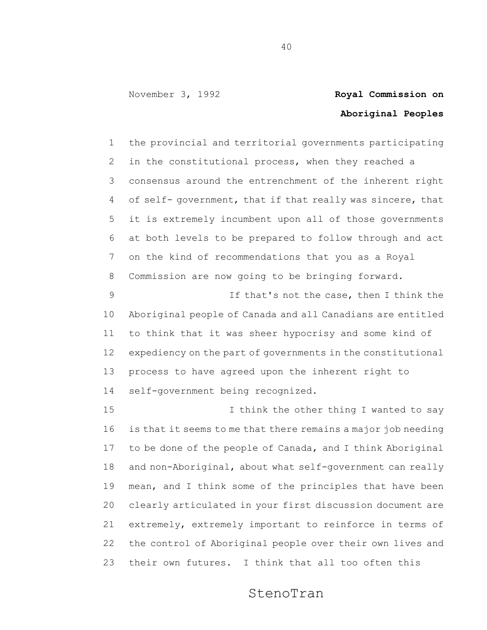# **Aboriginal Peoples**

 the provincial and territorial governments participating in the constitutional process, when they reached a consensus around the entrenchment of the inherent right 4 of self- government, that if that really was sincere, that it is extremely incumbent upon all of those governments at both levels to be prepared to follow through and act on the kind of recommendations that you as a Royal Commission are now going to be bringing forward. If that's not the case, then I think the Aboriginal people of Canada and all Canadians are entitled

 to think that it was sheer hypocrisy and some kind of expediency on the part of governments in the constitutional process to have agreed upon the inherent right to self-government being recognized.

15 15 I think the other thing I wanted to say is that it seems to me that there remains a major job needing to be done of the people of Canada, and I think Aboriginal and non-Aboriginal, about what self-government can really mean, and I think some of the principles that have been clearly articulated in your first discussion document are extremely, extremely important to reinforce in terms of the control of Aboriginal people over their own lives and their own futures. I think that all too often this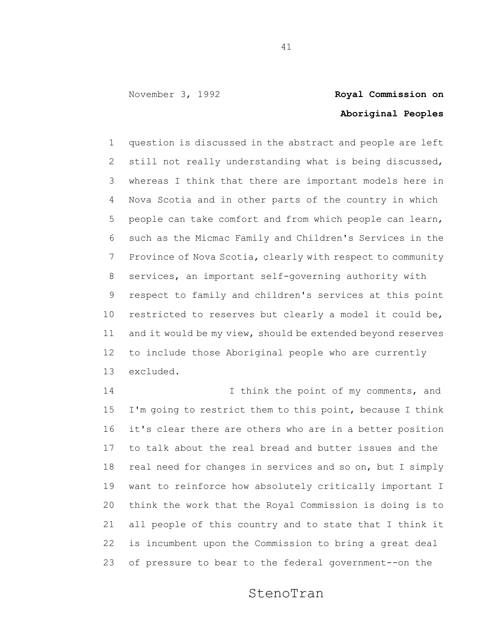# **Aboriginal Peoples**

 question is discussed in the abstract and people are left still not really understanding what is being discussed, whereas I think that there are important models here in Nova Scotia and in other parts of the country in which people can take comfort and from which people can learn, such as the Micmac Family and Children's Services in the Province of Nova Scotia, clearly with respect to community services, an important self-governing authority with respect to family and children's services at this point restricted to reserves but clearly a model it could be, and it would be my view, should be extended beyond reserves to include those Aboriginal people who are currently excluded.

14 14 I think the point of my comments, and I'm going to restrict them to this point, because I think it's clear there are others who are in a better position to talk about the real bread and butter issues and the real need for changes in services and so on, but I simply want to reinforce how absolutely critically important I think the work that the Royal Commission is doing is to all people of this country and to state that I think it is incumbent upon the Commission to bring a great deal of pressure to bear to the federal government--on the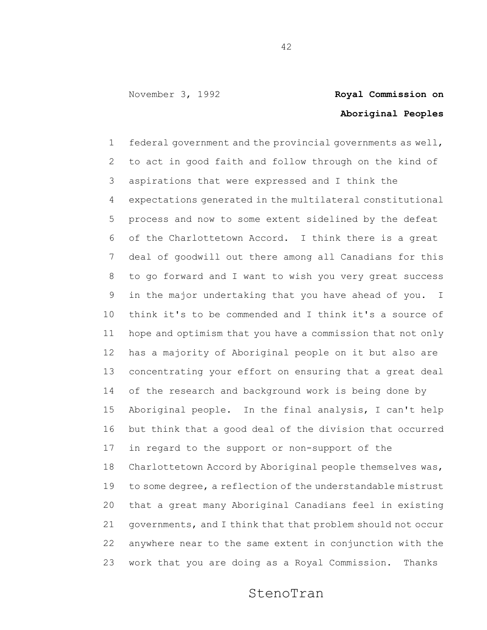# **Aboriginal Peoples**

 federal government and the provincial governments as well, to act in good faith and follow through on the kind of aspirations that were expressed and I think the expectations generated in the multilateral constitutional process and now to some extent sidelined by the defeat of the Charlottetown Accord. I think there is a great deal of goodwill out there among all Canadians for this to go forward and I want to wish you very great success in the major undertaking that you have ahead of you. I think it's to be commended and I think it's a source of hope and optimism that you have a commission that not only has a majority of Aboriginal people on it but also are concentrating your effort on ensuring that a great deal of the research and background work is being done by Aboriginal people. In the final analysis, I can't help but think that a good deal of the division that occurred in regard to the support or non-support of the Charlottetown Accord by Aboriginal people themselves was, to some degree, a reflection of the understandable mistrust that a great many Aboriginal Canadians feel in existing governments, and I think that that problem should not occur anywhere near to the same extent in conjunction with the work that you are doing as a Royal Commission. Thanks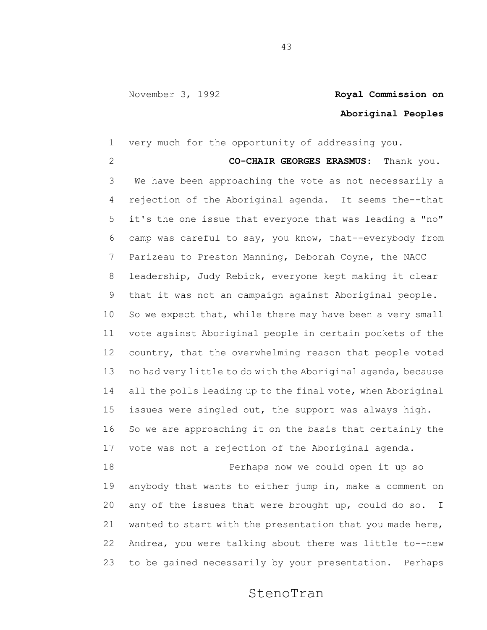### **Aboriginal Peoples**

 very much for the opportunity of addressing you. **CO-CHAIR GEORGES ERASMUS:** Thank you. We have been approaching the vote as not necessarily a rejection of the Aboriginal agenda. It seems the--that it's the one issue that everyone that was leading a "no" camp was careful to say, you know, that--everybody from Parizeau to Preston Manning, Deborah Coyne, the NACC leadership, Judy Rebick, everyone kept making it clear that it was not an campaign against Aboriginal people. 10 So we expect that, while there may have been a very small vote against Aboriginal people in certain pockets of the country, that the overwhelming reason that people voted no had very little to do with the Aboriginal agenda, because all the polls leading up to the final vote, when Aboriginal issues were singled out, the support was always high. So we are approaching it on the basis that certainly the vote was not a rejection of the Aboriginal agenda. Perhaps now we could open it up so anybody that wants to either jump in, make a comment on any of the issues that were brought up, could do so. I wanted to start with the presentation that you made here, Andrea, you were talking about there was little to--new

### StenoTran

to be gained necessarily by your presentation. Perhaps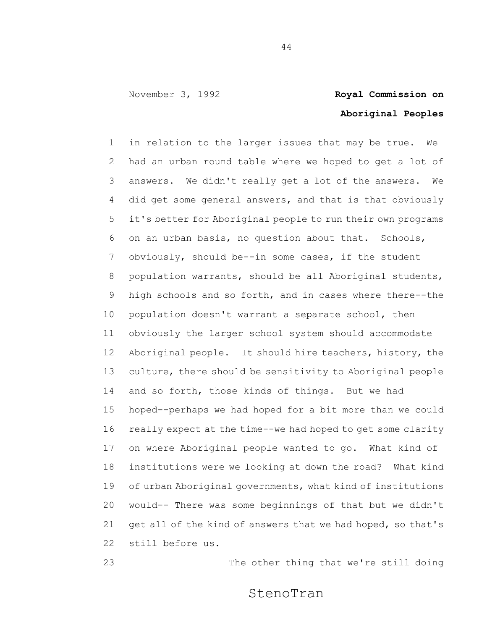## **Aboriginal Peoples**

 in relation to the larger issues that may be true. We had an urban round table where we hoped to get a lot of answers. We didn't really get a lot of the answers. We did get some general answers, and that is that obviously it's better for Aboriginal people to run their own programs on an urban basis, no question about that. Schools, obviously, should be--in some cases, if the student population warrants, should be all Aboriginal students, high schools and so forth, and in cases where there--the population doesn't warrant a separate school, then obviously the larger school system should accommodate Aboriginal people. It should hire teachers, history, the culture, there should be sensitivity to Aboriginal people and so forth, those kinds of things. But we had hoped--perhaps we had hoped for a bit more than we could really expect at the time--we had hoped to get some clarity on where Aboriginal people wanted to go. What kind of institutions were we looking at down the road? What kind of urban Aboriginal governments, what kind of institutions would-- There was some beginnings of that but we didn't 21 get all of the kind of answers that we had hoped, so that's still before us.

The other thing that we're still doing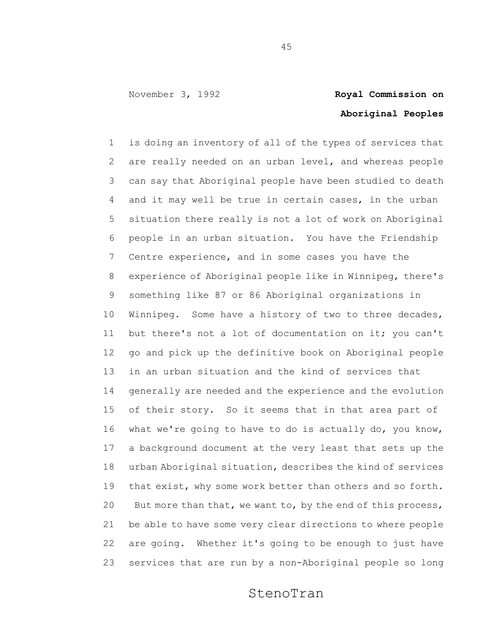# **Aboriginal Peoples**

 is doing an inventory of all of the types of services that are really needed on an urban level, and whereas people can say that Aboriginal people have been studied to death and it may well be true in certain cases, in the urban situation there really is not a lot of work on Aboriginal people in an urban situation. You have the Friendship Centre experience, and in some cases you have the experience of Aboriginal people like in Winnipeg, there's something like 87 or 86 Aboriginal organizations in Winnipeg. Some have a history of two to three decades, but there's not a lot of documentation on it; you can't go and pick up the definitive book on Aboriginal people in an urban situation and the kind of services that generally are needed and the experience and the evolution of their story. So it seems that in that area part of what we're going to have to do is actually do, you know, a background document at the very least that sets up the urban Aboriginal situation, describes the kind of services 19 that exist, why some work better than others and so forth. But more than that, we want to, by the end of this process, be able to have some very clear directions to where people are going. Whether it's going to be enough to just have services that are run by a non-Aboriginal people so long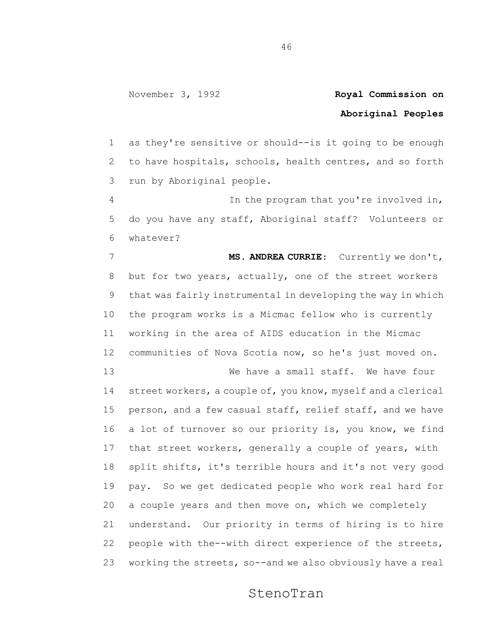### **Aboriginal Peoples**

 as they're sensitive or should--is it going to be enough to have hospitals, schools, health centres, and so forth run by Aboriginal people.

 In the program that you're involved in, do you have any staff, Aboriginal staff? Volunteers or whatever?

 **MS. ANDREA CURRIE**: Currently we don't, but for two years, actually, one of the street workers that was fairly instrumental in developing the way in which the program works is a Micmac fellow who is currently working in the area of AIDS education in the Micmac communities of Nova Scotia now, so he's just moved on.

 We have a small staff. We have four street workers, a couple of, you know, myself and a clerical person, and a few casual staff, relief staff, and we have a lot of turnover so our priority is, you know, we find that street workers, generally a couple of years, with split shifts, it's terrible hours and it's not very good pay. So we get dedicated people who work real hard for a couple years and then move on, which we completely understand. Our priority in terms of hiring is to hire people with the--with direct experience of the streets, working the streets, so--and we also obviously have a real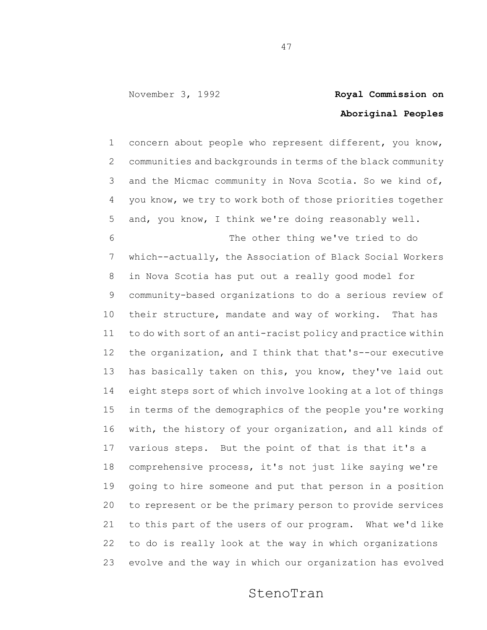## **Aboriginal Peoples**

 concern about people who represent different, you know, communities and backgrounds in terms of the black community and the Micmac community in Nova Scotia. So we kind of, you know, we try to work both of those priorities together and, you know, I think we're doing reasonably well.

 The other thing we've tried to do which--actually, the Association of Black Social Workers in Nova Scotia has put out a really good model for community-based organizations to do a serious review of 10 their structure, mandate and way of working. That has to do with sort of an anti-racist policy and practice within the organization, and I think that that's--our executive 13 has basically taken on this, you know, they've laid out eight steps sort of which involve looking at a lot of things in terms of the demographics of the people you're working with, the history of your organization, and all kinds of various steps. But the point of that is that it's a comprehensive process, it's not just like saying we're going to hire someone and put that person in a position to represent or be the primary person to provide services to this part of the users of our program. What we'd like to do is really look at the way in which organizations evolve and the way in which our organization has evolved

### StenoTran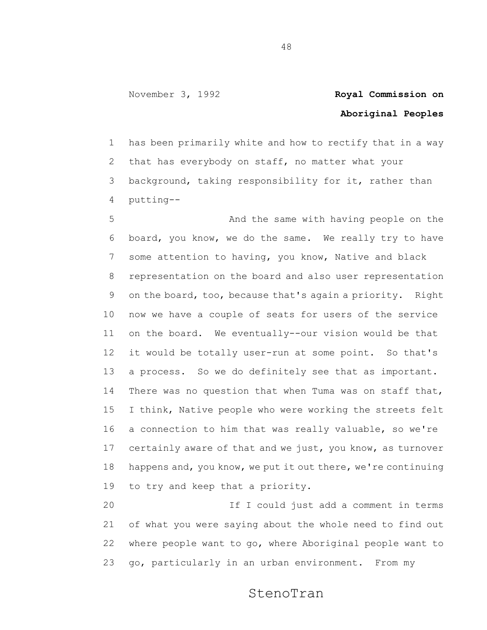## **Aboriginal Peoples**

 has been primarily white and how to rectify that in a way that has everybody on staff, no matter what your background, taking responsibility for it, rather than putting--

 And the same with having people on the board, you know, we do the same. We really try to have some attention to having, you know, Native and black representation on the board and also user representation on the board, too, because that's again a priority. Right now we have a couple of seats for users of the service on the board. We eventually--our vision would be that it would be totally user-run at some point. So that's a process. So we do definitely see that as important. There was no question that when Tuma was on staff that, I think, Native people who were working the streets felt a connection to him that was really valuable, so we're certainly aware of that and we just, you know, as turnover happens and, you know, we put it out there, we're continuing to try and keep that a priority.

 If I could just add a comment in terms of what you were saying about the whole need to find out where people want to go, where Aboriginal people want to go, particularly in an urban environment. From my

### StenoTran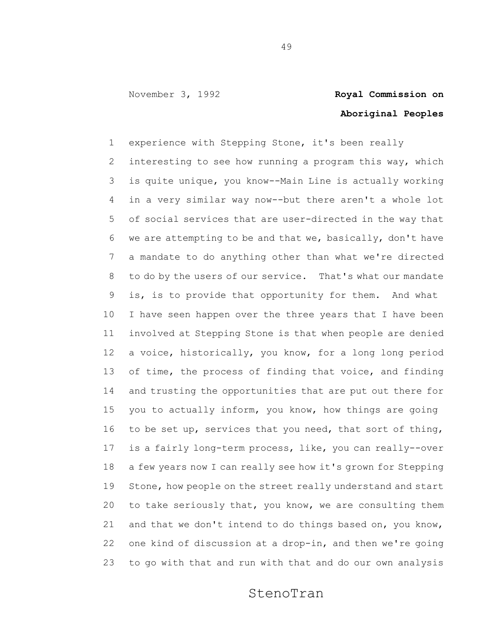# **Aboriginal Peoples**

 experience with Stepping Stone, it's been really interesting to see how running a program this way, which is quite unique, you know--Main Line is actually working in a very similar way now--but there aren't a whole lot of social services that are user-directed in the way that we are attempting to be and that we, basically, don't have a mandate to do anything other than what we're directed to do by the users of our service. That's what our mandate is, is to provide that opportunity for them. And what I have seen happen over the three years that I have been involved at Stepping Stone is that when people are denied a voice, historically, you know, for a long long period 13 of time, the process of finding that voice, and finding and trusting the opportunities that are put out there for you to actually inform, you know, how things are going to be set up, services that you need, that sort of thing, is a fairly long-term process, like, you can really--over a few years now I can really see how it's grown for Stepping 19 Stone, how people on the street really understand and start to take seriously that, you know, we are consulting them and that we don't intend to do things based on, you know, one kind of discussion at a drop-in, and then we're going to go with that and run with that and do our own analysis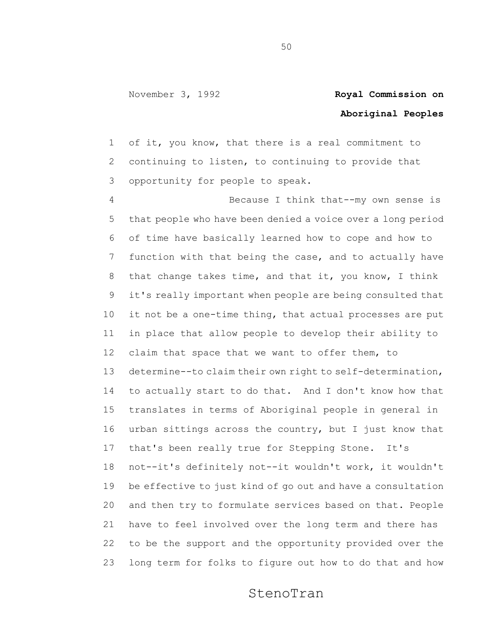### **Aboriginal Peoples**

 of it, you know, that there is a real commitment to continuing to listen, to continuing to provide that opportunity for people to speak.

 Because I think that--my own sense is that people who have been denied a voice over a long period of time have basically learned how to cope and how to function with that being the case, and to actually have 8 that change takes time, and that it, you know, I think it's really important when people are being consulted that it not be a one-time thing, that actual processes are put in place that allow people to develop their ability to 12 claim that space that we want to offer them, to determine--to claim their own right to self-determination, to actually start to do that. And I don't know how that translates in terms of Aboriginal people in general in urban sittings across the country, but I just know that that's been really true for Stepping Stone. It's not--it's definitely not--it wouldn't work, it wouldn't be effective to just kind of go out and have a consultation and then try to formulate services based on that. People have to feel involved over the long term and there has to be the support and the opportunity provided over the long term for folks to figure out how to do that and how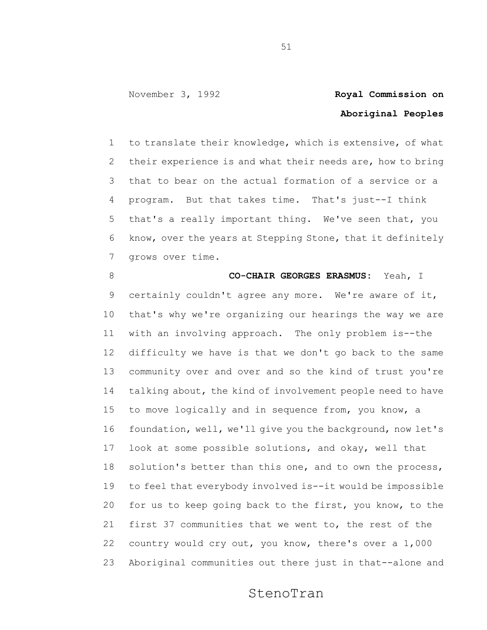## **Aboriginal Peoples**

 to translate their knowledge, which is extensive, of what their experience is and what their needs are, how to bring that to bear on the actual formation of a service or a program. But that takes time. That's just--I think that's a really important thing. We've seen that, you know, over the years at Stepping Stone, that it definitely grows over time.

### **CO-CHAIR GEORGES ERASMUS:** Yeah, I

 certainly couldn't agree any more. We're aware of it, that's why we're organizing our hearings the way we are with an involving approach. The only problem is--the difficulty we have is that we don't go back to the same community over and over and so the kind of trust you're 14 talking about, the kind of involvement people need to have to move logically and in sequence from, you know, a foundation, well, we'll give you the background, now let's look at some possible solutions, and okay, well that solution's better than this one, and to own the process, to feel that everybody involved is--it would be impossible for us to keep going back to the first, you know, to the first 37 communities that we went to, the rest of the country would cry out, you know, there's over a 1,000 Aboriginal communities out there just in that--alone and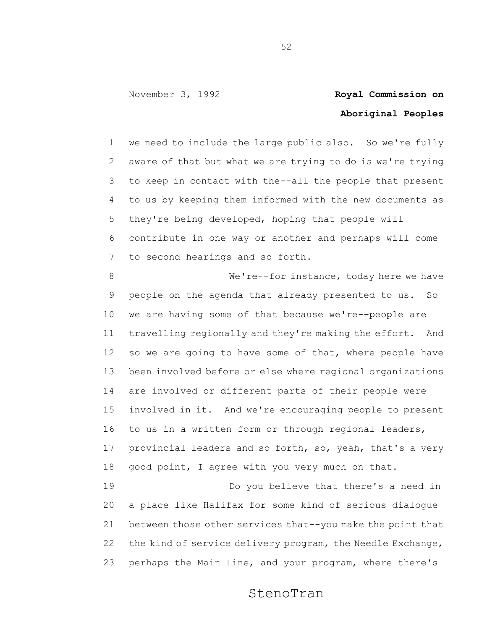### **Aboriginal Peoples**

 we need to include the large public also. So we're fully aware of that but what we are trying to do is we're trying to keep in contact with the--all the people that present to us by keeping them informed with the new documents as they're being developed, hoping that people will contribute in one way or another and perhaps will come to second hearings and so forth.

 We're--for instance, today here we have people on the agenda that already presented to us. So we are having some of that because we're--people are travelling regionally and they're making the effort. And 12 so we are going to have some of that, where people have been involved before or else where regional organizations are involved or different parts of their people were involved in it. And we're encouraging people to present to us in a written form or through regional leaders, provincial leaders and so forth, so, yeah, that's a very good point, I agree with you very much on that. Do you believe that there's a need in

 a place like Halifax for some kind of serious dialogue between those other services that--you make the point that the kind of service delivery program, the Needle Exchange, perhaps the Main Line, and your program, where there's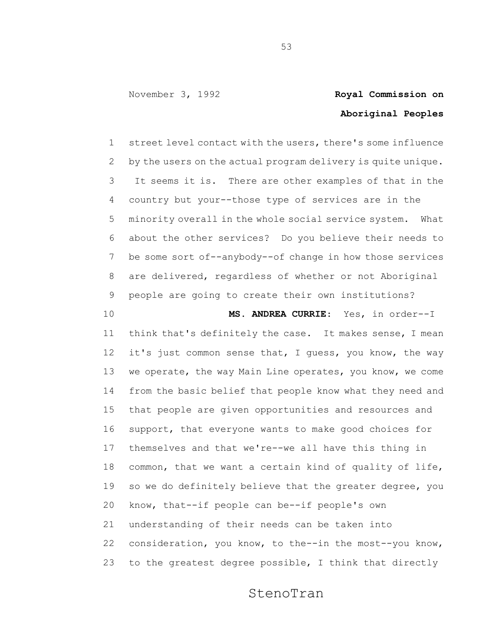## **Aboriginal Peoples**

 street level contact with the users, there's some influence by the users on the actual program delivery is quite unique. It seems it is. There are other examples of that in the country but your--those type of services are in the minority overall in the whole social service system. What about the other services? Do you believe their needs to be some sort of--anybody--of change in how those services are delivered, regardless of whether or not Aboriginal people are going to create their own institutions?

 **MS. ANDREA CURRIE**: Yes, in order--I think that's definitely the case. It makes sense, I mean it's just common sense that, I guess, you know, the way 13 we operate, the way Main Line operates, you know, we come from the basic belief that people know what they need and that people are given opportunities and resources and support, that everyone wants to make good choices for themselves and that we're--we all have this thing in common, that we want a certain kind of quality of life, so we do definitely believe that the greater degree, you know, that--if people can be--if people's own understanding of their needs can be taken into consideration, you know, to the--in the most--you know, to the greatest degree possible, I think that directly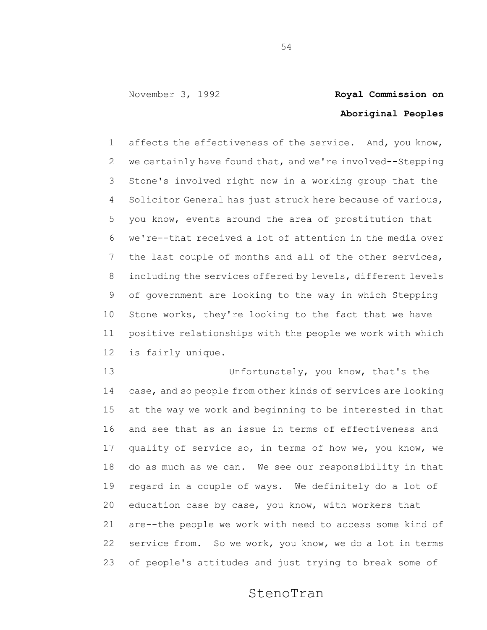# **Aboriginal Peoples**

 affects the effectiveness of the service. And, you know, we certainly have found that, and we're involved--Stepping Stone's involved right now in a working group that the Solicitor General has just struck here because of various, you know, events around the area of prostitution that we're--that received a lot of attention in the media over the last couple of months and all of the other services, including the services offered by levels, different levels of government are looking to the way in which Stepping Stone works, they're looking to the fact that we have positive relationships with the people we work with which is fairly unique.

13 Unfortunately, you know, that's the case, and so people from other kinds of services are looking at the way we work and beginning to be interested in that and see that as an issue in terms of effectiveness and quality of service so, in terms of how we, you know, we do as much as we can. We see our responsibility in that regard in a couple of ways. We definitely do a lot of education case by case, you know, with workers that are--the people we work with need to access some kind of service from. So we work, you know, we do a lot in terms of people's attitudes and just trying to break some of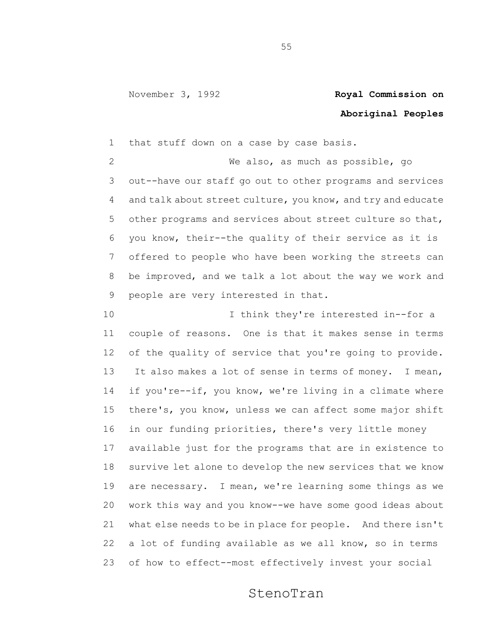## **Aboriginal Peoples**

that stuff down on a case by case basis.

 We also, as much as possible, go out--have our staff go out to other programs and services and talk about street culture, you know, and try and educate other programs and services about street culture so that, you know, their--the quality of their service as it is offered to people who have been working the streets can be improved, and we talk a lot about the way we work and people are very interested in that.

10 10 I think they're interested in--for a couple of reasons. One is that it makes sense in terms of the quality of service that you're going to provide. 13 It also makes a lot of sense in terms of money. I mean, 14 if you're--if, you know, we're living in a climate where there's, you know, unless we can affect some major shift in our funding priorities, there's very little money available just for the programs that are in existence to survive let alone to develop the new services that we know are necessary. I mean, we're learning some things as we work this way and you know--we have some good ideas about what else needs to be in place for people. And there isn't a lot of funding available as we all know, so in terms of how to effect--most effectively invest your social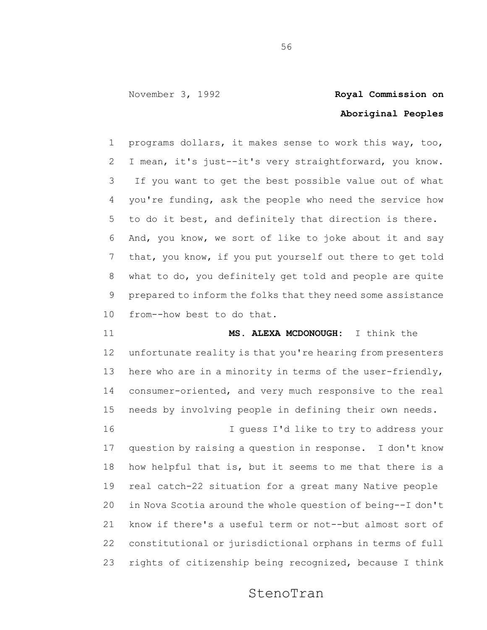## **Aboriginal Peoples**

 programs dollars, it makes sense to work this way, too, I mean, it's just--it's very straightforward, you know. If you want to get the best possible value out of what you're funding, ask the people who need the service how to do it best, and definitely that direction is there. And, you know, we sort of like to joke about it and say that, you know, if you put yourself out there to get told what to do, you definitely get told and people are quite prepared to inform the folks that they need some assistance from--how best to do that.

 **MS. ALEXA MCDONOUGH:** I think the unfortunate reality is that you're hearing from presenters 13 here who are in a minority in terms of the user-friendly, consumer-oriented, and very much responsive to the real needs by involving people in defining their own needs. I guess I'd like to try to address your question by raising a question in response. I don't know how helpful that is, but it seems to me that there is a real catch-22 situation for a great many Native people in Nova Scotia around the whole question of being--I don't know if there's a useful term or not--but almost sort of

 constitutional or jurisdictional orphans in terms of full rights of citizenship being recognized, because I think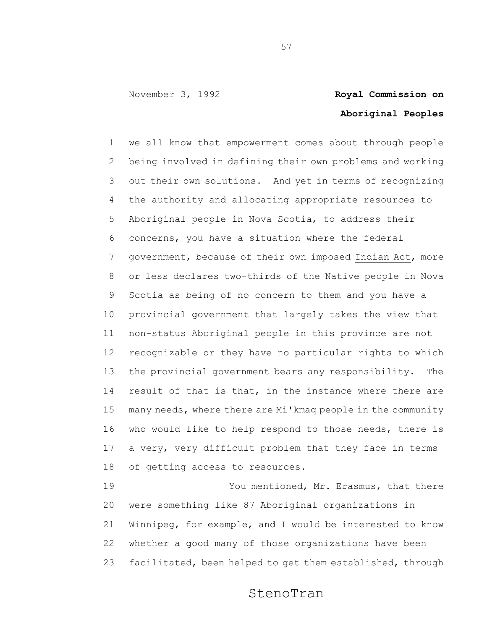# **Aboriginal Peoples**

 we all know that empowerment comes about through people being involved in defining their own problems and working out their own solutions. And yet in terms of recognizing the authority and allocating appropriate resources to Aboriginal people in Nova Scotia, to address their concerns, you have a situation where the federal government, because of their own imposed Indian Act, more or less declares two-thirds of the Native people in Nova Scotia as being of no concern to them and you have a provincial government that largely takes the view that non-status Aboriginal people in this province are not recognizable or they have no particular rights to which the provincial government bears any responsibility. The 14 result of that is that, in the instance where there are many needs, where there are Mi'kmaq people in the community who would like to help respond to those needs, there is a very, very difficult problem that they face in terms of getting access to resources.

 You mentioned, Mr. Erasmus, that there were something like 87 Aboriginal organizations in Winnipeg, for example, and I would be interested to know whether a good many of those organizations have been facilitated, been helped to get them established, through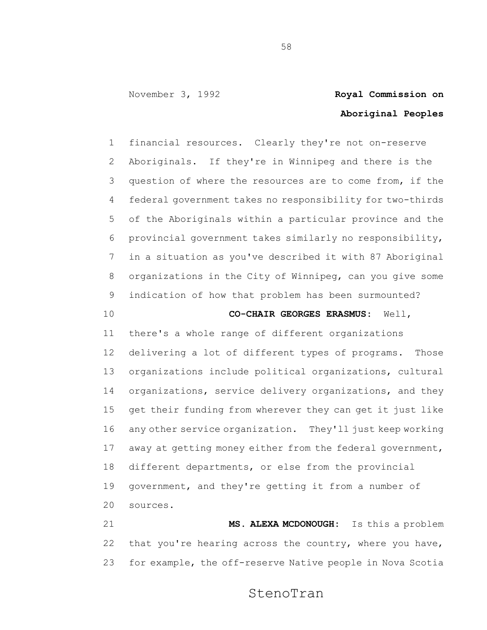### **Aboriginal Peoples**

 financial resources. Clearly they're not on-reserve Aboriginals. If they're in Winnipeg and there is the question of where the resources are to come from, if the federal government takes no responsibility for two-thirds of the Aboriginals within a particular province and the provincial government takes similarly no responsibility, in a situation as you've described it with 87 Aboriginal organizations in the City of Winnipeg, can you give some indication of how that problem has been surmounted?

#### **CO-CHAIR GEORGES ERASMUS:** Well,

 there's a whole range of different organizations delivering a lot of different types of programs. Those organizations include political organizations, cultural organizations, service delivery organizations, and they get their funding from wherever they can get it just like any other service organization. They'll just keep working away at getting money either from the federal government, different departments, or else from the provincial government, and they're getting it from a number of sources.

 **MS. ALEXA MCDONOUGH:** Is this a problem that you're hearing across the country, where you have, for example, the off-reserve Native people in Nova Scotia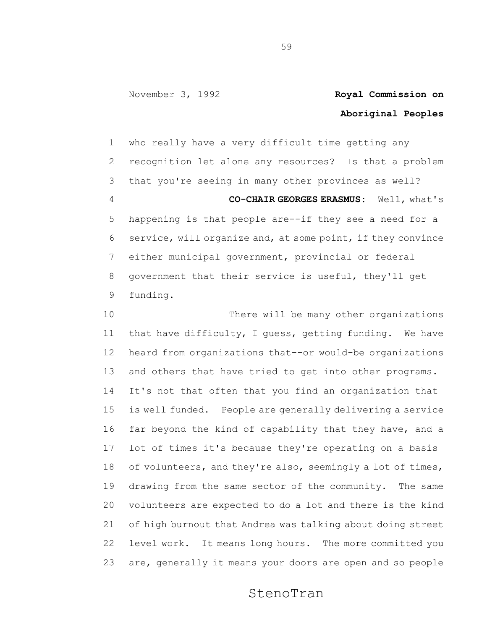## **Aboriginal Peoples**

 who really have a very difficult time getting any recognition let alone any resources? Is that a problem that you're seeing in many other provinces as well? **CO-CHAIR GEORGES ERASMUS:** Well, what's happening is that people are--if they see a need for a service, will organize and, at some point, if they convince either municipal government, provincial or federal government that their service is useful, they'll get funding.

 There will be many other organizations that have difficulty, I guess, getting funding. We have heard from organizations that--or would-be organizations and others that have tried to get into other programs. It's not that often that you find an organization that is well funded. People are generally delivering a service far beyond the kind of capability that they have, and a lot of times it's because they're operating on a basis 18 of volunteers, and they're also, seemingly a lot of times, drawing from the same sector of the community. The same volunteers are expected to do a lot and there is the kind of high burnout that Andrea was talking about doing street level work. It means long hours. The more committed you are, generally it means your doors are open and so people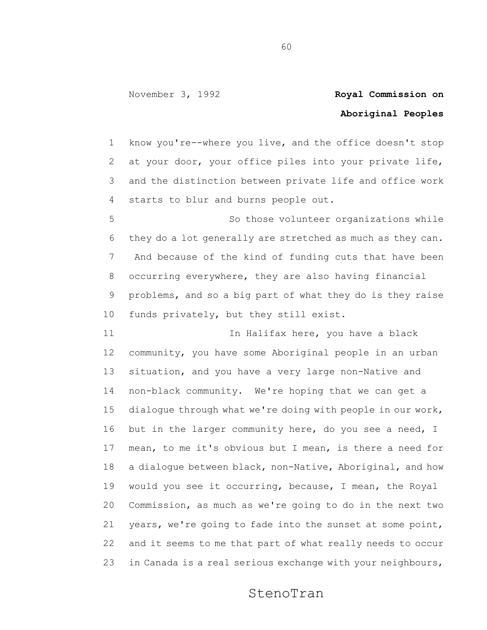## **Aboriginal Peoples**

 know you're--where you live, and the office doesn't stop at your door, your office piles into your private life, and the distinction between private life and office work starts to blur and burns people out.

 So those volunteer organizations while they do a lot generally are stretched as much as they can. And because of the kind of funding cuts that have been occurring everywhere, they are also having financial problems, and so a big part of what they do is they raise funds privately, but they still exist.

11 11 In Halifax here, you have a black community, you have some Aboriginal people in an urban situation, and you have a very large non-Native and non-black community. We're hoping that we can get a dialogue through what we're doing with people in our work, 16 but in the larger community here, do you see a need, I mean, to me it's obvious but I mean, is there a need for a dialogue between black, non-Native, Aboriginal, and how would you see it occurring, because, I mean, the Royal Commission, as much as we're going to do in the next two years, we're going to fade into the sunset at some point, and it seems to me that part of what really needs to occur in Canada is a real serious exchange with your neighbours,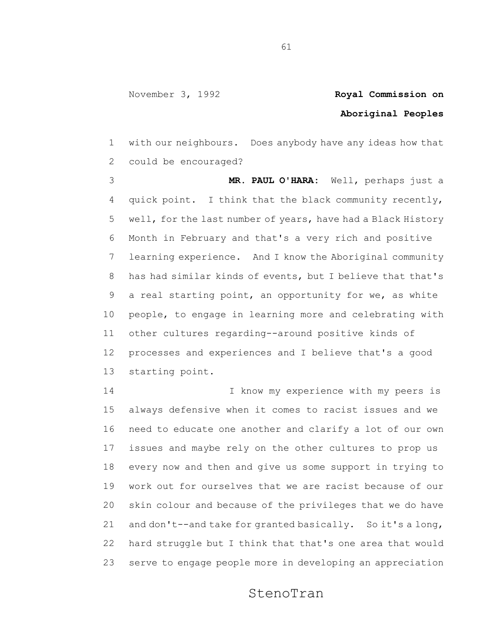## **Aboriginal Peoples**

 with our neighbours. Does anybody have any ideas how that could be encouraged?

 **MR. PAUL O'HARA:** Well, perhaps just a quick point. I think that the black community recently, well, for the last number of years, have had a Black History Month in February and that's a very rich and positive learning experience. And I know the Aboriginal community has had similar kinds of events, but I believe that that's a real starting point, an opportunity for we, as white people, to engage in learning more and celebrating with other cultures regarding--around positive kinds of processes and experiences and I believe that's a good starting point.

 I know my experience with my peers is always defensive when it comes to racist issues and we need to educate one another and clarify a lot of our own issues and maybe rely on the other cultures to prop us every now and then and give us some support in trying to work out for ourselves that we are racist because of our skin colour and because of the privileges that we do have and don't--and take for granted basically. So it's a long, hard struggle but I think that that's one area that would serve to engage people more in developing an appreciation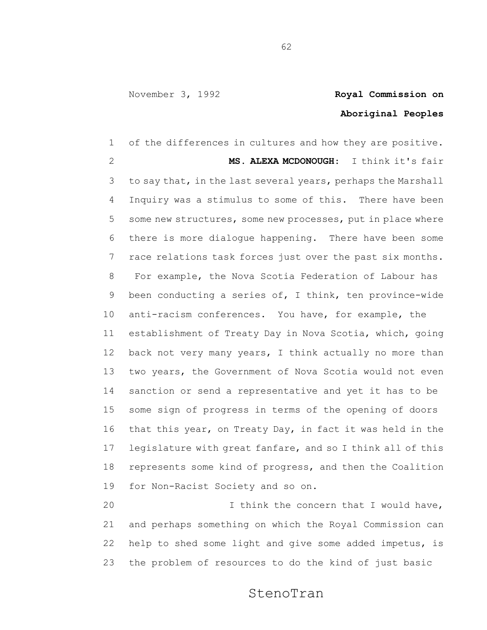## **Aboriginal Peoples**

 of the differences in cultures and how they are positive. **MS. ALEXA MCDONOUGH**: I think it's fair to say that, in the last several years, perhaps the Marshall Inquiry was a stimulus to some of this. There have been some new structures, some new processes, put in place where there is more dialogue happening. There have been some race relations task forces just over the past six months. For example, the Nova Scotia Federation of Labour has been conducting a series of, I think, ten province-wide anti-racism conferences. You have, for example, the establishment of Treaty Day in Nova Scotia, which, going 12 back not very many years, I think actually no more than two years, the Government of Nova Scotia would not even sanction or send a representative and yet it has to be some sign of progress in terms of the opening of doors that this year, on Treaty Day, in fact it was held in the legislature with great fanfare, and so I think all of this represents some kind of progress, and then the Coalition for Non-Racist Society and so on. I think the concern that I would have,

 and perhaps something on which the Royal Commission can help to shed some light and give some added impetus, is the problem of resources to do the kind of just basic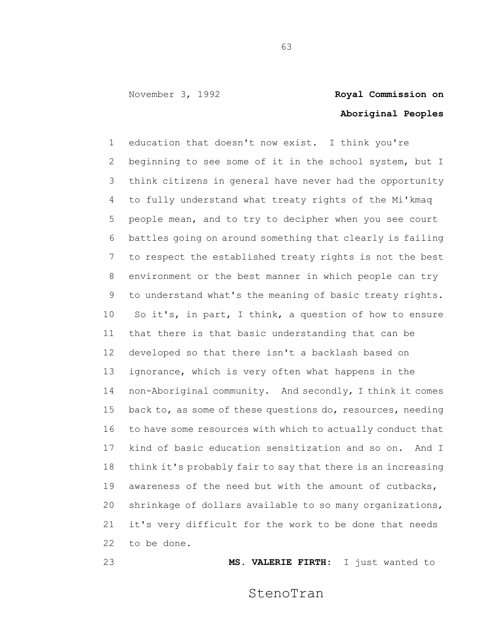# **Aboriginal Peoples**

 education that doesn't now exist. I think you're beginning to see some of it in the school system, but I think citizens in general have never had the opportunity to fully understand what treaty rights of the Mi'kmaq people mean, and to try to decipher when you see court battles going on around something that clearly is failing to respect the established treaty rights is not the best environment or the best manner in which people can try to understand what's the meaning of basic treaty rights. So it's, in part, I think, a question of how to ensure that there is that basic understanding that can be developed so that there isn't a backlash based on ignorance, which is very often what happens in the non-Aboriginal community. And secondly, I think it comes 15 back to, as some of these questions do, resources, needing to have some resources with which to actually conduct that kind of basic education sensitization and so on. And I think it's probably fair to say that there is an increasing awareness of the need but with the amount of cutbacks, shrinkage of dollars available to so many organizations, it's very difficult for the work to be done that needs to be done.

**MS. VALERIE FIRTH:** I just wanted to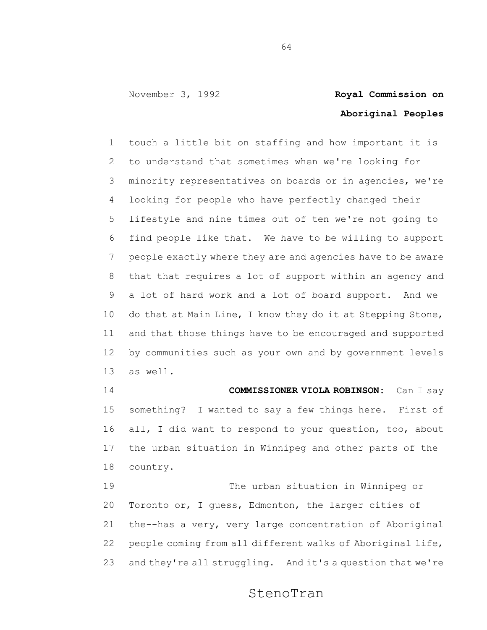### **Aboriginal Peoples**

 touch a little bit on staffing and how important it is to understand that sometimes when we're looking for minority representatives on boards or in agencies, we're looking for people who have perfectly changed their lifestyle and nine times out of ten we're not going to find people like that. We have to be willing to support people exactly where they are and agencies have to be aware that that requires a lot of support within an agency and a lot of hard work and a lot of board support. And we do that at Main Line, I know they do it at Stepping Stone, and that those things have to be encouraged and supported by communities such as your own and by government levels as well.

 **COMMISSIONER VIOLA ROBINSON:** Can I say something? I wanted to say a few things here. First of all, I did want to respond to your question, too, about the urban situation in Winnipeg and other parts of the country.

 The urban situation in Winnipeg or Toronto or, I guess, Edmonton, the larger cities of the--has a very, very large concentration of Aboriginal people coming from all different walks of Aboriginal life, and they're all struggling. And it's a question that we're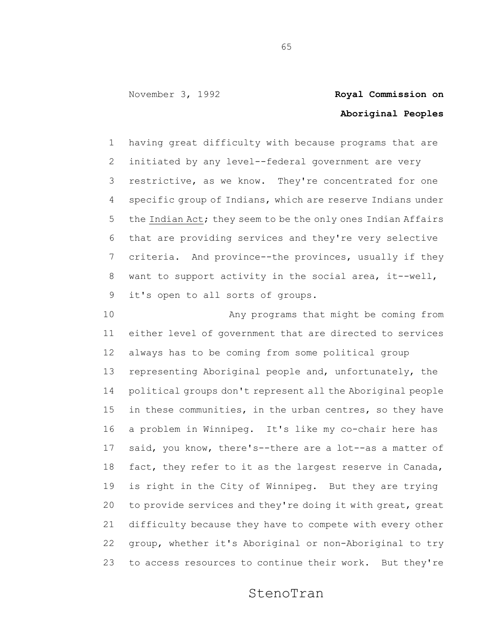## **Aboriginal Peoples**

 having great difficulty with because programs that are initiated by any level--federal government are very restrictive, as we know. They're concentrated for one specific group of Indians, which are reserve Indians under 5 the Indian Act; they seem to be the only ones Indian Affairs that are providing services and they're very selective criteria. And province--the provinces, usually if they want to support activity in the social area, it--well, it's open to all sorts of groups.

 Any programs that might be coming from either level of government that are directed to services always has to be coming from some political group representing Aboriginal people and, unfortunately, the political groups don't represent all the Aboriginal people in these communities, in the urban centres, so they have a problem in Winnipeg. It's like my co-chair here has said, you know, there's--there are a lot--as a matter of fact, they refer to it as the largest reserve in Canada, is right in the City of Winnipeg. But they are trying to provide services and they're doing it with great, great difficulty because they have to compete with every other group, whether it's Aboriginal or non-Aboriginal to try to access resources to continue their work. But they're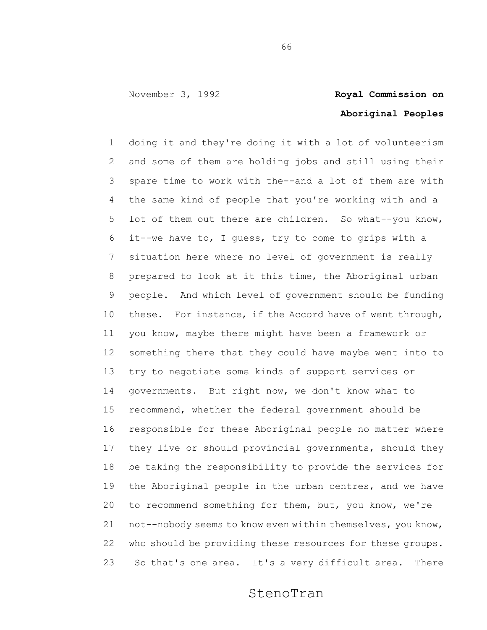## **Aboriginal Peoples**

 doing it and they're doing it with a lot of volunteerism and some of them are holding jobs and still using their spare time to work with the--and a lot of them are with the same kind of people that you're working with and a lot of them out there are children. So what--you know, it--we have to, I guess, try to come to grips with a situation here where no level of government is really prepared to look at it this time, the Aboriginal urban people. And which level of government should be funding these. For instance, if the Accord have of went through, you know, maybe there might have been a framework or something there that they could have maybe went into to try to negotiate some kinds of support services or governments. But right now, we don't know what to recommend, whether the federal government should be responsible for these Aboriginal people no matter where they live or should provincial governments, should they be taking the responsibility to provide the services for the Aboriginal people in the urban centres, and we have to recommend something for them, but, you know, we're not--nobody seems to know even within themselves, you know, who should be providing these resources for these groups. So that's one area. It's a very difficult area. There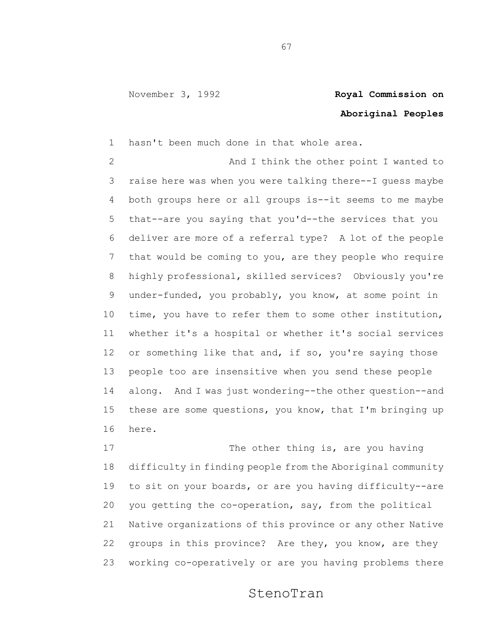## **Aboriginal Peoples**

hasn't been much done in that whole area.

 And I think the other point I wanted to raise here was when you were talking there--I guess maybe both groups here or all groups is--it seems to me maybe that--are you saying that you'd--the services that you deliver are more of a referral type? A lot of the people that would be coming to you, are they people who require highly professional, skilled services? Obviously you're under-funded, you probably, you know, at some point in time, you have to refer them to some other institution, whether it's a hospital or whether it's social services or something like that and, if so, you're saying those people too are insensitive when you send these people along. And I was just wondering--the other question--and these are some questions, you know, that I'm bringing up here.

17 The other thing is, are you having difficulty in finding people from the Aboriginal community to sit on your boards, or are you having difficulty--are you getting the co-operation, say, from the political Native organizations of this province or any other Native groups in this province? Are they, you know, are they working co-operatively or are you having problems there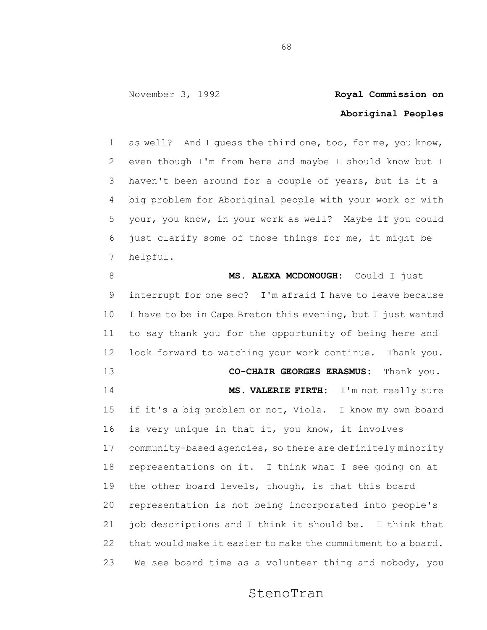### **Aboriginal Peoples**

 as well? And I guess the third one, too, for me, you know, even though I'm from here and maybe I should know but I haven't been around for a couple of years, but is it a big problem for Aboriginal people with your work or with your, you know, in your work as well? Maybe if you could just clarify some of those things for me, it might be helpful.

**MS. ALEXA MCDONOUGH:** Could I just interrupt for one sec? I'm afraid I have to leave because I have to be in Cape Breton this evening, but I just wanted to say thank you for the opportunity of being here and look forward to watching your work continue. Thank you. **CO-CHAIR GEORGES ERASMUS:** Thank you. **MS. VALERIE FIRTH:** I'm not really sure if it's a big problem or not, Viola. I know my own board is very unique in that it, you know, it involves community-based agencies, so there are definitely minority representations on it. I think what I see going on at the other board levels, though, is that this board representation is not being incorporated into people's job descriptions and I think it should be. I think that that would make it easier to make the commitment to a board. We see board time as a volunteer thing and nobody, you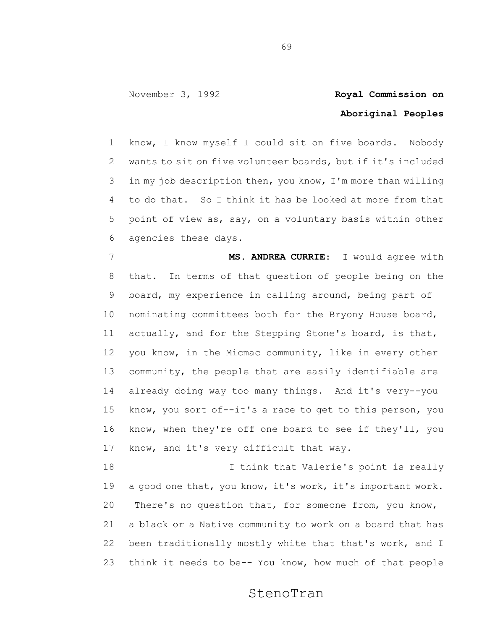## **Aboriginal Peoples**

 know, I know myself I could sit on five boards. Nobody wants to sit on five volunteer boards, but if it's included in my job description then, you know, I'm more than willing to do that. So I think it has be looked at more from that point of view as, say, on a voluntary basis within other agencies these days.

 **MS. ANDREA CURRIE**: I would agree with that. In terms of that question of people being on the board, my experience in calling around, being part of nominating committees both for the Bryony House board, actually, and for the Stepping Stone's board, is that, you know, in the Micmac community, like in every other community, the people that are easily identifiable are already doing way too many things. And it's very--you know, you sort of--it's a race to get to this person, you know, when they're off one board to see if they'll, you know, and it's very difficult that way.

 I think that Valerie's point is really a good one that, you know, it's work, it's important work. There's no question that, for someone from, you know, a black or a Native community to work on a board that has been traditionally mostly white that that's work, and I think it needs to be-- You know, how much of that people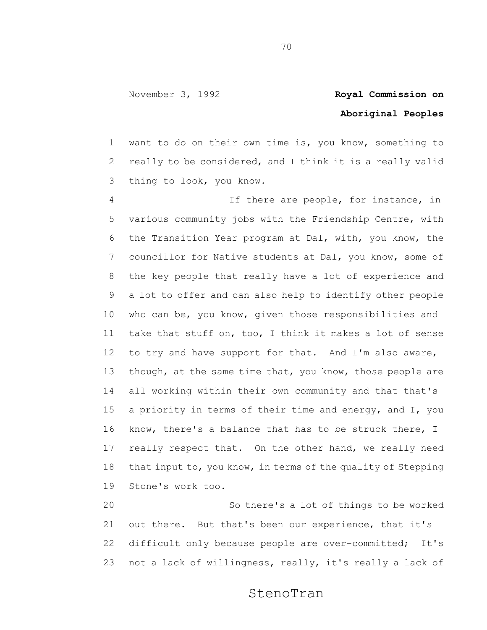### **Aboriginal Peoples**

 want to do on their own time is, you know, something to really to be considered, and I think it is a really valid thing to look, you know.

 If there are people, for instance, in various community jobs with the Friendship Centre, with the Transition Year program at Dal, with, you know, the councillor for Native students at Dal, you know, some of the key people that really have a lot of experience and a lot to offer and can also help to identify other people who can be, you know, given those responsibilities and take that stuff on, too, I think it makes a lot of sense to try and have support for that. And I'm also aware, 13 though, at the same time that, you know, those people are all working within their own community and that that's a priority in terms of their time and energy, and I, you know, there's a balance that has to be struck there, I really respect that. On the other hand, we really need that input to, you know, in terms of the quality of Stepping Stone's work too.

 So there's a lot of things to be worked out there. But that's been our experience, that it's difficult only because people are over-committed; It's not a lack of willingness, really, it's really a lack of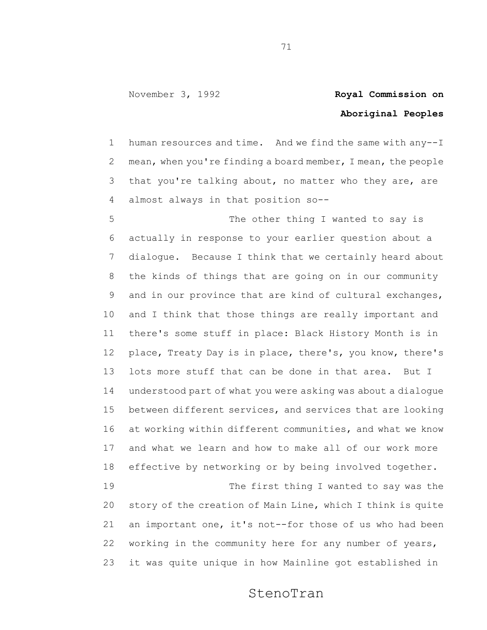## **Aboriginal Peoples**

 human resources and time. And we find the same with any--I mean, when you're finding a board member, I mean, the people that you're talking about, no matter who they are, are almost always in that position so--

5 The other thing I wanted to say is actually in response to your earlier question about a dialogue. Because I think that we certainly heard about the kinds of things that are going on in our community and in our province that are kind of cultural exchanges, and I think that those things are really important and there's some stuff in place: Black History Month is in place, Treaty Day is in place, there's, you know, there's lots more stuff that can be done in that area. But I understood part of what you were asking was about a dialogue between different services, and services that are looking at working within different communities, and what we know and what we learn and how to make all of our work more effective by networking or by being involved together. 19 The first thing I wanted to say was the story of the creation of Main Line, which I think is quite an important one, it's not--for those of us who had been working in the community here for any number of years, it was quite unique in how Mainline got established in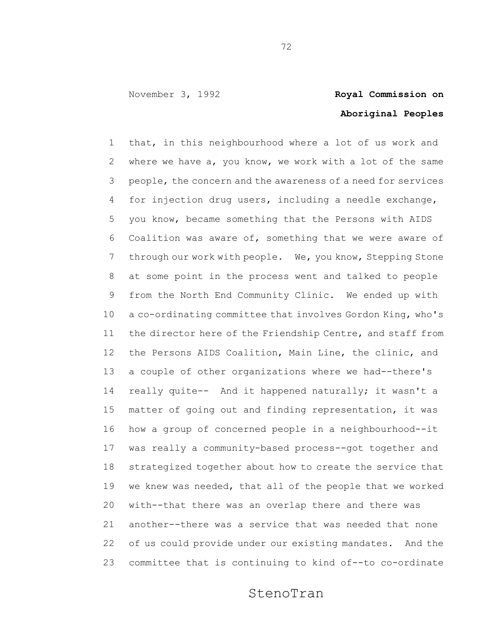## **Aboriginal Peoples**

 that, in this neighbourhood where a lot of us work and where we have a, you know, we work with a lot of the same people, the concern and the awareness of a need for services for injection drug users, including a needle exchange, you know, became something that the Persons with AIDS Coalition was aware of, something that we were aware of through our work with people. We, you know, Stepping Stone at some point in the process went and talked to people from the North End Community Clinic. We ended up with a co-ordinating committee that involves Gordon King, who's the director here of the Friendship Centre, and staff from the Persons AIDS Coalition, Main Line, the clinic, and a couple of other organizations where we had--there's really quite-- And it happened naturally; it wasn't a matter of going out and finding representation, it was how a group of concerned people in a neighbourhood--it was really a community-based process--got together and strategized together about how to create the service that we knew was needed, that all of the people that we worked with--that there was an overlap there and there was another--there was a service that was needed that none of us could provide under our existing mandates. And the committee that is continuing to kind of--to co-ordinate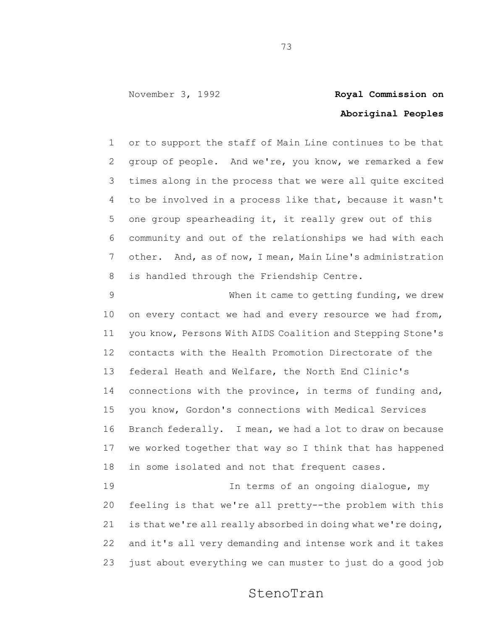## **Aboriginal Peoples**

 or to support the staff of Main Line continues to be that group of people. And we're, you know, we remarked a few times along in the process that we were all quite excited to be involved in a process like that, because it wasn't one group spearheading it, it really grew out of this community and out of the relationships we had with each other. And, as of now, I mean, Main Line's administration is handled through the Friendship Centre.

 When it came to getting funding, we drew 10 on every contact we had and every resource we had from, you know, Persons With AIDS Coalition and Stepping Stone's contacts with the Health Promotion Directorate of the federal Heath and Welfare, the North End Clinic's connections with the province, in terms of funding and, you know, Gordon's connections with Medical Services Branch federally. I mean, we had a lot to draw on because we worked together that way so I think that has happened in some isolated and not that frequent cases.

 In terms of an ongoing dialogue, my feeling is that we're all pretty--the problem with this is that we're all really absorbed in doing what we're doing, and it's all very demanding and intense work and it takes just about everything we can muster to just do a good job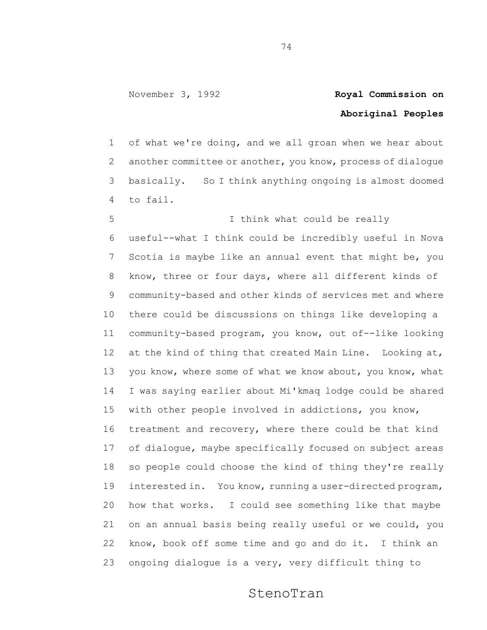## **Aboriginal Peoples**

 of what we're doing, and we all groan when we hear about another committee or another, you know, process of dialogue basically. So I think anything ongoing is almost doomed to fail.

 I think what could be really useful--what I think could be incredibly useful in Nova Scotia is maybe like an annual event that might be, you know, three or four days, where all different kinds of community-based and other kinds of services met and where there could be discussions on things like developing a community-based program, you know, out of--like looking at the kind of thing that created Main Line. Looking at, 13 you know, where some of what we know about, you know, what I was saying earlier about Mi'kmaq lodge could be shared with other people involved in addictions, you know, treatment and recovery, where there could be that kind of dialogue, maybe specifically focused on subject areas so people could choose the kind of thing they're really interested in. You know, running a user-directed program, how that works. I could see something like that maybe on an annual basis being really useful or we could, you know, book off some time and go and do it. I think an ongoing dialogue is a very, very difficult thing to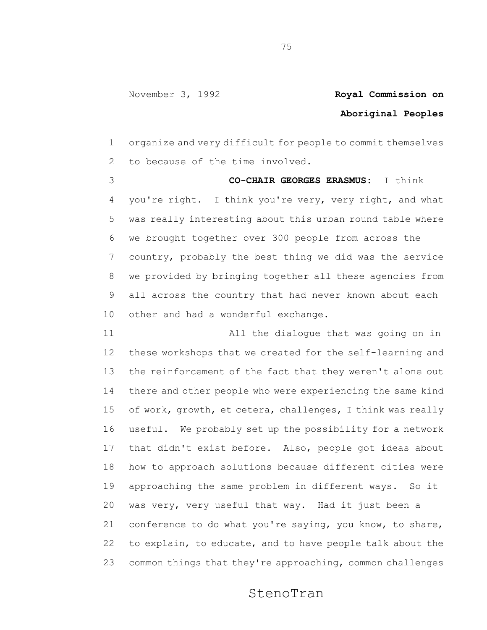## **Aboriginal Peoples**

 organize and very difficult for people to commit themselves to because of the time involved.

 **CO-CHAIR GEORGES ERASMUS:** I think you're right. I think you're very, very right, and what was really interesting about this urban round table where we brought together over 300 people from across the country, probably the best thing we did was the service we provided by bringing together all these agencies from all across the country that had never known about each other and had a wonderful exchange.

 All the dialogue that was going on in these workshops that we created for the self-learning and the reinforcement of the fact that they weren't alone out there and other people who were experiencing the same kind of work, growth, et cetera, challenges, I think was really useful. We probably set up the possibility for a network that didn't exist before. Also, people got ideas about how to approach solutions because different cities were approaching the same problem in different ways. So it was very, very useful that way. Had it just been a conference to do what you're saying, you know, to share, to explain, to educate, and to have people talk about the common things that they're approaching, common challenges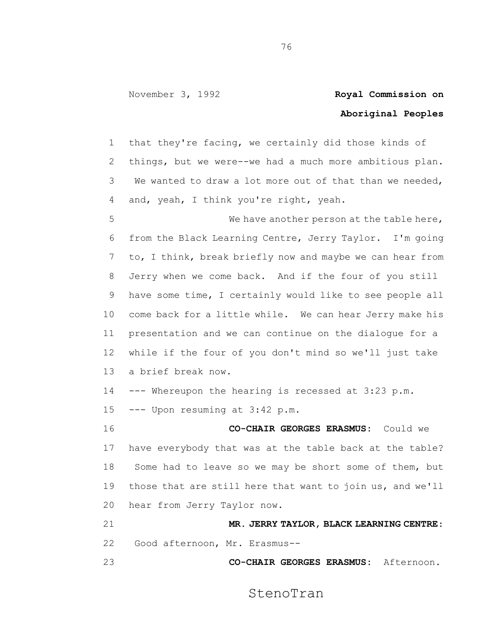### **Aboriginal Peoples**

 that they're facing, we certainly did those kinds of things, but we were--we had a much more ambitious plan. We wanted to draw a lot more out of that than we needed, and, yeah, I think you're right, yeah.

 We have another person at the table here, from the Black Learning Centre, Jerry Taylor. I'm going to, I think, break briefly now and maybe we can hear from Jerry when we come back. And if the four of you still have some time, I certainly would like to see people all come back for a little while. We can hear Jerry make his presentation and we can continue on the dialogue for a while if the four of you don't mind so we'll just take a brief break now.

--- Whereupon the hearing is recessed at 3:23 p.m.

--- Upon resuming at 3:42 p.m.

 **CO-CHAIR GEORGES ERASMUS:** Could we have everybody that was at the table back at the table? Some had to leave so we may be short some of them, but those that are still here that want to join us, and we'll hear from Jerry Taylor now.

 **MR. JERRY TAYLOR, BLACK LEARNING CENTRE**: Good afternoon, Mr. Erasmus--

**CO-CHAIR GEORGES ERASMUS:** Afternoon.

StenoTran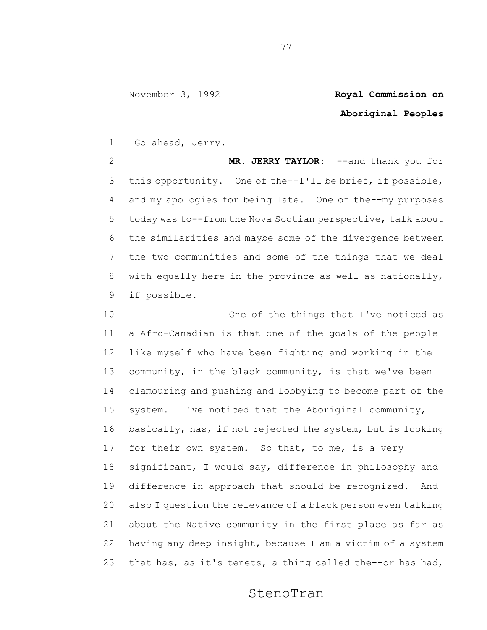## **Aboriginal Peoples**

Go ahead, Jerry.

 **MR. JERRY TAYLOR:** --and thank you for this opportunity. One of the--I'll be brief, if possible, and my apologies for being late. One of the--my purposes today was to--from the Nova Scotian perspective, talk about the similarities and maybe some of the divergence between the two communities and some of the things that we deal with equally here in the province as well as nationally, if possible.

 One of the things that I've noticed as a Afro-Canadian is that one of the goals of the people like myself who have been fighting and working in the community, in the black community, is that we've been clamouring and pushing and lobbying to become part of the system. I've noticed that the Aboriginal community, basically, has, if not rejected the system, but is looking for their own system. So that, to me, is a very significant, I would say, difference in philosophy and difference in approach that should be recognized. And also I question the relevance of a black person even talking about the Native community in the first place as far as having any deep insight, because I am a victim of a system that has, as it's tenets, a thing called the--or has had,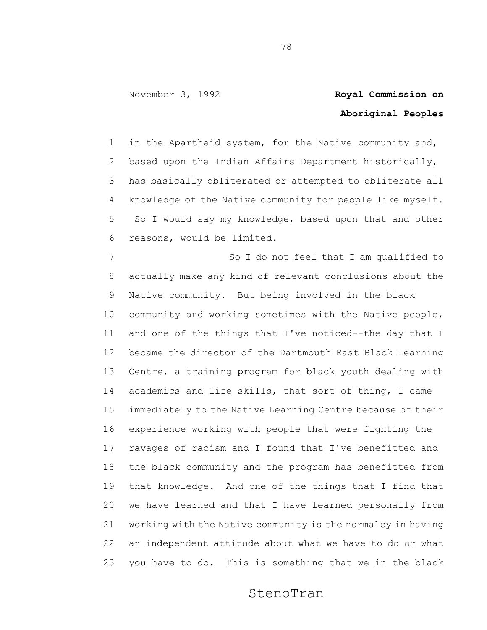## **Aboriginal Peoples**

 in the Apartheid system, for the Native community and, based upon the Indian Affairs Department historically, has basically obliterated or attempted to obliterate all knowledge of the Native community for people like myself. So I would say my knowledge, based upon that and other reasons, would be limited.

7 So I do not feel that I am qualified to actually make any kind of relevant conclusions about the Native community. But being involved in the black community and working sometimes with the Native people, and one of the things that I've noticed--the day that I became the director of the Dartmouth East Black Learning Centre, a training program for black youth dealing with academics and life skills, that sort of thing, I came immediately to the Native Learning Centre because of their experience working with people that were fighting the ravages of racism and I found that I've benefitted and the black community and the program has benefitted from that knowledge. And one of the things that I find that we have learned and that I have learned personally from working with the Native community is the normalcy in having an independent attitude about what we have to do or what you have to do. This is something that we in the black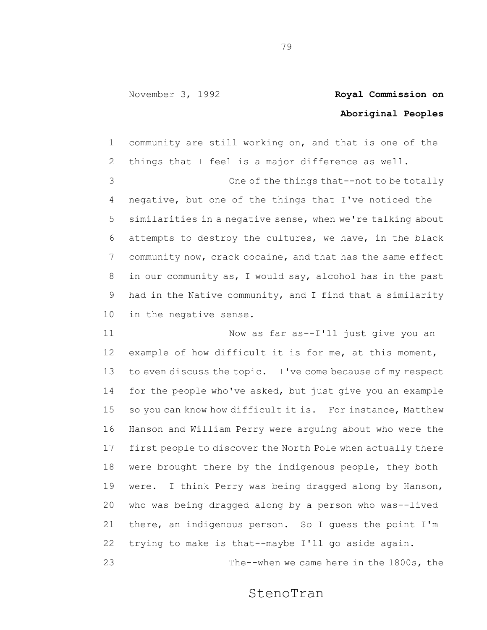## **Aboriginal Peoples**

 community are still working on, and that is one of the things that I feel is a major difference as well. One of the things that--not to be totally negative, but one of the things that I've noticed the similarities in a negative sense, when we're talking about attempts to destroy the cultures, we have, in the black community now, crack cocaine, and that has the same effect in our community as, I would say, alcohol has in the past had in the Native community, and I find that a similarity in the negative sense.

 Now as far as--I'll just give you an example of how difficult it is for me, at this moment, to even discuss the topic. I've come because of my respect for the people who've asked, but just give you an example so you can know how difficult it is. For instance, Matthew Hanson and William Perry were arguing about who were the first people to discover the North Pole when actually there were brought there by the indigenous people, they both were. I think Perry was being dragged along by Hanson, who was being dragged along by a person who was--lived there, an indigenous person. So I guess the point I'm trying to make is that--maybe I'll go aside again. The--when we came here in the 1800s, the

StenoTran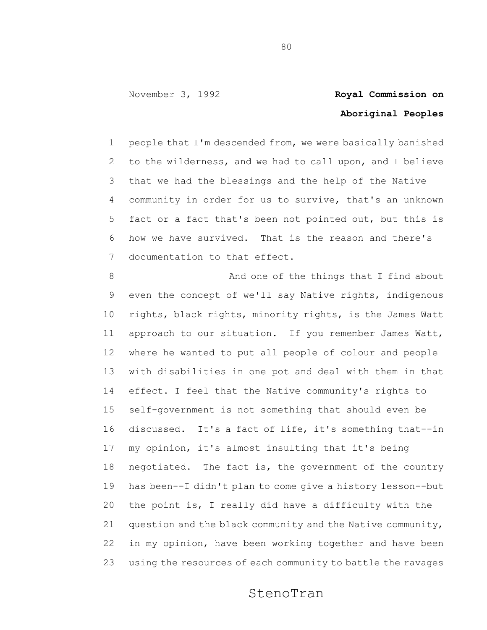## **Aboriginal Peoples**

 people that I'm descended from, we were basically banished to the wilderness, and we had to call upon, and I believe that we had the blessings and the help of the Native community in order for us to survive, that's an unknown fact or a fact that's been not pointed out, but this is how we have survived. That is the reason and there's documentation to that effect.

8 And one of the things that I find about even the concept of we'll say Native rights, indigenous rights, black rights, minority rights, is the James Watt approach to our situation. If you remember James Watt, where he wanted to put all people of colour and people with disabilities in one pot and deal with them in that effect. I feel that the Native community's rights to self-government is not something that should even be discussed. It's a fact of life, it's something that--in my opinion, it's almost insulting that it's being negotiated. The fact is, the government of the country has been--I didn't plan to come give a history lesson--but the point is, I really did have a difficulty with the question and the black community and the Native community, in my opinion, have been working together and have been using the resources of each community to battle the ravages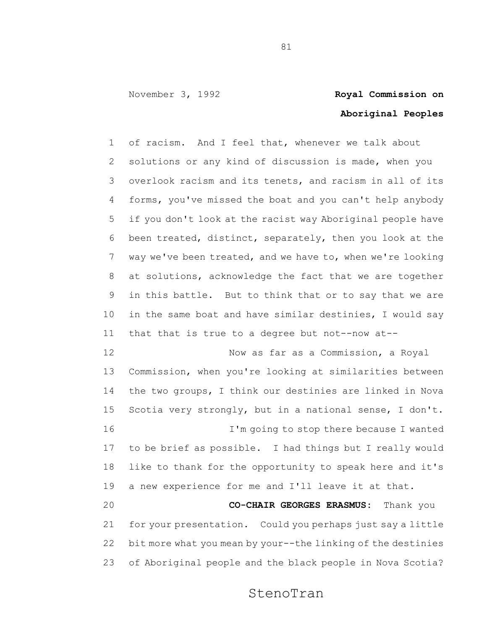## **Aboriginal Peoples**

 of racism. And I feel that, whenever we talk about solutions or any kind of discussion is made, when you overlook racism and its tenets, and racism in all of its forms, you've missed the boat and you can't help anybody if you don't look at the racist way Aboriginal people have been treated, distinct, separately, then you look at the way we've been treated, and we have to, when we're looking at solutions, acknowledge the fact that we are together in this battle. But to think that or to say that we are in the same boat and have similar destinies, I would say that that is true to a degree but not--now at--

 Now as far as a Commission, a Royal Commission, when you're looking at similarities between the two groups, I think our destinies are linked in Nova Scotia very strongly, but in a national sense, I don't. I'm going to stop there because I wanted to be brief as possible. I had things but I really would like to thank for the opportunity to speak here and it's a new experience for me and I'll leave it at that. **CO-CHAIR GEORGES ERASMUS:** Thank you for your presentation. Could you perhaps just say a little bit more what you mean by your--the linking of the destinies

of Aboriginal people and the black people in Nova Scotia?

StenoTran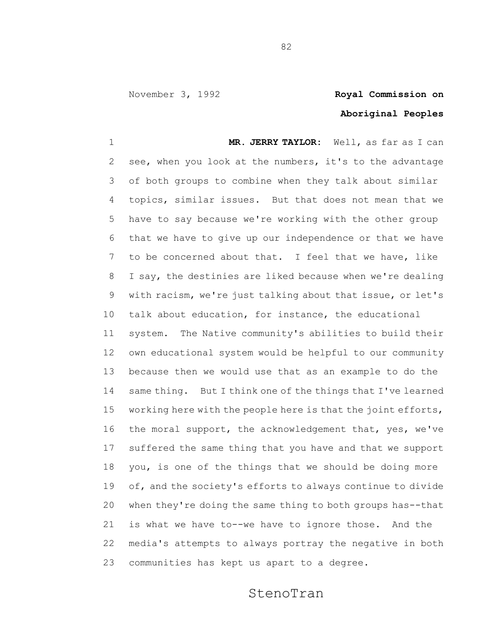## **Aboriginal Peoples**

 **MR. JERRY TAYLOR:** Well, as far as I can see, when you look at the numbers, it's to the advantage of both groups to combine when they talk about similar topics, similar issues. But that does not mean that we have to say because we're working with the other group that we have to give up our independence or that we have to be concerned about that. I feel that we have, like I say, the destinies are liked because when we're dealing with racism, we're just talking about that issue, or let's talk about education, for instance, the educational system. The Native community's abilities to build their own educational system would be helpful to our community because then we would use that as an example to do the same thing. But I think one of the things that I've learned working here with the people here is that the joint efforts, the moral support, the acknowledgement that, yes, we've suffered the same thing that you have and that we support you, is one of the things that we should be doing more of, and the society's efforts to always continue to divide when they're doing the same thing to both groups has--that is what we have to--we have to ignore those. And the media's attempts to always portray the negative in both communities has kept us apart to a degree.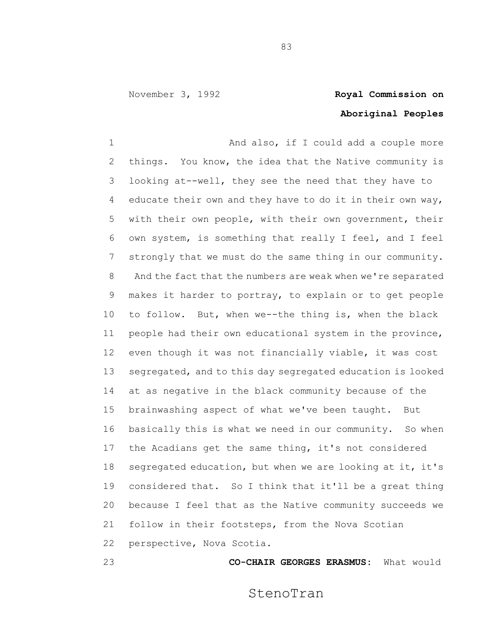## **Aboriginal Peoples**

1 And also, if I could add a couple more things. You know, the idea that the Native community is looking at--well, they see the need that they have to educate their own and they have to do it in their own way, with their own people, with their own government, their own system, is something that really I feel, and I feel strongly that we must do the same thing in our community. And the fact that the numbers are weak when we're separated makes it harder to portray, to explain or to get people to follow. But, when we--the thing is, when the black people had their own educational system in the province, even though it was not financially viable, it was cost segregated, and to this day segregated education is looked at as negative in the black community because of the brainwashing aspect of what we've been taught. But basically this is what we need in our community. So when the Acadians get the same thing, it's not considered segregated education, but when we are looking at it, it's considered that. So I think that it'll be a great thing because I feel that as the Native community succeeds we follow in their footsteps, from the Nova Scotian perspective, Nova Scotia.

**CO-CHAIR GEORGES ERASMUS:** What would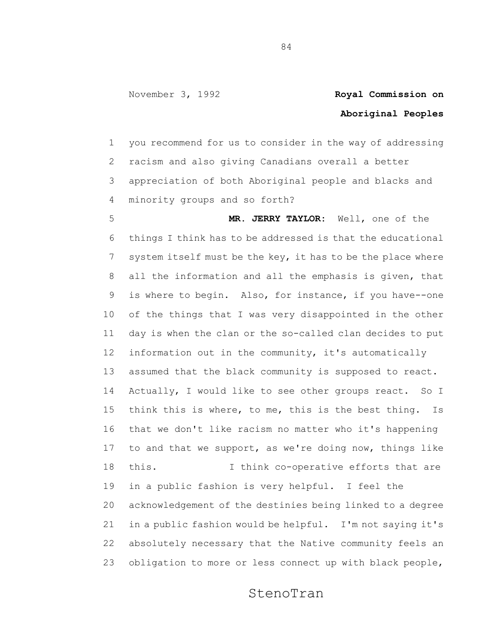## **Aboriginal Peoples**

 you recommend for us to consider in the way of addressing racism and also giving Canadians overall a better appreciation of both Aboriginal people and blacks and minority groups and so forth?

 **MR. JERRY TAYLOR:** Well, one of the things I think has to be addressed is that the educational 7 system itself must be the key, it has to be the place where all the information and all the emphasis is given, that is where to begin. Also, for instance, if you have--one of the things that I was very disappointed in the other day is when the clan or the so-called clan decides to put information out in the community, it's automatically assumed that the black community is supposed to react. Actually, I would like to see other groups react. So I think this is where, to me, this is the best thing. Is that we don't like racism no matter who it's happening to and that we support, as we're doing now, things like this. I think co-operative efforts that are in a public fashion is very helpful. I feel the acknowledgement of the destinies being linked to a degree in a public fashion would be helpful. I'm not saying it's absolutely necessary that the Native community feels an obligation to more or less connect up with black people,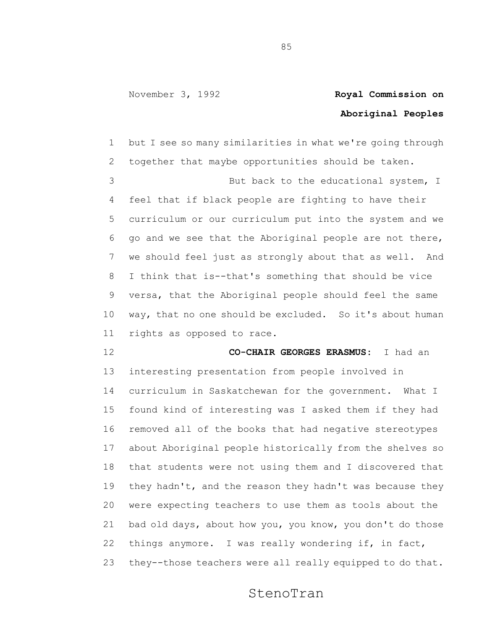# **Aboriginal Peoples**

 but I see so many similarities in what we're going through together that maybe opportunities should be taken. 3 But back to the educational system, I feel that if black people are fighting to have their curriculum or our curriculum put into the system and we go and we see that the Aboriginal people are not there, we should feel just as strongly about that as well. And I think that is--that's something that should be vice versa, that the Aboriginal people should feel the same way, that no one should be excluded. So it's about human rights as opposed to race.

### **CO-CHAIR GEORGES ERASMUS:** I had an

 interesting presentation from people involved in curriculum in Saskatchewan for the government. What I found kind of interesting was I asked them if they had removed all of the books that had negative stereotypes about Aboriginal people historically from the shelves so that students were not using them and I discovered that they hadn't, and the reason they hadn't was because they were expecting teachers to use them as tools about the bad old days, about how you, you know, you don't do those things anymore. I was really wondering if, in fact, they--those teachers were all really equipped to do that.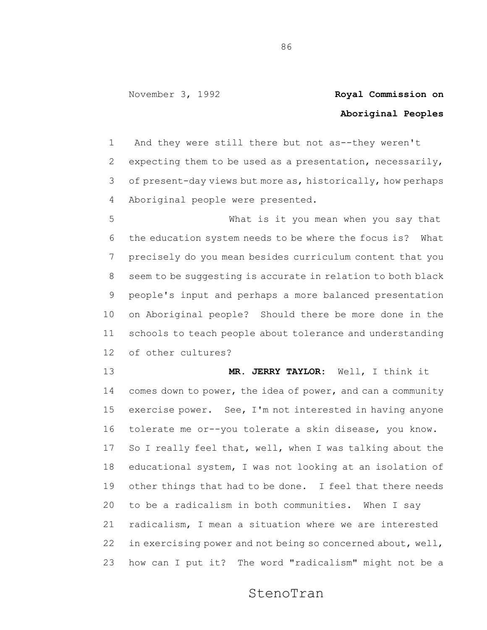## **Aboriginal Peoples**

 And they were still there but not as--they weren't expecting them to be used as a presentation, necessarily, of present-day views but more as, historically, how perhaps Aboriginal people were presented.

 What is it you mean when you say that the education system needs to be where the focus is? What precisely do you mean besides curriculum content that you seem to be suggesting is accurate in relation to both black people's input and perhaps a more balanced presentation on Aboriginal people? Should there be more done in the schools to teach people about tolerance and understanding of other cultures?

 **MR. JERRY TAYLOR:** Well, I think it 14 comes down to power, the idea of power, and can a community exercise power. See, I'm not interested in having anyone tolerate me or--you tolerate a skin disease, you know. So I really feel that, well, when I was talking about the educational system, I was not looking at an isolation of other things that had to be done. I feel that there needs to be a radicalism in both communities. When I say radicalism, I mean a situation where we are interested 22 in exercising power and not being so concerned about, well, how can I put it? The word "radicalism" might not be a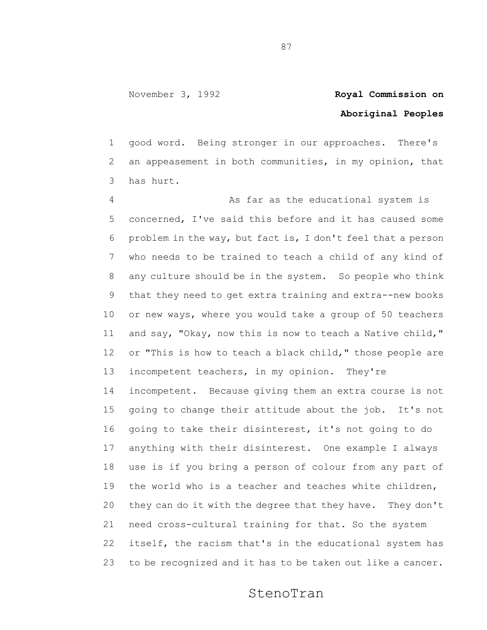## **Aboriginal Peoples**

 good word. Being stronger in our approaches. There's an appeasement in both communities, in my opinion, that has hurt.

 As far as the educational system is concerned, I've said this before and it has caused some problem in the way, but fact is, I don't feel that a person who needs to be trained to teach a child of any kind of any culture should be in the system. So people who think that they need to get extra training and extra--new books or new ways, where you would take a group of 50 teachers and say, "Okay, now this is now to teach a Native child," 12 or "This is how to teach a black child," those people are 13 incompetent teachers, in my opinion. They're incompetent. Because giving them an extra course is not going to change their attitude about the job. It's not going to take their disinterest, it's not going to do anything with their disinterest. One example I always use is if you bring a person of colour from any part of the world who is a teacher and teaches white children, they can do it with the degree that they have. They don't need cross-cultural training for that. So the system itself, the racism that's in the educational system has to be recognized and it has to be taken out like a cancer.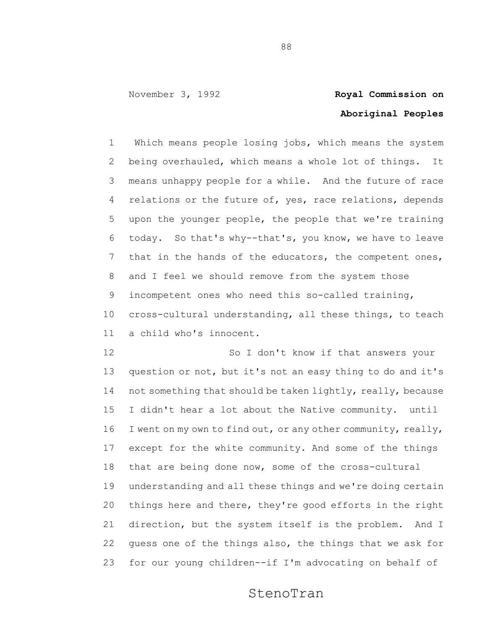# **Aboriginal Peoples**

 Which means people losing jobs, which means the system being overhauled, which means a whole lot of things. It means unhappy people for a while. And the future of race 4 relations or the future of, yes, race relations, depends upon the younger people, the people that we're training today. So that's why--that's, you know, we have to leave that in the hands of the educators, the competent ones, and I feel we should remove from the system those incompetent ones who need this so-called training, cross-cultural understanding, all these things, to teach a child who's innocent.

12 So I don't know if that answers your question or not, but it's not an easy thing to do and it's 14 not something that should be taken lightly, really, because I didn't hear a lot about the Native community. until 16 I went on my own to find out, or any other community, really, except for the white community. And some of the things that are being done now, some of the cross-cultural understanding and all these things and we're doing certain things here and there, they're good efforts in the right direction, but the system itself is the problem. And I guess one of the things also, the things that we ask for for our young children--if I'm advocating on behalf of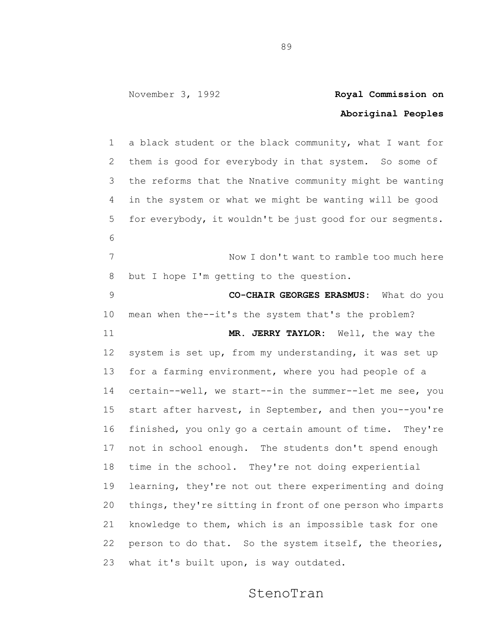## **Aboriginal Peoples**

 a black student or the black community, what I want for them is good for everybody in that system. So some of the reforms that the Nnative community might be wanting in the system or what we might be wanting will be good for everybody, it wouldn't be just good for our segments. Now I don't want to ramble too much here but I hope I'm getting to the question. **CO-CHAIR GEORGES ERASMUS:** What do you mean when the--it's the system that's the problem? **MR. JERRY TAYLOR:** Well, the way the system is set up, from my understanding, it was set up 13 for a farming environment, where you had people of a certain--well, we start--in the summer--let me see, you start after harvest, in September, and then you--you're finished, you only go a certain amount of time. They're not in school enough. The students don't spend enough time in the school. They're not doing experiential learning, they're not out there experimenting and doing things, they're sitting in front of one person who imparts knowledge to them, which is an impossible task for one person to do that. So the system itself, the theories, what it's built upon, is way outdated.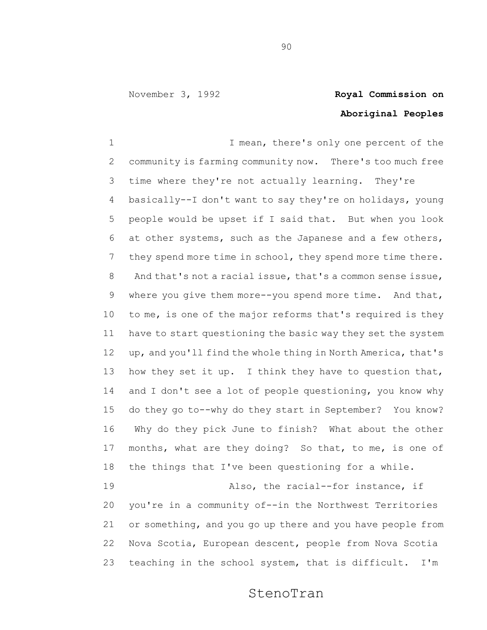## **Aboriginal Peoples**

1 1 I mean, there's only one percent of the community is farming community now. There's too much free time where they're not actually learning. They're basically--I don't want to say they're on holidays, young people would be upset if I said that. But when you look at other systems, such as the Japanese and a few others, they spend more time in school, they spend more time there. And that's not a racial issue, that's a common sense issue, where you give them more--you spend more time. And that, to me, is one of the major reforms that's required is they have to start questioning the basic way they set the system up, and you'll find the whole thing in North America, that's 13 how they set it up. I think they have to question that, 14 and I don't see a lot of people questioning, you know why do they go to--why do they start in September? You know? Why do they pick June to finish? What about the other months, what are they doing? So that, to me, is one of the things that I've been questioning for a while. Also, the racial--for instance, if you're in a community of--in the Northwest Territories

 or something, and you go up there and you have people from Nova Scotia, European descent, people from Nova Scotia teaching in the school system, that is difficult. I'm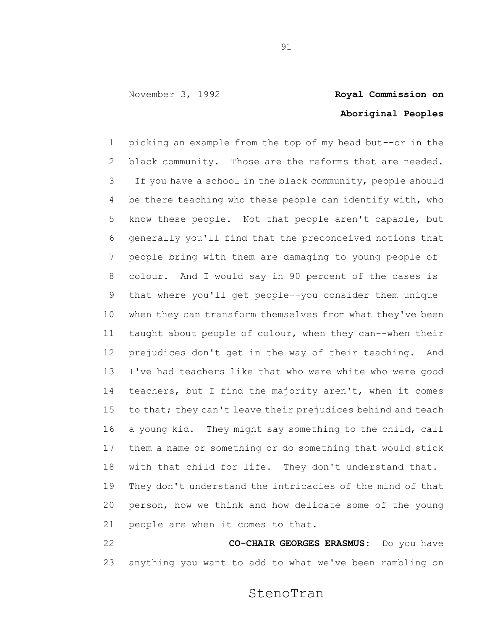## **Aboriginal Peoples**

 picking an example from the top of my head but--or in the black community. Those are the reforms that are needed. If you have a school in the black community, people should be there teaching who these people can identify with, who know these people. Not that people aren't capable, but generally you'll find that the preconceived notions that people bring with them are damaging to young people of colour. And I would say in 90 percent of the cases is that where you'll get people--you consider them unique when they can transform themselves from what they've been taught about people of colour, when they can--when their prejudices don't get in the way of their teaching. And I've had teachers like that who were white who were good teachers, but I find the majority aren't, when it comes 15 to that; they can't leave their prejudices behind and teach a young kid. They might say something to the child, call them a name or something or do something that would stick with that child for life. They don't understand that. They don't understand the intricacies of the mind of that person, how we think and how delicate some of the young people are when it comes to that.

 **CO-CHAIR GEORGES ERASMUS:** Do you have anything you want to add to what we've been rambling on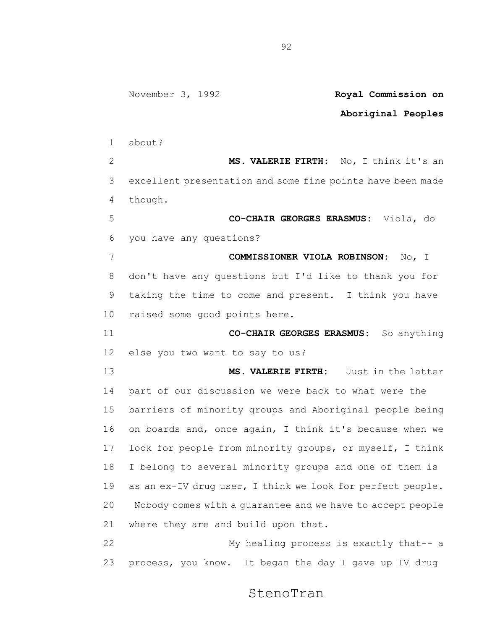### **Aboriginal Peoples** about? **MS. VALERIE FIRTH**: No, I think it's an excellent presentation and some fine points have been made though. **CO-CHAIR GEORGES ERASMUS:** Viola, do you have any questions? **COMMISSIONER VIOLA ROBINSON:** No, I don't have any questions but I'd like to thank you for taking the time to come and present. I think you have raised some good points here. **CO-CHAIR GEORGES ERASMUS:** So anything else you two want to say to us? **MS. VALERIE FIRTH:** Just in the latter part of our discussion we were back to what were the barriers of minority groups and Aboriginal people being on boards and, once again, I think it's because when we look for people from minority groups, or myself, I think I belong to several minority groups and one of them is as an ex-IV drug user, I think we look for perfect people. Nobody comes with a guarantee and we have to accept people where they are and build upon that. My healing process is exactly that-- a process, you know. It began the day I gave up IV drug

StenoTran

November 3, 1992 **Royal Commission on**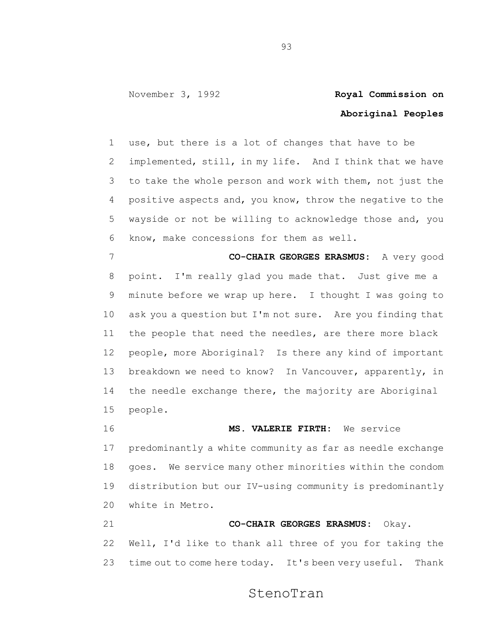## **Aboriginal Peoples**

 use, but there is a lot of changes that have to be implemented, still, in my life. And I think that we have to take the whole person and work with them, not just the positive aspects and, you know, throw the negative to the wayside or not be willing to acknowledge those and, you know, make concessions for them as well.

 **CO-CHAIR GEORGES ERASMUS:** A very good point. I'm really glad you made that. Just give me a minute before we wrap up here. I thought I was going to ask you a question but I'm not sure. Are you finding that the people that need the needles, are there more black people, more Aboriginal? Is there any kind of important breakdown we need to know? In Vancouver, apparently, in the needle exchange there, the majority are Aboriginal people.

 **MS. VALERIE FIRTH:** We service predominantly a white community as far as needle exchange goes. We service many other minorities within the condom distribution but our IV-using community is predominantly white in Metro. **CO-CHAIR GEORGES ERASMUS:** Okay.

 Well, I'd like to thank all three of you for taking the 23 time out to come here today. It's been very useful. Thank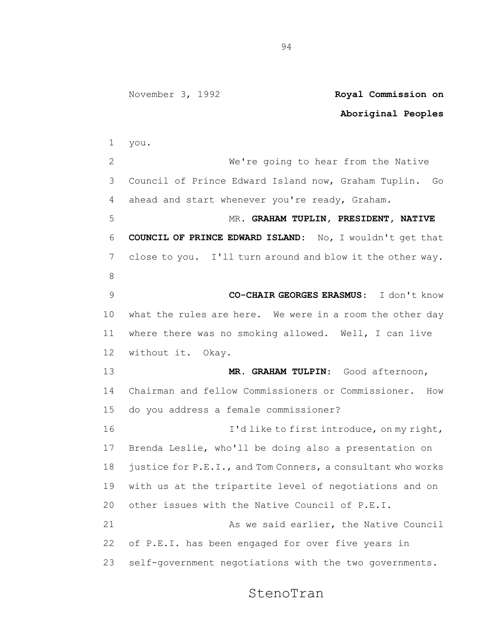### **Aboriginal Peoples** you. We're going to hear from the Native Council of Prince Edward Island now, Graham Tuplin. Go ahead and start whenever you're ready, Graham. MR. **GRAHAM TUPLIN, PRESIDENT, NATIVE COUNCIL OF PRINCE EDWARD ISLAND:** No, I wouldn't get that close to you. I'll turn around and blow it the other way. **CO-CHAIR GEORGES ERASMUS**: I don't know what the rules are here. We were in a room the other day where there was no smoking allowed. Well, I can live without it. Okay. **MR. GRAHAM TULPIN**: Good afternoon, Chairman and fellow Commissioners or Commissioner. How do you address a female commissioner? 16 I'd like to first introduce, on my right, Brenda Leslie, who'll be doing also a presentation on justice for P.E.I., and Tom Conners, a consultant who works with us at the tripartite level of negotiations and on other issues with the Native Council of P.E.I. 21 As we said earlier, the Native Council of P.E.I. has been engaged for over five years in self-government negotiations with the two governments.

### StenoTran

November 3, 1992 **Royal Commission on**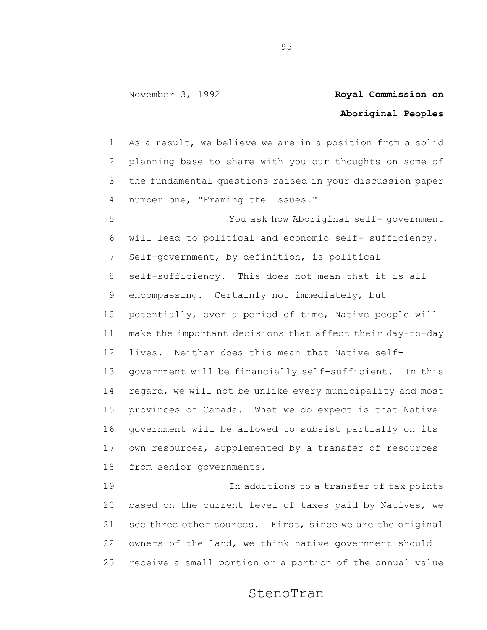## **Aboriginal Peoples**

 As a result, we believe we are in a position from a solid planning base to share with you our thoughts on some of the fundamental questions raised in your discussion paper number one, "Framing the Issues."

 You ask how Aboriginal self- government will lead to political and economic self- sufficiency. Self-government, by definition, is political self-sufficiency. This does not mean that it is all encompassing. Certainly not immediately, but potentially, over a period of time, Native people will make the important decisions that affect their day-to-day lives. Neither does this mean that Native self- government will be financially self-sufficient. In this regard, we will not be unlike every municipality and most provinces of Canada. What we do expect is that Native government will be allowed to subsist partially on its own resources, supplemented by a transfer of resources from senior governments.

 In additions to a transfer of tax points based on the current level of taxes paid by Natives, we see three other sources. First, since we are the original owners of the land, we think native government should receive a small portion or a portion of the annual value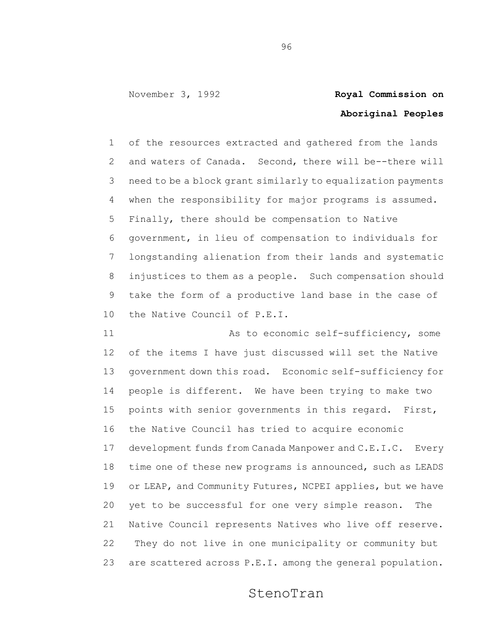## **Aboriginal Peoples**

 of the resources extracted and gathered from the lands and waters of Canada. Second, there will be--there will need to be a block grant similarly to equalization payments when the responsibility for major programs is assumed. Finally, there should be compensation to Native government, in lieu of compensation to individuals for longstanding alienation from their lands and systematic injustices to them as a people. Such compensation should take the form of a productive land base in the case of the Native Council of P.E.I.

11 As to economic self-sufficiency, some of the items I have just discussed will set the Native government down this road. Economic self-sufficiency for people is different. We have been trying to make two points with senior governments in this regard. First, the Native Council has tried to acquire economic development funds from Canada Manpower and C.E.I.C. Every 18 time one of these new programs is announced, such as LEADS 19 or LEAP, and Community Futures, NCPEI applies, but we have yet to be successful for one very simple reason. The Native Council represents Natives who live off reserve. They do not live in one municipality or community but are scattered across P.E.I. among the general population.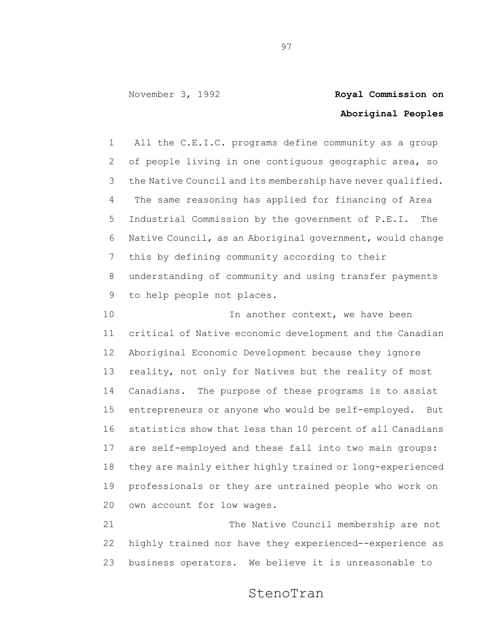## **Aboriginal Peoples**

 All the C.E.I.C. programs define community as a group of people living in one contiguous geographic area, so the Native Council and its membership have never qualified. The same reasoning has applied for financing of Area Industrial Commission by the government of P.E.I. The Native Council, as an Aboriginal government, would change this by defining community according to their understanding of community and using transfer payments to help people not places.

10 10 In another context, we have been critical of Native economic development and the Canadian Aboriginal Economic Development because they ignore reality, not only for Natives but the reality of most Canadians. The purpose of these programs is to assist entrepreneurs or anyone who would be self-employed. But statistics show that less than 10 percent of all Canadians are self-employed and these fall into two main groups: they are mainly either highly trained or long-experienced professionals or they are untrained people who work on own account for low wages.

 The Native Council membership are not highly trained nor have they experienced--experience as business operators. We believe it is unreasonable to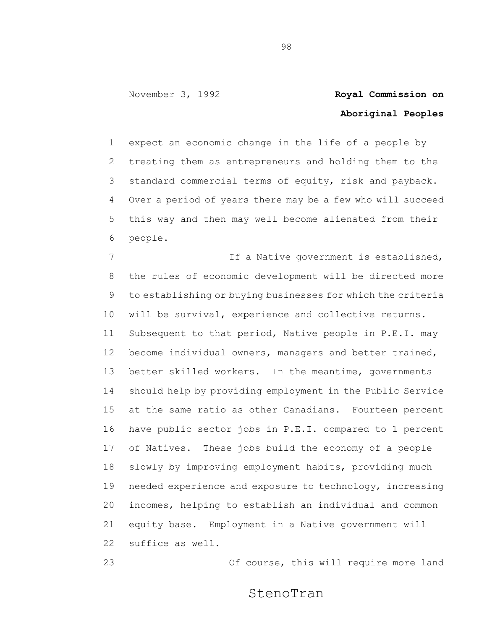## **Aboriginal Peoples**

 expect an economic change in the life of a people by treating them as entrepreneurs and holding them to the standard commercial terms of equity, risk and payback. Over a period of years there may be a few who will succeed this way and then may well become alienated from their people.

7 1 If a Native government is established, the rules of economic development will be directed more to establishing or buying businesses for which the criteria will be survival, experience and collective returns. Subsequent to that period, Native people in P.E.I. may become individual owners, managers and better trained, 13 better skilled workers. In the meantime, governments should help by providing employment in the Public Service at the same ratio as other Canadians. Fourteen percent have public sector jobs in P.E.I. compared to 1 percent of Natives. These jobs build the economy of a people slowly by improving employment habits, providing much needed experience and exposure to technology, increasing incomes, helping to establish an individual and common equity base. Employment in a Native government will suffice as well.

Of course, this will require more land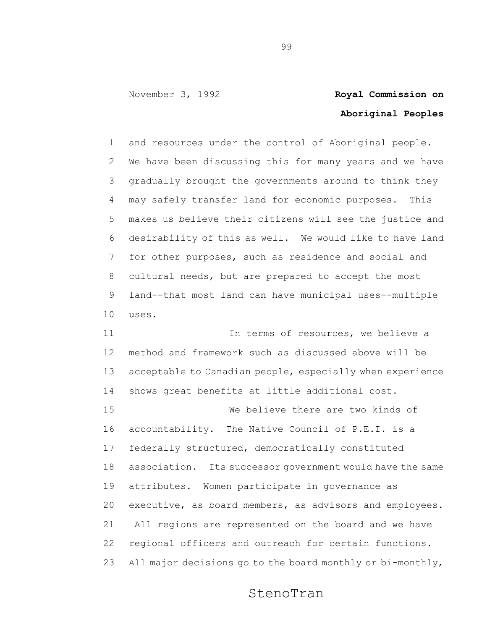# **Aboriginal Peoples**

 and resources under the control of Aboriginal people. We have been discussing this for many years and we have gradually brought the governments around to think they may safely transfer land for economic purposes. This makes us believe their citizens will see the justice and desirability of this as well. We would like to have land for other purposes, such as residence and social and cultural needs, but are prepared to accept the most land--that most land can have municipal uses--multiple uses.

11 11 In terms of resources, we believe a method and framework such as discussed above will be acceptable to Canadian people, especially when experience shows great benefits at little additional cost. We believe there are two kinds of accountability. The Native Council of P.E.I. is a federally structured, democratically constituted association. Its successor government would have the same attributes. Women participate in governance as executive, as board members, as advisors and employees. All regions are represented on the board and we have regional officers and outreach for certain functions. All major decisions go to the board monthly or bi-monthly,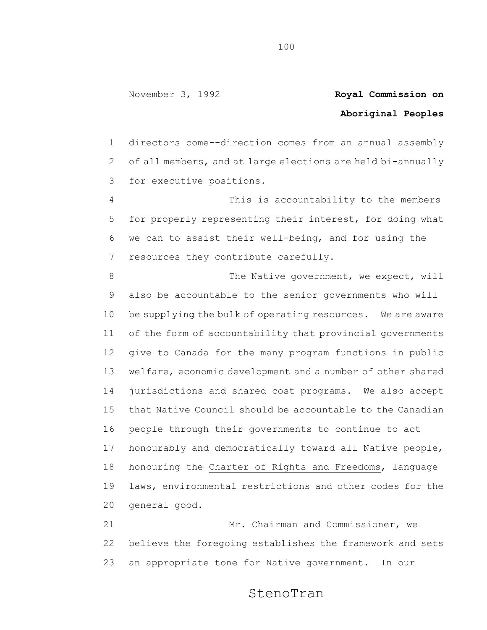## **Aboriginal Peoples**

 directors come--direction comes from an annual assembly of all members, and at large elections are held bi-annually for executive positions.

 This is accountability to the members for properly representing their interest, for doing what we can to assist their well-being, and for using the resources they contribute carefully.

8 The Native government, we expect, will also be accountable to the senior governments who will be supplying the bulk of operating resources. We are aware of the form of accountability that provincial governments give to Canada for the many program functions in public welfare, economic development and a number of other shared jurisdictions and shared cost programs. We also accept that Native Council should be accountable to the Canadian people through their governments to continue to act honourably and democratically toward all Native people, honouring the Charter of Rights and Freedoms, language laws, environmental restrictions and other codes for the general good.

21 Mr. Chairman and Commissioner, we believe the foregoing establishes the framework and sets an appropriate tone for Native government. In our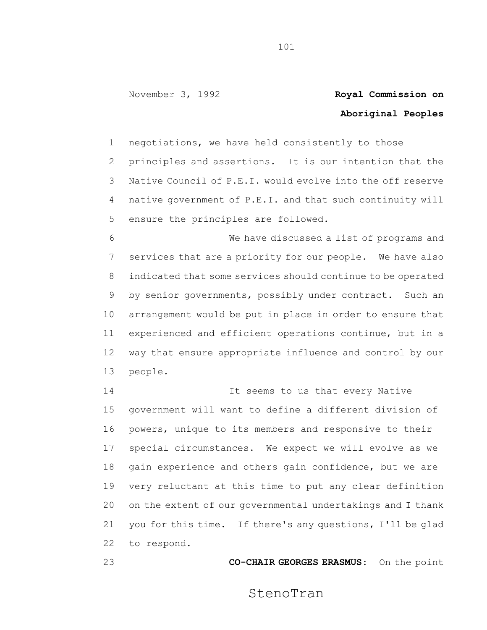## **Aboriginal Peoples**

 negotiations, we have held consistently to those principles and assertions. It is our intention that the Native Council of P.E.I. would evolve into the off reserve native government of P.E.I. and that such continuity will ensure the principles are followed.

 We have discussed a list of programs and services that are a priority for our people. We have also indicated that some services should continue to be operated by senior governments, possibly under contract. Such an arrangement would be put in place in order to ensure that experienced and efficient operations continue, but in a way that ensure appropriate influence and control by our people.

14 14 It seems to us that every Native government will want to define a different division of powers, unique to its members and responsive to their special circumstances. We expect we will evolve as we gain experience and others gain confidence, but we are very reluctant at this time to put any clear definition on the extent of our governmental undertakings and I thank you for this time. If there's any questions, I'll be glad to respond.

**CO-CHAIR GEORGES ERASMUS:** On the point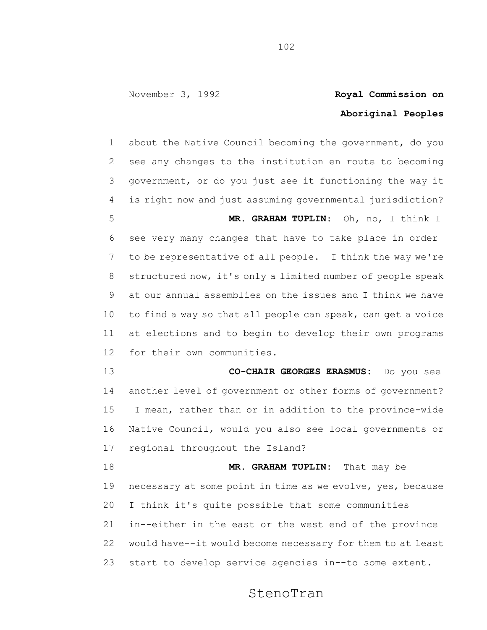## **Aboriginal Peoples**

 about the Native Council becoming the government, do you see any changes to the institution en route to becoming government, or do you just see it functioning the way it is right now and just assuming governmental jurisdiction? **MR. GRAHAM TUPLIN**: Oh, no, I think I see very many changes that have to take place in order to be representative of all people. I think the way we're structured now, it's only a limited number of people speak at our annual assemblies on the issues and I think we have to find a way so that all people can speak, can get a voice at elections and to begin to develop their own programs for their own communities. **CO-CHAIR GEORGES ERASMUS:** Do you see another level of government or other forms of government? I mean, rather than or in addition to the province-wide Native Council, would you also see local governments or regional throughout the Island? **MR. GRAHAM TUPLIN:** That may be necessary at some point in time as we evolve, yes, because I think it's quite possible that some communities in--either in the east or the west end of the province would have--it would become necessary for them to at least start to develop service agencies in--to some extent.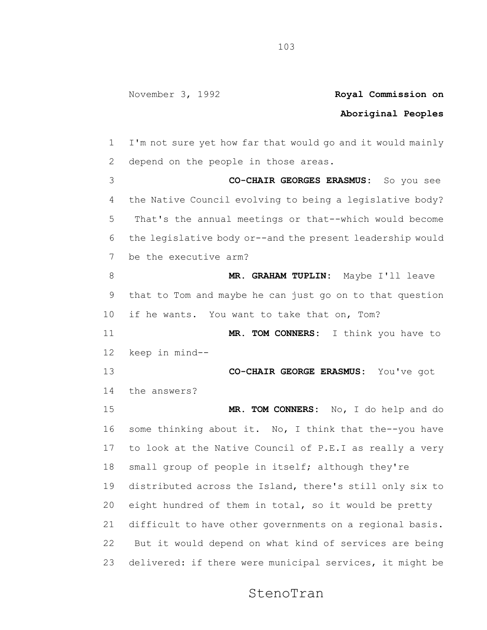### **Aboriginal Peoples**

 I'm not sure yet how far that would go and it would mainly depend on the people in those areas. **CO-CHAIR GEORGES ERASMUS:** So you see the Native Council evolving to being a legislative body? That's the annual meetings or that--which would become the legislative body or--and the present leadership would be the executive arm? **MR. GRAHAM TUPLIN:** Maybe I'll leave that to Tom and maybe he can just go on to that question if he wants. You want to take that on, Tom? **MR. TOM CONNERS:** I think you have to keep in mind-- **CO-CHAIR GEORGE ERASMUS:** You've got the answers? **MR. TOM CONNERS:** No, I do help and do some thinking about it. No, I think that the--you have to look at the Native Council of P.E.I as really a very small group of people in itself; although they're distributed across the Island, there's still only six to eight hundred of them in total, so it would be pretty difficult to have other governments on a regional basis. But it would depend on what kind of services are being delivered: if there were municipal services, it might be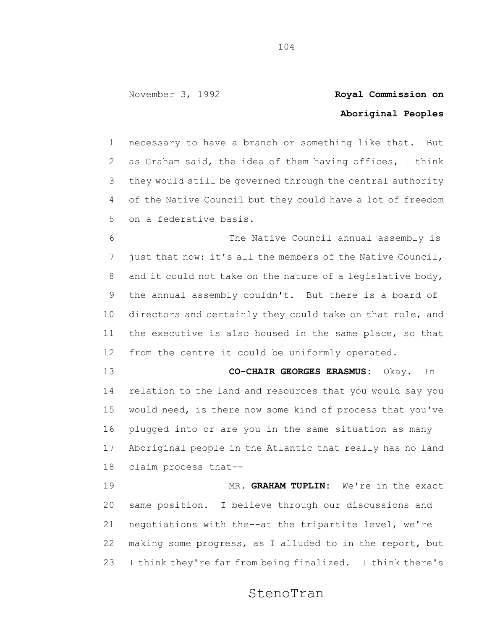## **Aboriginal Peoples**

 necessary to have a branch or something like that. But as Graham said, the idea of them having offices, I think they would still be governed through the central authority of the Native Council but they could have a lot of freedom on a federative basis.

 The Native Council annual assembly is just that now: it's all the members of the Native Council, and it could not take on the nature of a legislative body, the annual assembly couldn't. But there is a board of directors and certainly they could take on that role, and the executive is also housed in the same place, so that from the centre it could be uniformly operated.

 **CO-CHAIR GEORGES ERASMUS:** Okay. In relation to the land and resources that you would say you would need, is there now some kind of process that you've plugged into or are you in the same situation as many Aboriginal people in the Atlantic that really has no land claim process that--

 MR. **GRAHAM TUPLIN:** We're in the exact same position. I believe through our discussions and negotiations with the--at the tripartite level, we're making some progress, as I alluded to in the report, but I think they're far from being finalized. I think there's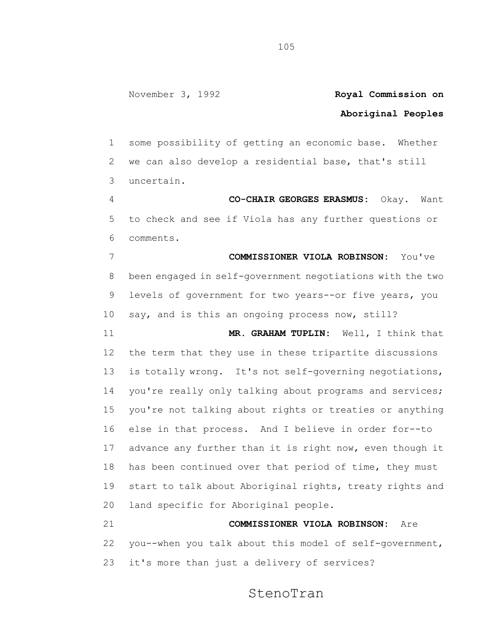### **Aboriginal Peoples**

 some possibility of getting an economic base. Whether we can also develop a residential base, that's still uncertain.

 **CO-CHAIR GEORGES ERASMUS:** Okay. Want to check and see if Viola has any further questions or comments.

 **COMMISSIONER VIOLA ROBINSON:** You've been engaged in self-government negotiations with the two levels of government for two years--or five years, you say, and is this an ongoing process now, still?

 **MR. GRAHAM TUPLIN:** Well, I think that the term that they use in these tripartite discussions is totally wrong. It's not self-governing negotiations, 14 you're really only talking about programs and services; you're not talking about rights or treaties or anything else in that process. And I believe in order for--to advance any further than it is right now, even though it has been continued over that period of time, they must start to talk about Aboriginal rights, treaty rights and land specific for Aboriginal people.

 **COMMISSIONER VIOLA ROBINSON:** Are you--when you talk about this model of self-government, it's more than just a delivery of services?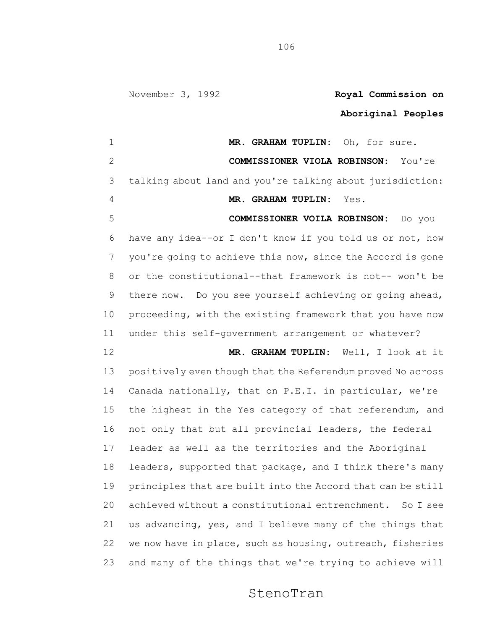## **Aboriginal Peoples**

 **MR. GRAHAM TUPLIN:** Oh, for sure. **COMMISSIONER VIOLA ROBINSON:** You're talking about land and you're talking about jurisdiction: **MR. GRAHAM TUPLIN:** Yes. **COMMISSIONER VOILA ROBINSON:** Do you have any idea--or I don't know if you told us or not, how you're going to achieve this now, since the Accord is gone or the constitutional--that framework is not-- won't be there now. Do you see yourself achieving or going ahead, proceeding, with the existing framework that you have now under this self-government arrangement or whatever? **MR. GRAHAM TUPLIN:** Well, I look at it positively even though that the Referendum proved No across Canada nationally, that on P.E.I. in particular, we're the highest in the Yes category of that referendum, and 16 not only that but all provincial leaders, the federal leader as well as the territories and the Aboriginal leaders, supported that package, and I think there's many principles that are built into the Accord that can be still achieved without a constitutional entrenchment. So I see us advancing, yes, and I believe many of the things that we now have in place, such as housing, outreach, fisheries and many of the things that we're trying to achieve will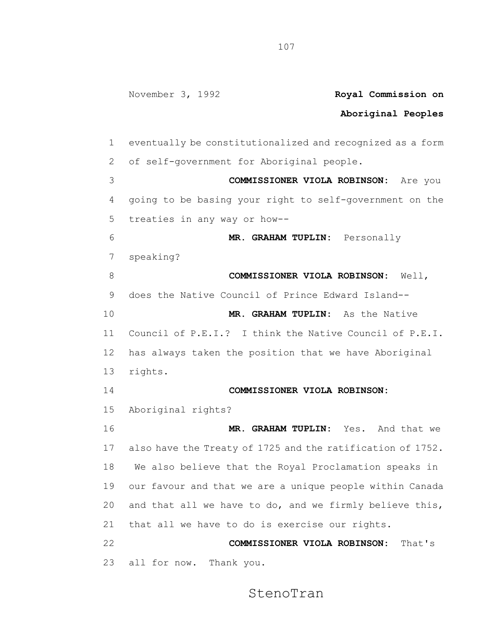#### **Aboriginal Peoples**

 eventually be constitutionalized and recognized as a form of self-government for Aboriginal people. **COMMISSIONER VIOLA ROBINSON:** Are you going to be basing your right to self-government on the treaties in any way or how-- **MR. GRAHAM TUPLIN:** Personally speaking? **COMMISSIONER VIOLA ROBINSON:** Well, does the Native Council of Prince Edward Island-- **MR. GRAHAM TUPLIN:** As the Native Council of P.E.I.? I think the Native Council of P.E.I. has always taken the position that we have Aboriginal rights. **COMMISSIONER VIOLA ROBINSON:** Aboriginal rights? **MR. GRAHAM TUPLIN:** Yes. And that we also have the Treaty of 1725 and the ratification of 1752. We also believe that the Royal Proclamation speaks in our favour and that we are a unique people within Canada and that all we have to do, and we firmly believe this, that all we have to do is exercise our rights. **COMMISSIONER VIOLA ROBINSON:** That's all for now. Thank you.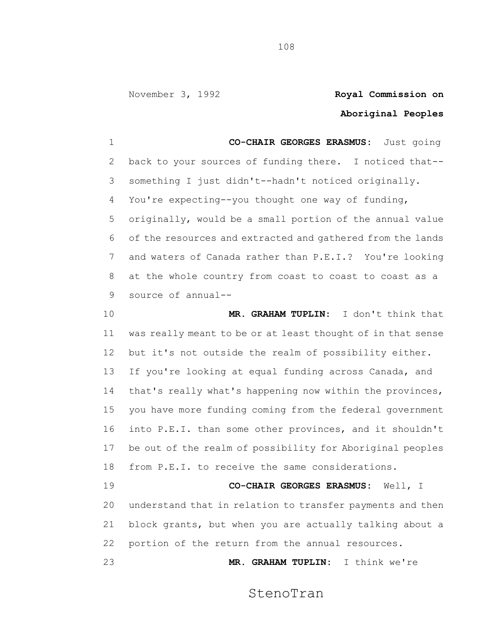## **Aboriginal Peoples**

 **CO-CHAIR GEORGES ERASMUS:** Just going back to your sources of funding there. I noticed that-- something I just didn't--hadn't noticed originally. You're expecting--you thought one way of funding, originally, would be a small portion of the annual value of the resources and extracted and gathered from the lands and waters of Canada rather than P.E.I.? You're looking at the whole country from coast to coast to coast as a source of annual--

 **MR. GRAHAM TUPLIN:** I don't think that was really meant to be or at least thought of in that sense but it's not outside the realm of possibility either. If you're looking at equal funding across Canada, and that's really what's happening now within the provinces, you have more funding coming from the federal government into P.E.I. than some other provinces, and it shouldn't be out of the realm of possibility for Aboriginal peoples from P.E.I. to receive the same considerations. **CO-CHAIR GEORGES ERASMUS:** Well, I

 understand that in relation to transfer payments and then block grants, but when you are actually talking about a portion of the return from the annual resources.

**MR. GRAHAM TUPLIN:** I think we're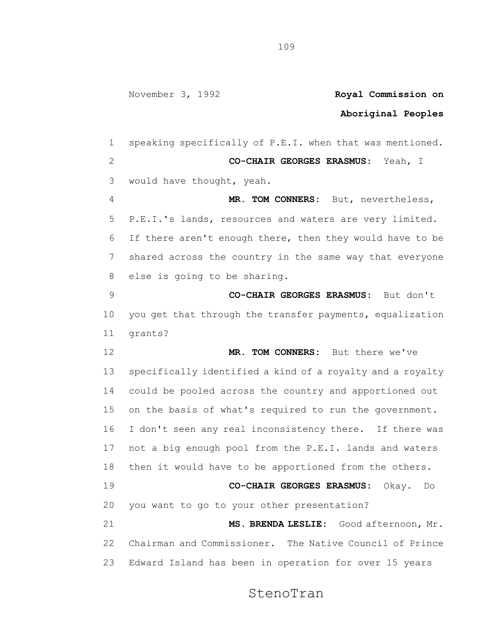#### **Aboriginal Peoples**

 speaking specifically of P.E.I. when that was mentioned. **CO-CHAIR GEORGES ERASMUS:** Yeah, I would have thought, yeah. **MR. TOM CONNERS:** But, nevertheless, P.E.I.'s lands, resources and waters are very limited. If there aren't enough there, then they would have to be shared across the country in the same way that everyone else is going to be sharing. **CO-CHAIR GEORGES ERASMUS:** But don't you get that through the transfer payments, equalization grants? **MR. TOM CONNERS:** But there we've specifically identified a kind of a royalty and a royalty could be pooled across the country and apportioned out on the basis of what's required to run the government. I don't seen any real inconsistency there. If there was not a big enough pool from the P.E.I. lands and waters then it would have to be apportioned from the others. **CO-CHAIR GEORGES ERASMUS:** Okay. Do you want to go to your other presentation? **MS. BRENDA LESLIE:** Good afternoon, Mr. Chairman and Commissioner. The Native Council of Prince Edward Island has been in operation for over 15 years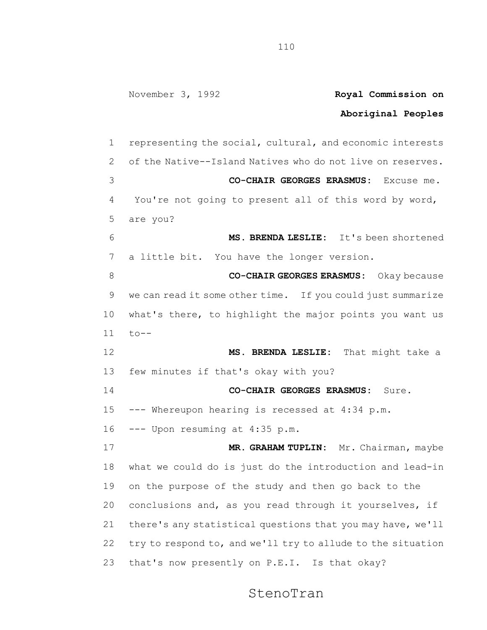## **Aboriginal Peoples**

 representing the social, cultural, and economic interests of the Native--Island Natives who do not live on reserves. **CO-CHAIR GEORGES ERASMUS:** Excuse me. You're not going to present all of this word by word, are you? **MS. BRENDA LESLIE:** It's been shortened a little bit. You have the longer version. **CO-CHAIR GEORGES ERASMUS:** Okay because we can read it some other time. If you could just summarize what's there, to highlight the major points you want us to-- **MS. BRENDA LESLIE:** That might take a few minutes if that's okay with you? **CO-CHAIR GEORGES ERASMUS:** Sure. --- Whereupon hearing is recessed at 4:34 p.m. --- Upon resuming at 4:35 p.m. **MR. GRAHAM TUPLIN:** Mr. Chairman, maybe what we could do is just do the introduction and lead-in on the purpose of the study and then go back to the conclusions and, as you read through it yourselves, if there's any statistical questions that you may have, we'll try to respond to, and we'll try to allude to the situation that's now presently on P.E.I. Is that okay?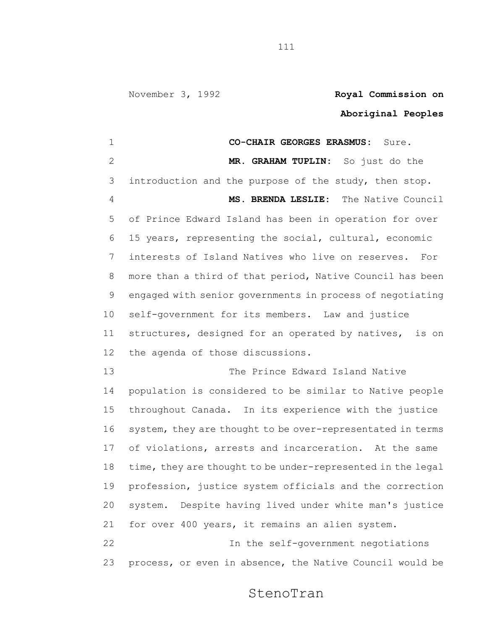### **Aboriginal Peoples**

 **CO-CHAIR GEORGES ERASMUS:** Sure. **MR. GRAHAM TUPLIN:** So just do the introduction and the purpose of the study, then stop. **MS. BRENDA LESLIE:** The Native Council of Prince Edward Island has been in operation for over 15 years, representing the social, cultural, economic interests of Island Natives who live on reserves. For more than a third of that period, Native Council has been engaged with senior governments in process of negotiating self-government for its members. Law and justice structures, designed for an operated by natives, is on the agenda of those discussions. The Prince Edward Island Native population is considered to be similar to Native people throughout Canada. In its experience with the justice system, they are thought to be over-representated in terms of violations, arrests and incarceration. At the same time, they are thought to be under-represented in the legal profession, justice system officials and the correction system. Despite having lived under white man's justice for over 400 years, it remains an alien system. In the self-government negotiations process, or even in absence, the Native Council would be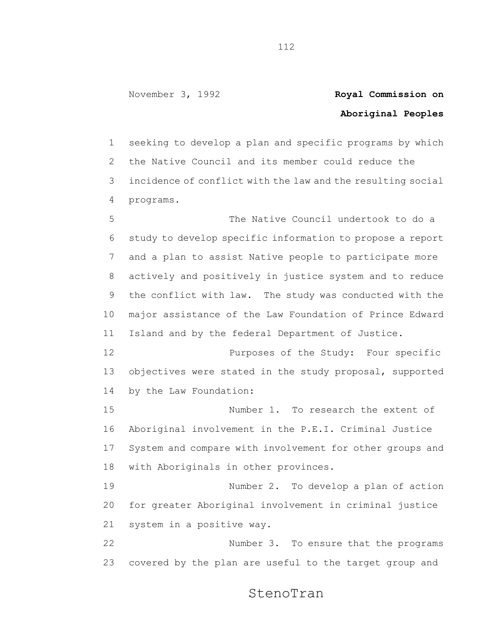## **Aboriginal Peoples**

 seeking to develop a plan and specific programs by which the Native Council and its member could reduce the incidence of conflict with the law and the resulting social programs.

 The Native Council undertook to do a study to develop specific information to propose a report and a plan to assist Native people to participate more actively and positively in justice system and to reduce the conflict with law. The study was conducted with the major assistance of the Law Foundation of Prince Edward Island and by the federal Department of Justice.

 Purposes of the Study: Four specific objectives were stated in the study proposal, supported by the Law Foundation:

 Number 1. To research the extent of Aboriginal involvement in the P.E.I. Criminal Justice System and compare with involvement for other groups and with Aboriginals in other provinces.

 Number 2. To develop a plan of action for greater Aboriginal involvement in criminal justice system in a positive way.

 Number 3. To ensure that the programs covered by the plan are useful to the target group and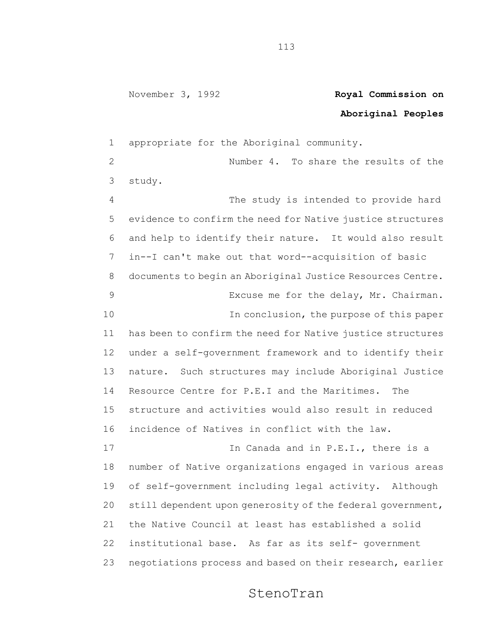#### **Aboriginal Peoples**

 appropriate for the Aboriginal community. Number 4. To share the results of the study. The study is intended to provide hard evidence to confirm the need for Native justice structures and help to identify their nature. It would also result in--I can't make out that word--acquisition of basic documents to begin an Aboriginal Justice Resources Centre. Excuse me for the delay, Mr. Chairman. **In conclusion, the purpose of this paper**  has been to confirm the need for Native justice structures under a self-government framework and to identify their nature. Such structures may include Aboriginal Justice Resource Centre for P.E.I and the Maritimes. The structure and activities would also result in reduced incidence of Natives in conflict with the law. 17 17 In Canada and in P.E.I., there is a number of Native organizations engaged in various areas of self-government including legal activity. Although still dependent upon generosity of the federal government, the Native Council at least has established a solid institutional base. As far as its self- government negotiations process and based on their research, earlier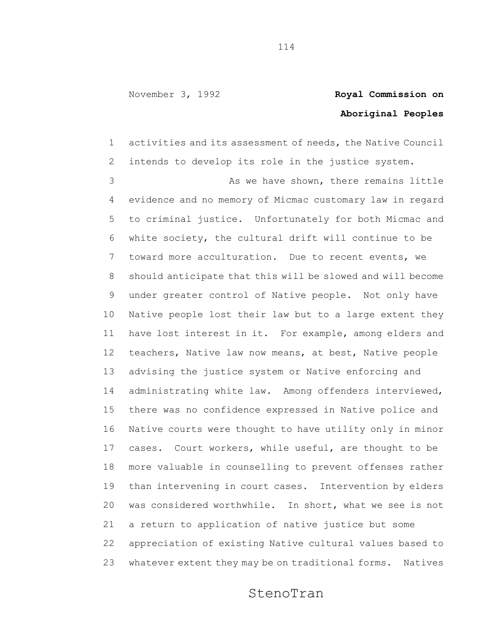## **Aboriginal Peoples**

 activities and its assessment of needs, the Native Council intends to develop its role in the justice system. 3 As we have shown, there remains little evidence and no memory of Micmac customary law in regard to criminal justice. Unfortunately for both Micmac and white society, the cultural drift will continue to be toward more acculturation. Due to recent events, we should anticipate that this will be slowed and will become under greater control of Native people. Not only have Native people lost their law but to a large extent they have lost interest in it. For example, among elders and teachers, Native law now means, at best, Native people advising the justice system or Native enforcing and administrating white law. Among offenders interviewed, there was no confidence expressed in Native police and Native courts were thought to have utility only in minor cases. Court workers, while useful, are thought to be more valuable in counselling to prevent offenses rather than intervening in court cases. Intervention by elders was considered worthwhile. In short, what we see is not a return to application of native justice but some appreciation of existing Native cultural values based to whatever extent they may be on traditional forms. Natives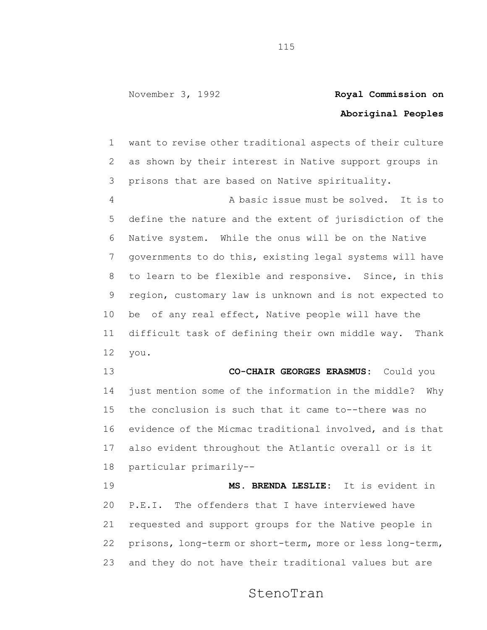# **Aboriginal Peoples**

 want to revise other traditional aspects of their culture as shown by their interest in Native support groups in prisons that are based on Native spirituality.

 A basic issue must be solved. It is to define the nature and the extent of jurisdiction of the Native system. While the onus will be on the Native governments to do this, existing legal systems will have to learn to be flexible and responsive. Since, in this region, customary law is unknown and is not expected to be of any real effect, Native people will have the difficult task of defining their own middle way. Thank you.

 **CO-CHAIR GEORGES ERASMUS:** Could you just mention some of the information in the middle? Why the conclusion is such that it came to--there was no evidence of the Micmac traditional involved, and is that also evident throughout the Atlantic overall or is it particular primarily--

 **MS. BRENDA LESLIE:** It is evident in P.E.I. The offenders that I have interviewed have requested and support groups for the Native people in prisons, long-term or short-term, more or less long-term, and they do not have their traditional values but are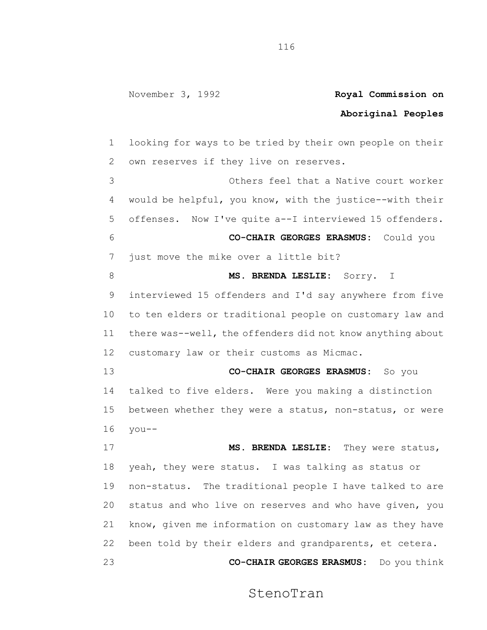## **Aboriginal Peoples**

 looking for ways to be tried by their own people on their own reserves if they live on reserves. Others feel that a Native court worker would be helpful, you know, with the justice--with their offenses. Now I've quite a--I interviewed 15 offenders. **CO-CHAIR GEORGES ERASMUS:** Could you just move the mike over a little bit? 8 MS. BRENDA LESLIE: Sorry. I interviewed 15 offenders and I'd say anywhere from five to ten elders or traditional people on customary law and there was--well, the offenders did not know anything about customary law or their customs as Micmac. **CO-CHAIR GEORGES ERASMUS:** So you talked to five elders. Were you making a distinction between whether they were a status, non-status, or were you-- **MS. BRENDA LESLIE**: They were status, yeah, they were status. I was talking as status or non-status. The traditional people I have talked to are status and who live on reserves and who have given, you

 been told by their elders and grandparents, et cetera. **CO-CHAIR GEORGES ERASMUS:** Do you think

know, given me information on customary law as they have

StenoTran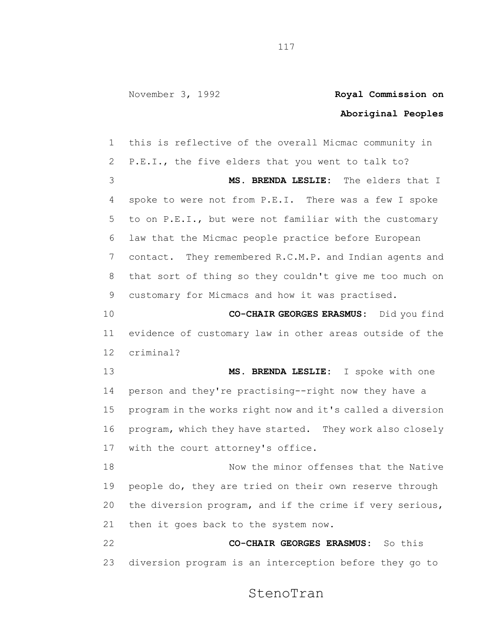## **Aboriginal Peoples**

 this is reflective of the overall Micmac community in P.E.I., the five elders that you went to talk to? **MS. BRENDA LESLIE:** The elders that I spoke to were not from P.E.I. There was a few I spoke to on P.E.I., but were not familiar with the customary law that the Micmac people practice before European contact. They remembered R.C.M.P. and Indian agents and that sort of thing so they couldn't give me too much on customary for Micmacs and how it was practised. **CO-CHAIR GEORGES ERASMUS:** Did you find evidence of customary law in other areas outside of the criminal? **MS. BRENDA LESLIE:** I spoke with one person and they're practising--right now they have a program in the works right now and it's called a diversion program, which they have started. They work also closely with the court attorney's office. 18 Now the minor offenses that the Native people do, they are tried on their own reserve through the diversion program, and if the crime if very serious, then it goes back to the system now. **CO-CHAIR GEORGES ERASMUS:** So this

diversion program is an interception before they go to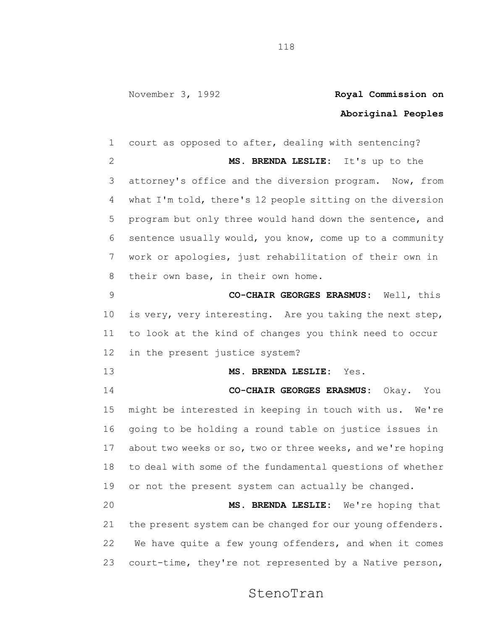## **Aboriginal Peoples**

 court as opposed to after, dealing with sentencing? **MS. BRENDA LESLIE:** It's up to the attorney's office and the diversion program. Now, from what I'm told, there's 12 people sitting on the diversion program but only three would hand down the sentence, and sentence usually would, you know, come up to a community work or apologies, just rehabilitation of their own in their own base, in their own home. **CO-CHAIR GEORGES ERASMUS:** Well, this is very, very interesting. Are you taking the next step, to look at the kind of changes you think need to occur in the present justice system? **MS. BRENDA LESLIE:** Yes. **CO-CHAIR GEORGES ERASMUS:** Okay. You might be interested in keeping in touch with us. We're going to be holding a round table on justice issues in 17 about two weeks or so, two or three weeks, and we're hoping to deal with some of the fundamental questions of whether or not the present system can actually be changed. **MS. BRENDA LESLIE:** We're hoping that 21 the present system can be changed for our young offenders. We have quite a few young offenders, and when it comes court-time, they're not represented by a Native person,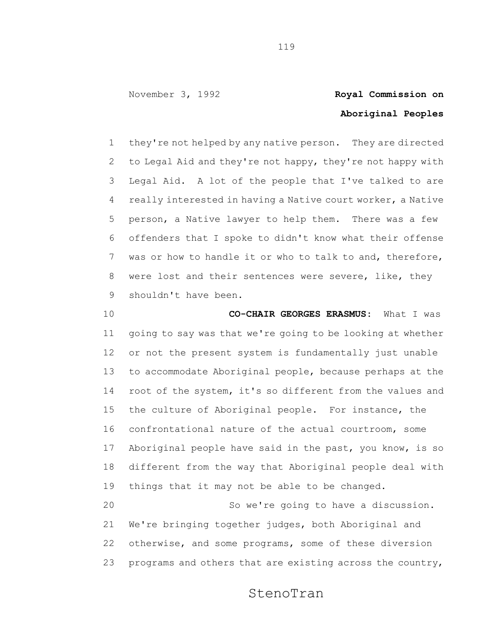# **Aboriginal Peoples**

 they're not helped by any native person. They are directed to Legal Aid and they're not happy, they're not happy with Legal Aid. A lot of the people that I've talked to are really interested in having a Native court worker, a Native person, a Native lawyer to help them. There was a few offenders that I spoke to didn't know what their offense was or how to handle it or who to talk to and, therefore, were lost and their sentences were severe, like, they shouldn't have been.

 **CO-CHAIR GEORGES ERASMUS:** What I was going to say was that we're going to be looking at whether or not the present system is fundamentally just unable to accommodate Aboriginal people, because perhaps at the root of the system, it's so different from the values and the culture of Aboriginal people. For instance, the confrontational nature of the actual courtroom, some Aboriginal people have said in the past, you know, is so different from the way that Aboriginal people deal with things that it may not be able to be changed. So we're going to have a discussion.

 We're bringing together judges, both Aboriginal and otherwise, and some programs, some of these diversion programs and others that are existing across the country,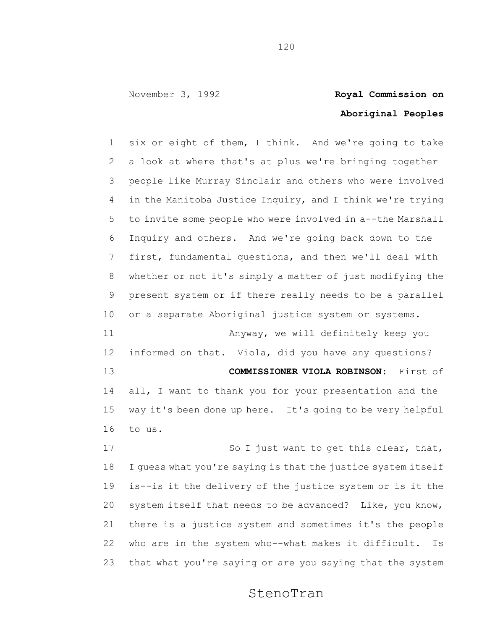# **Aboriginal Peoples**

 six or eight of them, I think. And we're going to take a look at where that's at plus we're bringing together people like Murray Sinclair and others who were involved in the Manitoba Justice Inquiry, and I think we're trying to invite some people who were involved in a--the Marshall Inquiry and others. And we're going back down to the first, fundamental questions, and then we'll deal with whether or not it's simply a matter of just modifying the present system or if there really needs to be a parallel or a separate Aboriginal justice system or systems. Anyway, we will definitely keep you informed on that. Viola, did you have any questions? **COMMISSIONER VIOLA ROBINSON**: First of all, I want to thank you for your presentation and the way it's been done up here. It's going to be very helpful to us. 17 So I just want to get this clear, that, I guess what you're saying is that the justice system itself is--is it the delivery of the justice system or is it the system itself that needs to be advanced? Like, you know, there is a justice system and sometimes it's the people

 who are in the system who--what makes it difficult. Is that what you're saying or are you saying that the system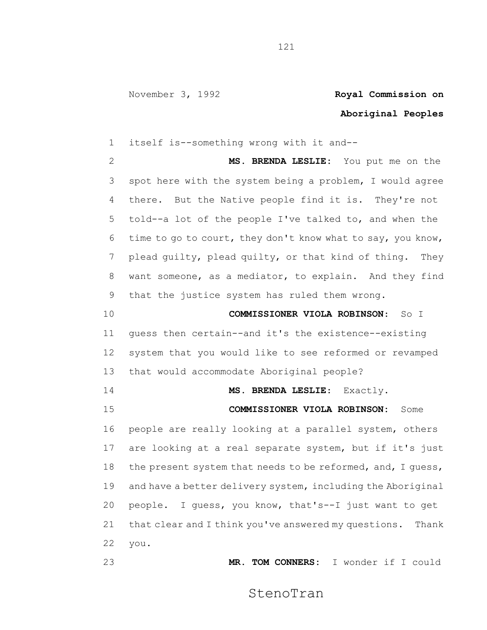#### **Aboriginal Peoples**

 itself is--something wrong with it and-- **MS. BRENDA LESLIE:** You put me on the spot here with the system being a problem, I would agree there. But the Native people find it is. They're not told--a lot of the people I've talked to, and when the time to go to court, they don't know what to say, you know, plead guilty, plead quilty, or that kind of thing. They want someone, as a mediator, to explain. And they find that the justice system has ruled them wrong. **COMMISSIONER VIOLA ROBINSON**: So I

 guess then certain--and it's the existence--existing system that you would like to see reformed or revamped that would accommodate Aboriginal people?

**MS. BRENDA LESLIE**: Exactly.

 **COMMISSIONER VIOLA ROBINSON:** Some people are really looking at a parallel system, others

 are looking at a real separate system, but if it's just 18 the present system that needs to be reformed, and, I quess, and have a better delivery system, including the Aboriginal people. I guess, you know, that's--I just want to get 21 that clear and I think you've answered my questions. Thank you.

**MR. TOM CONNERS:** I wonder if I could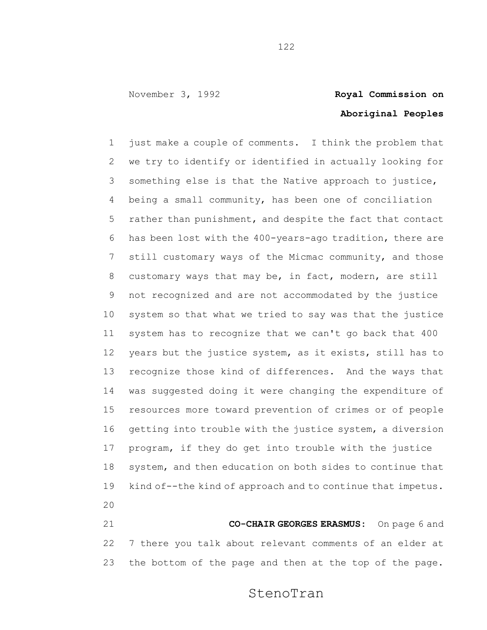# **Aboriginal Peoples**

 just make a couple of comments. I think the problem that we try to identify or identified in actually looking for something else is that the Native approach to justice, being a small community, has been one of conciliation rather than punishment, and despite the fact that contact has been lost with the 400-years-ago tradition, there are still customary ways of the Micmac community, and those customary ways that may be, in fact, modern, are still not recognized and are not accommodated by the justice system so that what we tried to say was that the justice system has to recognize that we can't go back that 400 years but the justice system, as it exists, still has to recognize those kind of differences. And the ways that was suggested doing it were changing the expenditure of resources more toward prevention of crimes or of people getting into trouble with the justice system, a diversion program, if they do get into trouble with the justice system, and then education on both sides to continue that kind of--the kind of approach and to continue that impetus. 

 **CO-CHAIR GEORGES ERASMUS:** On page 6 and 7 there you talk about relevant comments of an elder at the bottom of the page and then at the top of the page.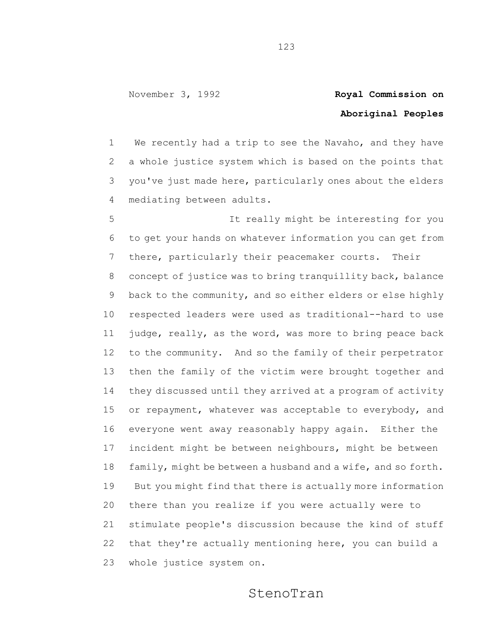## **Aboriginal Peoples**

 We recently had a trip to see the Navaho, and they have a whole justice system which is based on the points that you've just made here, particularly ones about the elders mediating between adults.

 It really might be interesting for you to get your hands on whatever information you can get from there, particularly their peacemaker courts. Their concept of justice was to bring tranquillity back, balance back to the community, and so either elders or else highly respected leaders were used as traditional--hard to use judge, really, as the word, was more to bring peace back to the community. And so the family of their perpetrator then the family of the victim were brought together and they discussed until they arrived at a program of activity or repayment, whatever was acceptable to everybody, and everyone went away reasonably happy again. Either the incident might be between neighbours, might be between family, might be between a husband and a wife, and so forth. But you might find that there is actually more information there than you realize if you were actually were to stimulate people's discussion because the kind of stuff that they're actually mentioning here, you can build a whole justice system on.